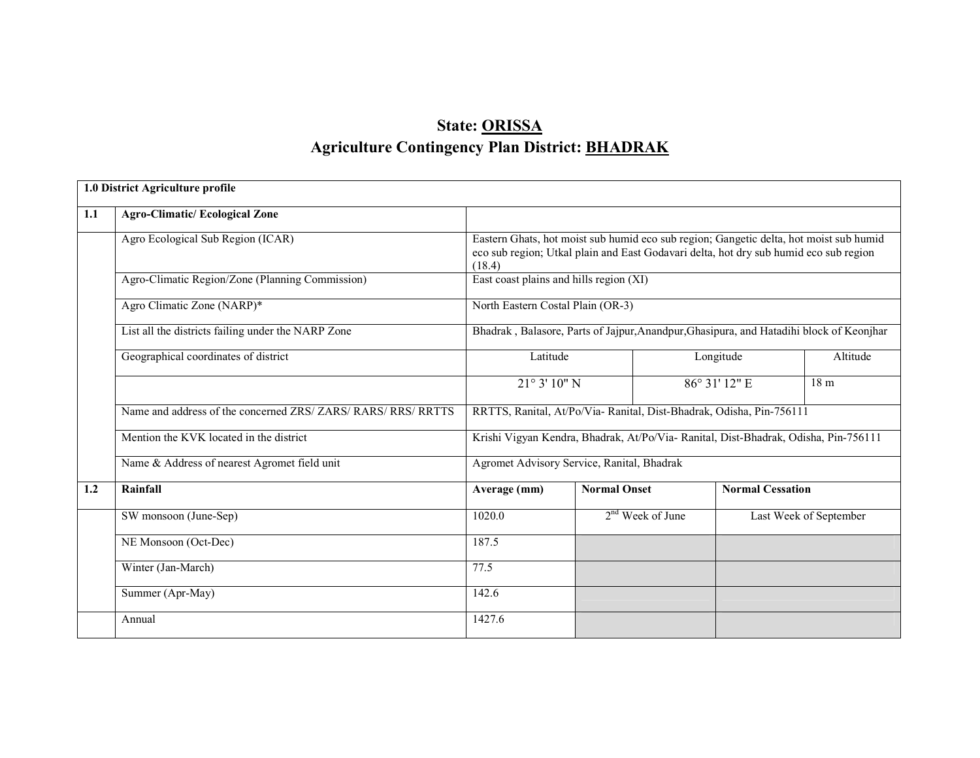# State: ORISSAAgriculture Contingency Plan District: <u>BHADRAK</u>

|     | 1.0 District Agriculture profile                              |                                                                                                                                                                                           |                                                                                         |                         |                        |  |  |
|-----|---------------------------------------------------------------|-------------------------------------------------------------------------------------------------------------------------------------------------------------------------------------------|-----------------------------------------------------------------------------------------|-------------------------|------------------------|--|--|
| 1.1 | <b>Agro-Climatic/Ecological Zone</b>                          |                                                                                                                                                                                           |                                                                                         |                         |                        |  |  |
|     | Agro Ecological Sub Region (ICAR)                             | Eastern Ghats, hot moist sub humid eco sub region; Gangetic delta, hot moist sub humid<br>eco sub region; Utkal plain and East Godavari delta, hot dry sub humid eco sub region<br>(18.4) |                                                                                         |                         |                        |  |  |
|     | Agro-Climatic Region/Zone (Planning Commission)               | East coast plains and hills region (XI)                                                                                                                                                   |                                                                                         |                         |                        |  |  |
|     | Agro Climatic Zone (NARP)*                                    | North Eastern Costal Plain (OR-3)                                                                                                                                                         |                                                                                         |                         |                        |  |  |
|     | List all the districts failing under the NARP Zone            |                                                                                                                                                                                           | Bhadrak, Balasore, Parts of Jajpur, Anandpur, Ghasipura, and Hatadihi block of Keonjhar |                         |                        |  |  |
|     | Geographical coordinates of district                          | Latitude<br>Longitude                                                                                                                                                                     |                                                                                         |                         | Altitude               |  |  |
|     |                                                               | $21^{\circ}3'10''$ N                                                                                                                                                                      |                                                                                         | 86° 31' 12" E           | 18 m                   |  |  |
|     | Name and address of the concerned ZRS/ ZARS/ RARS/ RRS/ RRTTS |                                                                                                                                                                                           | RRTTS, Ranital, At/Po/Via- Ranital, Dist-Bhadrak, Odisha, Pin-756111                    |                         |                        |  |  |
|     | Mention the KVK located in the district                       |                                                                                                                                                                                           | Krishi Vigyan Kendra, Bhadrak, At/Po/Via- Ranital, Dist-Bhadrak, Odisha, Pin-756111     |                         |                        |  |  |
|     | Name & Address of nearest Agromet field unit                  |                                                                                                                                                                                           | Agromet Advisory Service, Ranital, Bhadrak                                              |                         |                        |  |  |
| 1.2 | Rainfall                                                      | Average (mm)                                                                                                                                                                              | <b>Normal Onset</b>                                                                     | <b>Normal Cessation</b> |                        |  |  |
|     | SW monsoon (June-Sep)                                         | 1020.0                                                                                                                                                                                    | $2nd$ Week of June                                                                      |                         | Last Week of September |  |  |
|     | NE Monsoon (Oct-Dec)                                          | 187.5                                                                                                                                                                                     |                                                                                         |                         |                        |  |  |
|     | Winter (Jan-March)                                            | 77.5                                                                                                                                                                                      |                                                                                         |                         |                        |  |  |
|     | Summer (Apr-May)                                              | 142.6                                                                                                                                                                                     |                                                                                         |                         |                        |  |  |
|     | Annual                                                        | 1427.6                                                                                                                                                                                    |                                                                                         |                         |                        |  |  |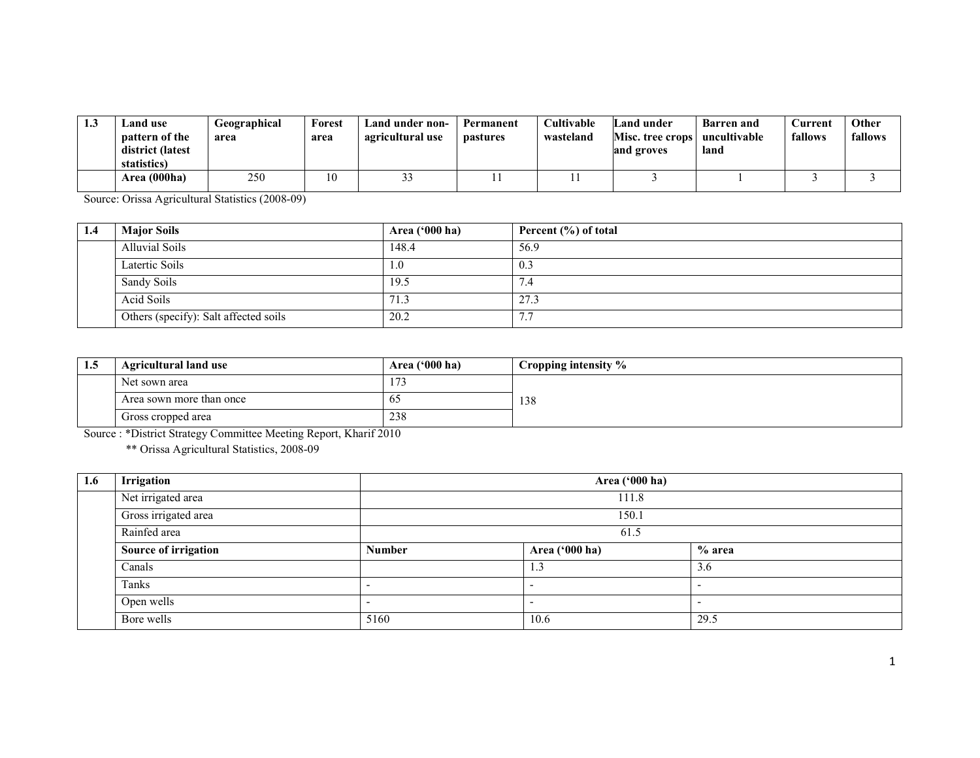| 1.3 | Land use<br>pattern of the<br>district (latest<br>statistics) | Geographical<br>area | Forest<br>area | Land under non-<br>agricultural use | Permanent<br>pastures | Cultivable<br>wasteland | Land under<br>Misc. tree crops<br>and groves | <b>Barren</b> and<br>uncultivable<br>land | Current<br>fallows | Other<br>fallows |
|-----|---------------------------------------------------------------|----------------------|----------------|-------------------------------------|-----------------------|-------------------------|----------------------------------------------|-------------------------------------------|--------------------|------------------|
|     | Area (000ha)                                                  | 250                  |                | ົ                                   |                       |                         |                                              |                                           |                    |                  |

Source: Orissa Agricultural Statistics (2008-09)

| 1.4 | <b>Major Soils</b>                    | <b>Area ('000 ha)</b> | Percent $(\% )$ of total |
|-----|---------------------------------------|-----------------------|--------------------------|
|     | <b>Alluvial Soils</b>                 | 148.4                 | 56.9                     |
|     | Latertic Soils                        | 1.0                   | 0.3                      |
|     | Sandy Soils                           | 19.5                  | 7.4                      |
|     | Acid Soils                            | 71.3                  | 27.3                     |
|     | Others (specify): Salt affected soils | 20.2                  | 77<br>$\cdot$            |

| 1.5 | <b>Agricultural land use</b> | Area ('000 ha)                    | Cropping intensity % |
|-----|------------------------------|-----------------------------------|----------------------|
|     | Net sown area                | $\overline{\phantom{a}}$<br>1 / J |                      |
|     | Area sown more than once     | O                                 | 138                  |
|     | Gross cropped area           | 238                               |                      |

Source : \*District Strategy Committee Meeting Report, Kharif 2010 \*\* Orissa Agricultural Statistics, 2008-09

| 1.6 | Irrigation           |               | Area ('000 ha)           |      |  |  |  |
|-----|----------------------|---------------|--------------------------|------|--|--|--|
|     | Net irrigated area   |               | 111.8<br>150.1<br>61.5   |      |  |  |  |
|     | Gross irrigated area |               |                          |      |  |  |  |
|     | Rainfed area         |               |                          |      |  |  |  |
|     | Source of irrigation | <b>Number</b> | % area<br>Area ('000 ha) |      |  |  |  |
|     | Canals               |               | 1.3                      | 3.6  |  |  |  |
|     | Tanks                | -             |                          |      |  |  |  |
|     | Open wells           | -             |                          |      |  |  |  |
|     | Bore wells           | 5160          | 10.6                     | 29.5 |  |  |  |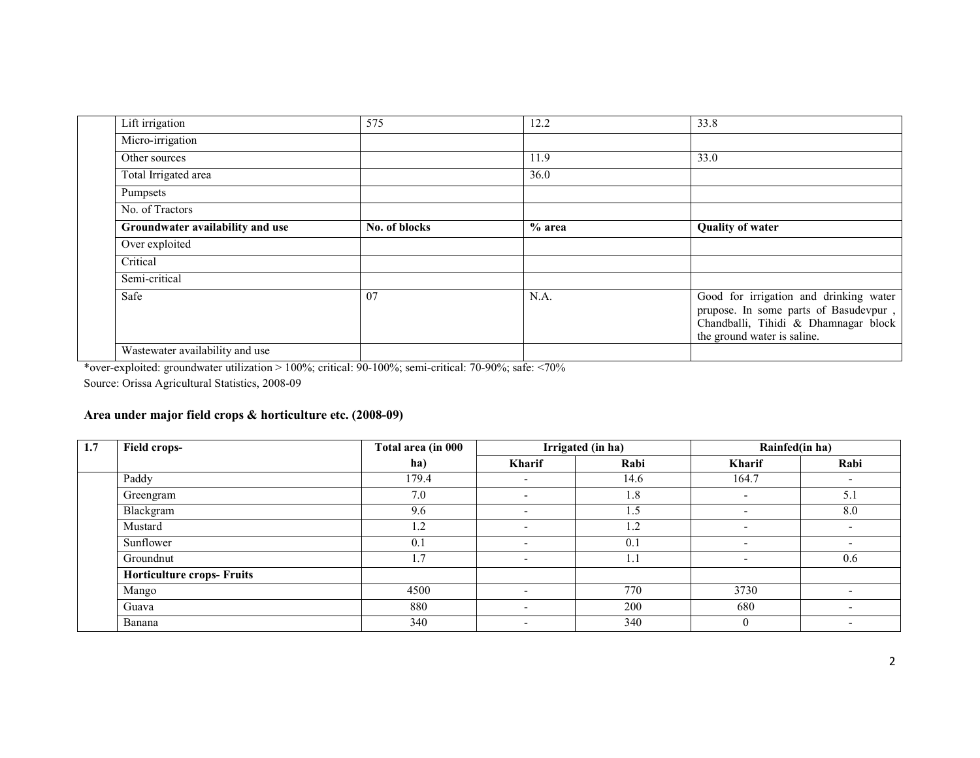| Lift irrigation                  | 575           | 12.2     | 33.8                                                                                                                                                   |
|----------------------------------|---------------|----------|--------------------------------------------------------------------------------------------------------------------------------------------------------|
| Micro-irrigation                 |               |          |                                                                                                                                                        |
| Other sources                    |               | 11.9     | 33.0                                                                                                                                                   |
| Total Irrigated area             |               | 36.0     |                                                                                                                                                        |
| Pumpsets                         |               |          |                                                                                                                                                        |
| No. of Tractors                  |               |          |                                                                                                                                                        |
| Groundwater availability and use | No. of blocks | $%$ area | <b>Quality of water</b>                                                                                                                                |
| Over exploited                   |               |          |                                                                                                                                                        |
| Critical                         |               |          |                                                                                                                                                        |
| Semi-critical                    |               |          |                                                                                                                                                        |
| Safe                             | 07            | N.A.     | Good for irrigation and drinking water<br>prupose. In some parts of Basudevpur,<br>Chandballi, Tihidi & Dhamnagar block<br>the ground water is saline. |
| Wastewater availability and use  |               |          |                                                                                                                                                        |

\*over-exploited: groundwater utilization > 100%; critical: 90-100%; semi-critical: 70-90%; safe: <70%

Source: Orissa Agricultural Statistics, 2008-09

## Area under major field crops & horticulture etc. (2008-09)

| 1.7 | <b>Field crops-</b>               | Total area (in 000 | Irrigated (in ha)        |               | Rainfed(in ha)           |                          |
|-----|-----------------------------------|--------------------|--------------------------|---------------|--------------------------|--------------------------|
|     |                                   | ha)                | Kharif                   | Rabi          | Kharif                   | Rabi                     |
|     | Paddy                             | 179.4              |                          | 14.6          | 164.7                    |                          |
|     | Greengram                         | 7.0                | $\overline{\phantom{a}}$ | 1.8           | $\overline{\phantom{a}}$ | 5.1                      |
|     | Blackgram                         | 9.6                |                          | $1.5^{\circ}$ |                          | 8.0                      |
|     | Mustard                           | 1.2                | $\overline{\phantom{0}}$ | 1.2           | $\overline{\phantom{a}}$ | ۰.                       |
|     | Sunflower                         | 0.1                | $\overline{\phantom{0}}$ | 0.1           | $\overline{\phantom{a}}$ |                          |
|     | Groundnut                         | 1.7                | $\overline{\phantom{0}}$ | 1.1           | $\overline{\phantom{a}}$ | 0.6                      |
|     | <b>Horticulture crops- Fruits</b> |                    |                          |               |                          |                          |
|     | Mango                             | 4500               |                          | 770           | 3730                     |                          |
|     | Guava                             | 880                |                          | 200           | 680                      |                          |
|     | Banana                            | 340                | $\overline{\phantom{a}}$ | 340           | $\mathbf{0}$             | $\overline{\phantom{0}}$ |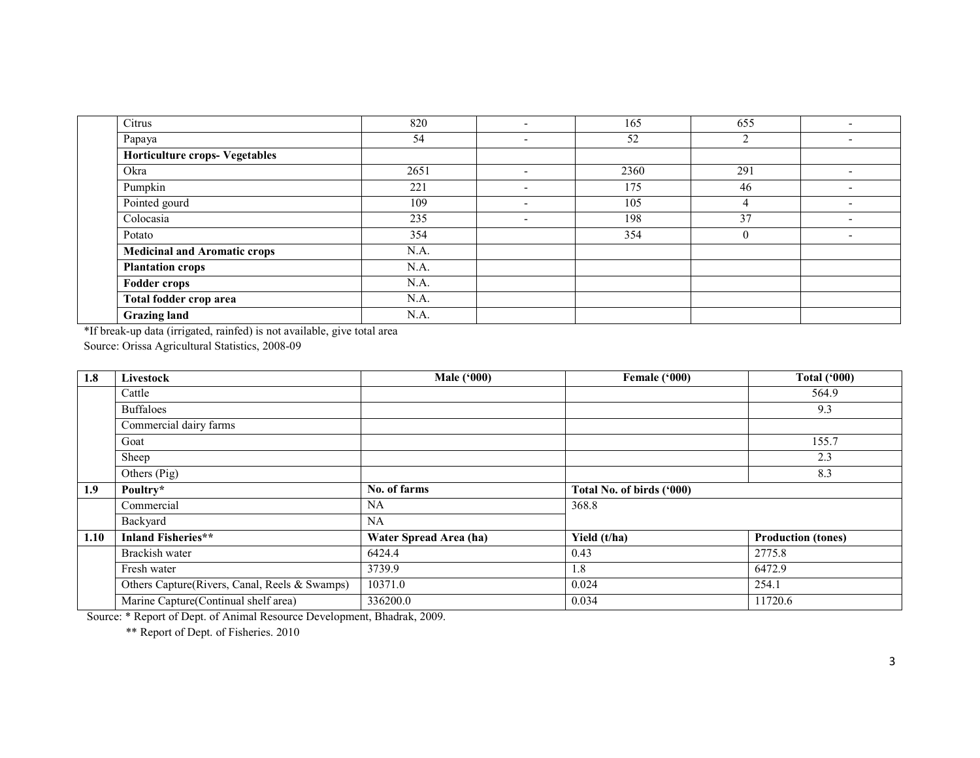| Citrus                                | 820  |                          | 165  | 655      |                          |
|---------------------------------------|------|--------------------------|------|----------|--------------------------|
| Papaya                                | 54   | $\overline{\phantom{a}}$ | 52   | ◠        |                          |
| <b>Horticulture crops- Vegetables</b> |      |                          |      |          |                          |
| Okra                                  | 2651 | $\overline{\phantom{a}}$ | 2360 | 291      | $\overline{\phantom{a}}$ |
| Pumpkin                               | 221  | $\overline{\phantom{0}}$ | 175  | 46       |                          |
| Pointed gourd                         | 109  | $\overline{\phantom{a}}$ | 105  | 4        |                          |
| Colocasia                             | 235  | $\overline{\phantom{a}}$ | 198  | 37       |                          |
| Potato                                | 354  |                          | 354  | $\theta$ |                          |
| <b>Medicinal and Aromatic crops</b>   | N.A. |                          |      |          |                          |
| <b>Plantation crops</b>               | N.A. |                          |      |          |                          |
| <b>Fodder crops</b>                   | N.A. |                          |      |          |                          |
| Total fodder crop area                | N.A. |                          |      |          |                          |
| <b>Grazing land</b>                   | N.A. |                          |      |          |                          |

\*If break-up data (irrigated, rainfed) is not available, give total area Source: Orissa Agricultural Statistics, 2008-09

| 1.8  | Livestock                                     | <b>Male</b> ('000)     | Female ('000)             | <b>Total ('000)</b>       |
|------|-----------------------------------------------|------------------------|---------------------------|---------------------------|
|      | Cattle                                        |                        |                           | 564.9                     |
|      | <b>Buffaloes</b>                              |                        |                           | 9.3                       |
|      | Commercial dairy farms                        |                        |                           |                           |
|      | Goat                                          |                        |                           | 155.7                     |
|      | Sheep                                         |                        |                           | 2.3                       |
|      | Others (Pig)                                  |                        |                           | 8.3                       |
| 1.9  | Poultry*                                      | No. of farms           | Total No. of birds ('000) |                           |
|      | Commercial                                    | <b>NA</b>              | 368.8                     |                           |
|      | Backyard                                      | <b>NA</b>              |                           |                           |
| 1.10 | <b>Inland Fisheries**</b>                     | Water Spread Area (ha) | Yield (t/ha)              | <b>Production (tones)</b> |
|      | Brackish water                                | 6424.4                 | 0.43                      | 2775.8                    |
|      | Fresh water                                   | 3739.9                 | 1.8                       | 6472.9                    |
|      | Others Capture(Rivers, Canal, Reels & Swamps) | 10371.0                | 0.024                     | 254.1                     |
|      | Marine Capture(Continual shelf area)          | 336200.0               | 0.034                     | 11720.6                   |

Source: \* Report of Dept. of Animal Resource Development, Bhadrak, 2009.

\*\* Report of Dept. of Fisheries. 2010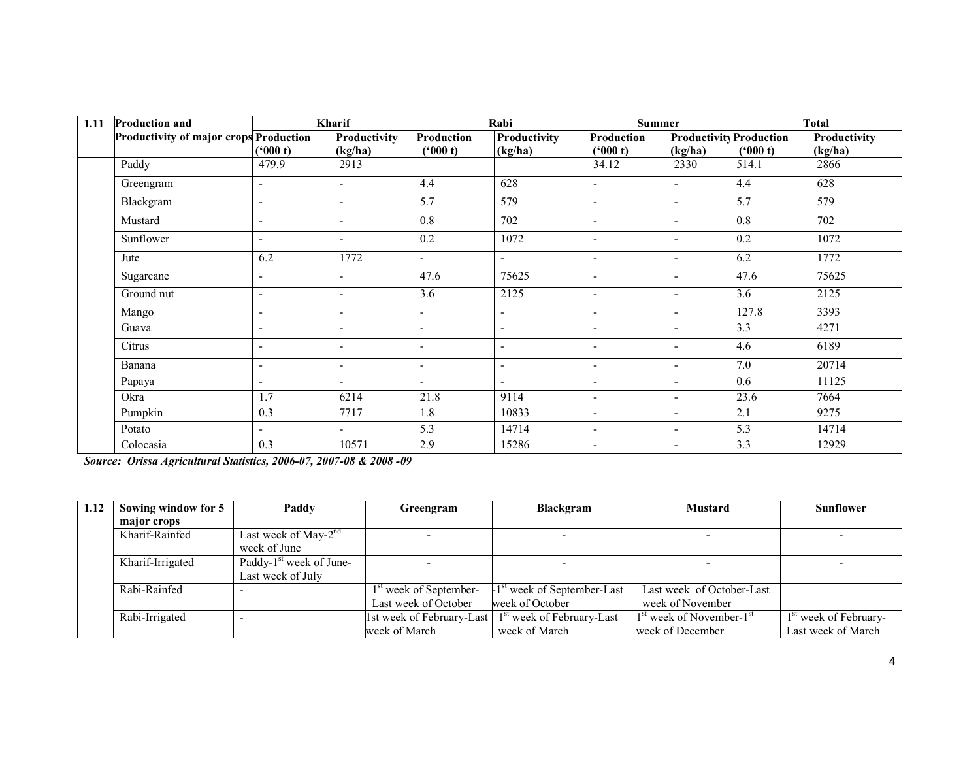| 1.11 | <b>Production and</b>                  |                          | <b>Kharif</b> |                          | Rabi                     | <b>Summer</b>            |                                |         | <b>Total</b> |
|------|----------------------------------------|--------------------------|---------------|--------------------------|--------------------------|--------------------------|--------------------------------|---------|--------------|
|      | Productivity of major crops Production |                          | Productivity  | <b>Production</b>        | Productivity             | Production               | <b>Productivity Production</b> |         | Productivity |
|      |                                        | (900 t)                  | (kg/ha)       | (900 t)                  | (kg/ha)                  | (900 t)                  | (kg/ha)                        | (900 t) | (kg/ha)      |
|      | Paddy                                  | 479.9                    | 2913          |                          |                          | 34.12                    | 2330                           | 514.1   | 2866         |
|      | Greengram                              | $\overline{\phantom{a}}$ |               | 4.4                      | 628                      |                          | $\blacksquare$                 | 4.4     | 628          |
|      | Blackgram                              | $\overline{\phantom{a}}$ | ٠             | 5.7                      | 579                      |                          | $\sim$                         | 5.7     | 579          |
|      | Mustard                                | $\overline{\phantom{a}}$ | ٠             | 0.8                      | 702                      |                          | $\overline{\phantom{a}}$       | 0.8     | 702          |
|      | Sunflower                              | $\overline{\phantom{a}}$ | ٠             | 0.2                      | 1072                     |                          | $\overline{\phantom{a}}$       | 0.2     | 1072         |
|      | Jute                                   | 6.2                      | 1772          | $\blacksquare$           | $\blacksquare$           |                          | $\sim$                         | 6.2     | 1772         |
|      | Sugarcane                              | ٠                        | ۰             | 47.6                     | 75625                    |                          | $\overline{\phantom{a}}$       | 47.6    | 75625        |
|      | Ground nut                             | ٠                        | ۰             | 3.6                      | 2125                     |                          | $\overline{\phantom{a}}$       | 3.6     | 2125         |
|      | Mango                                  | ٠                        | ۰             | $\overline{\phantom{a}}$ | $\blacksquare$           |                          | $\overline{\phantom{a}}$       | 127.8   | 3393         |
|      | Guava                                  | $\overline{\phantom{0}}$ |               |                          | $\blacksquare$           |                          | $\blacksquare$                 | 3.3     | 4271         |
|      | Citrus                                 | $\overline{\phantom{0}}$ | ۰             | ۰                        | $\overline{\phantom{a}}$ |                          | $\overline{\phantom{a}}$       | 4.6     | 6189         |
|      | Banana                                 | ٠                        | ٠             | $\blacksquare$           | $\overline{\phantom{a}}$ | $\overline{\phantom{0}}$ | $\blacksquare$                 | 7.0     | 20714        |
|      | Papaya                                 | ٠                        |               | $\overline{\phantom{0}}$ | $\blacksquare$           |                          | $\sim$                         | 0.6     | 11125        |
|      | Okra                                   | 1.7                      | 6214          | 21.8                     | 9114                     | $\overline{\phantom{0}}$ | $\overline{\phantom{a}}$       | 23.6    | 7664         |
|      | Pumpkin                                | 0.3                      | 7717          | 1.8                      | 10833                    | $\blacksquare$           | $\sim$                         | 2.1     | 9275         |
|      | Potato                                 | $\blacksquare$           | ٠             | 5.3                      | 14714                    |                          | $\blacksquare$                 | 5.3     | 14714        |
|      | Colocasia                              | 0.3                      | 10571         | 2.9                      | 15286                    |                          | $\overline{\phantom{a}}$       | 3.3     | 12929        |

Source: Orissa Agricultural Statistics, 2006-07, 2007-08 & 2008 -09

| 1.12 | Sowing window for 5<br>Paddy |                                     | Greengram                          | <b>Blackgram</b>                       | <b>Mustard</b>                | <b>Sunflower</b>                  |
|------|------------------------------|-------------------------------------|------------------------------------|----------------------------------------|-------------------------------|-----------------------------------|
|      | major crops                  |                                     |                                    |                                        |                               |                                   |
|      | Kharif-Rainfed               | Last week of May- $2^{nd}$          |                                    |                                        |                               |                                   |
|      |                              | week of June                        |                                    |                                        |                               |                                   |
|      | Kharif-Irrigated             | Paddy-1 <sup>st</sup> week of June- |                                    |                                        |                               |                                   |
|      |                              | Last week of July                   |                                    |                                        |                               |                                   |
|      | Rabi-Rainfed                 |                                     | 1 <sup>st</sup> week of September- | 1 <sup>st</sup> week of September-Last | Last week of October-Last     |                                   |
|      |                              |                                     | Last week of October               | week of October                        | week of November              |                                   |
|      | Rabi-Irrigated               |                                     | 1st week of February-Last          | 1 <sup>st</sup> week of February-Last  | $1st$ week of November- $1st$ | 1 <sup>st</sup> week of February- |
|      |                              |                                     | week of March                      | week of March                          | week of December              | Last week of March                |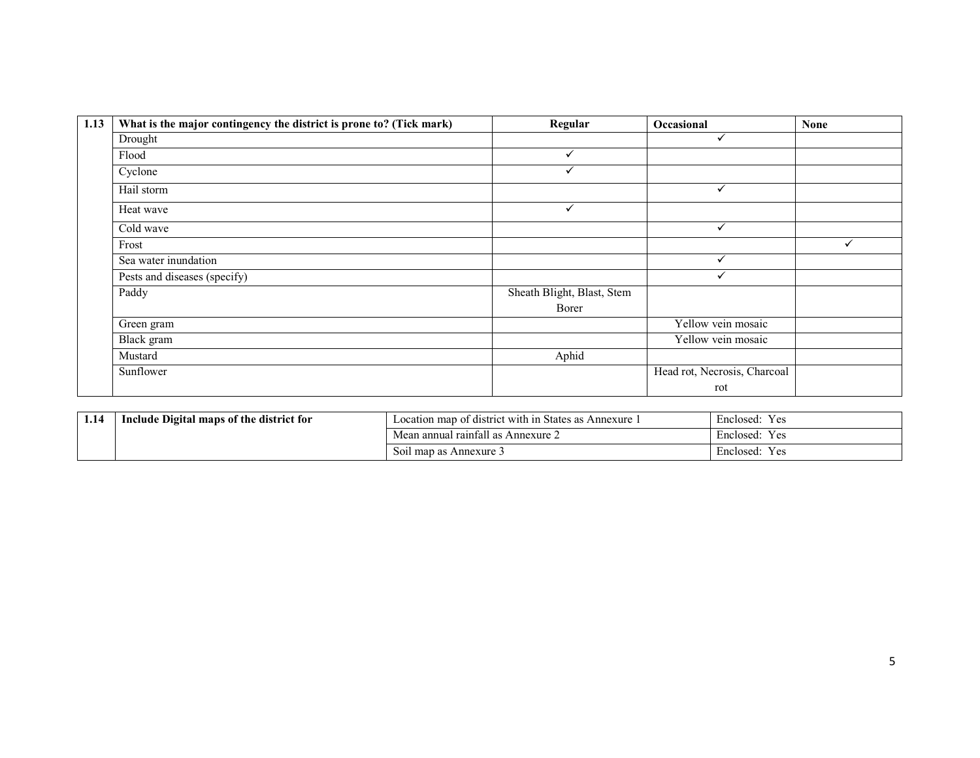| 1.13 | What is the major contingency the district is prone to? (Tick mark) | Regular                    | Occasional                   | <b>None</b>  |
|------|---------------------------------------------------------------------|----------------------------|------------------------------|--------------|
|      | Drought                                                             |                            | $\checkmark$                 |              |
|      | Flood                                                               | $\checkmark$               |                              |              |
|      | Cyclone                                                             | $\checkmark$               |                              |              |
|      | Hail storm                                                          |                            | $\checkmark$                 |              |
|      | Heat wave                                                           | $\checkmark$               |                              |              |
|      | Cold wave                                                           |                            | ✓                            |              |
|      | Frost                                                               |                            |                              | $\checkmark$ |
|      | Sea water inundation                                                |                            | ✓                            |              |
|      | Pests and diseases (specify)                                        |                            |                              |              |
|      | Paddy                                                               | Sheath Blight, Blast, Stem |                              |              |
|      |                                                                     | Borer                      |                              |              |
|      | Green gram                                                          |                            | Yellow vein mosaic           |              |
|      | Black gram                                                          |                            | Yellow vein mosaic           |              |
|      | Mustard                                                             | Aphid                      |                              |              |
|      | Sunflower                                                           |                            | Head rot, Necrosis, Charcoal |              |
|      |                                                                     |                            | rot                          |              |

| 1.14 | Include Digital maps of the district for | Location map of district with in States as Annexure 1         | Y es<br>Enclosed:                 |
|------|------------------------------------------|---------------------------------------------------------------|-----------------------------------|
|      |                                          | n annual rainfall as .<br>$\degree$ Annexure $\angle$<br>Mean | $\mathbf{r}$<br>Y es<br>Enclosed: |
|      |                                          | Soil map as Annexure 3                                        | Enclosed:<br>Y es                 |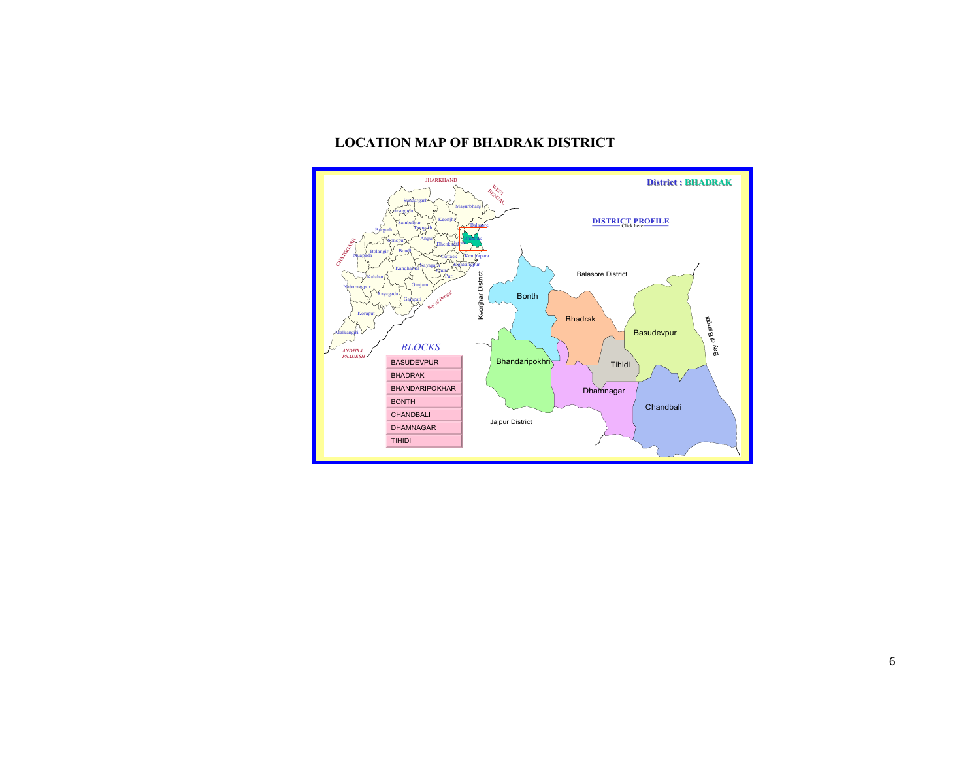#### LOCATION MAP OF BHADRAK DISTRICT

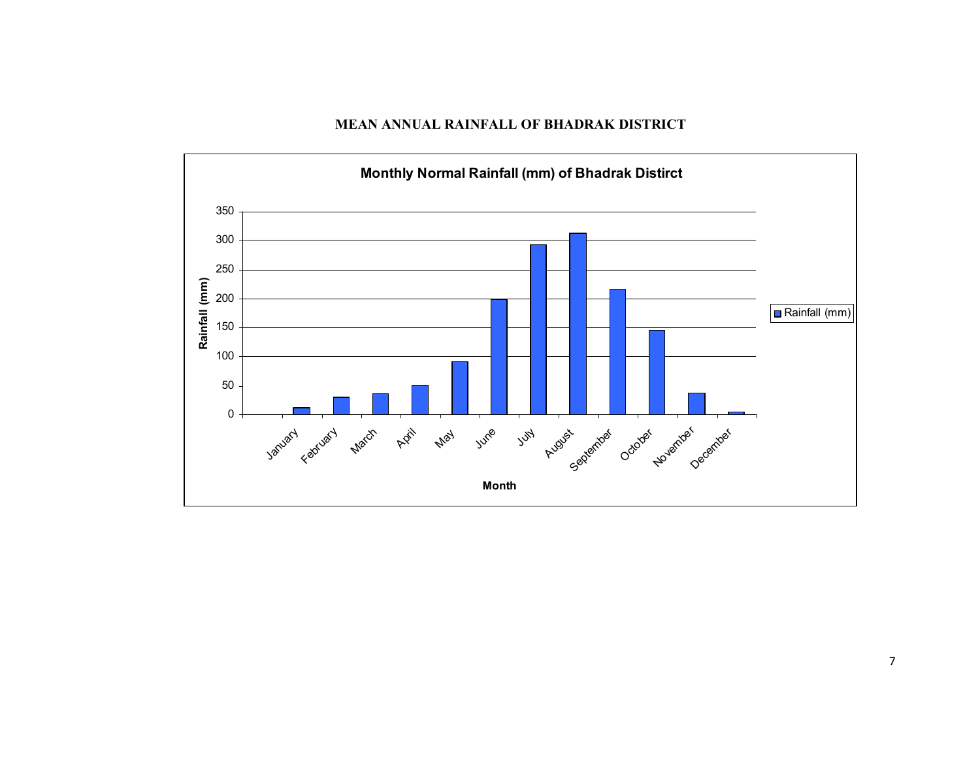MEAN ANNUAL RAINFALL OF BHADRAK DISTRICT

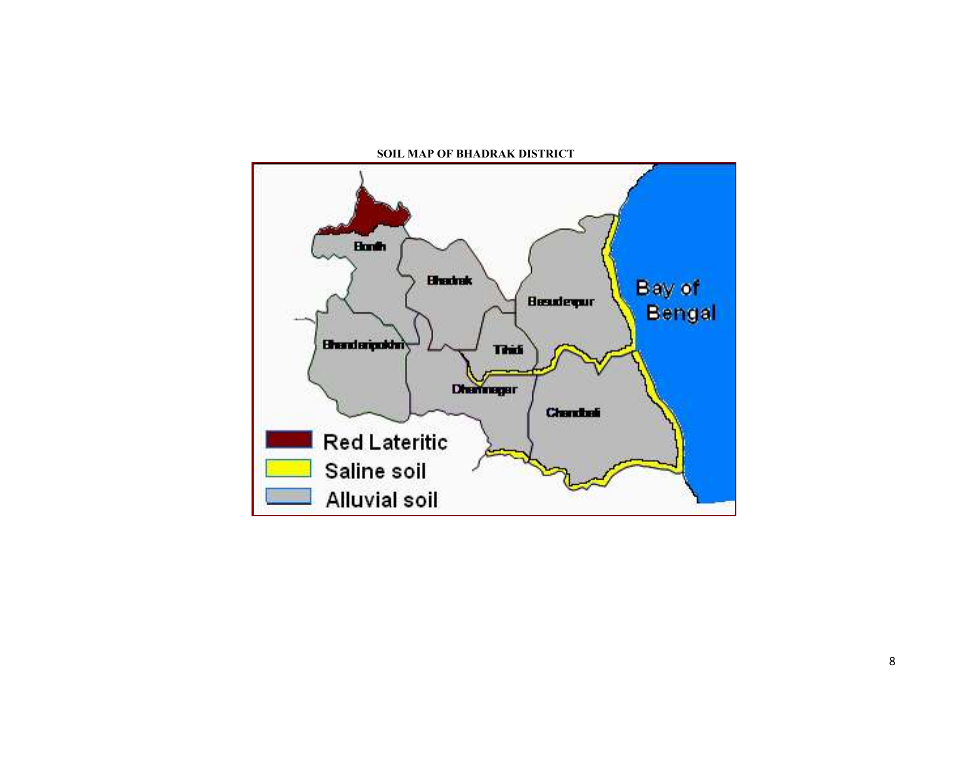

SOIL MAP OF BHADRAK DISTRICT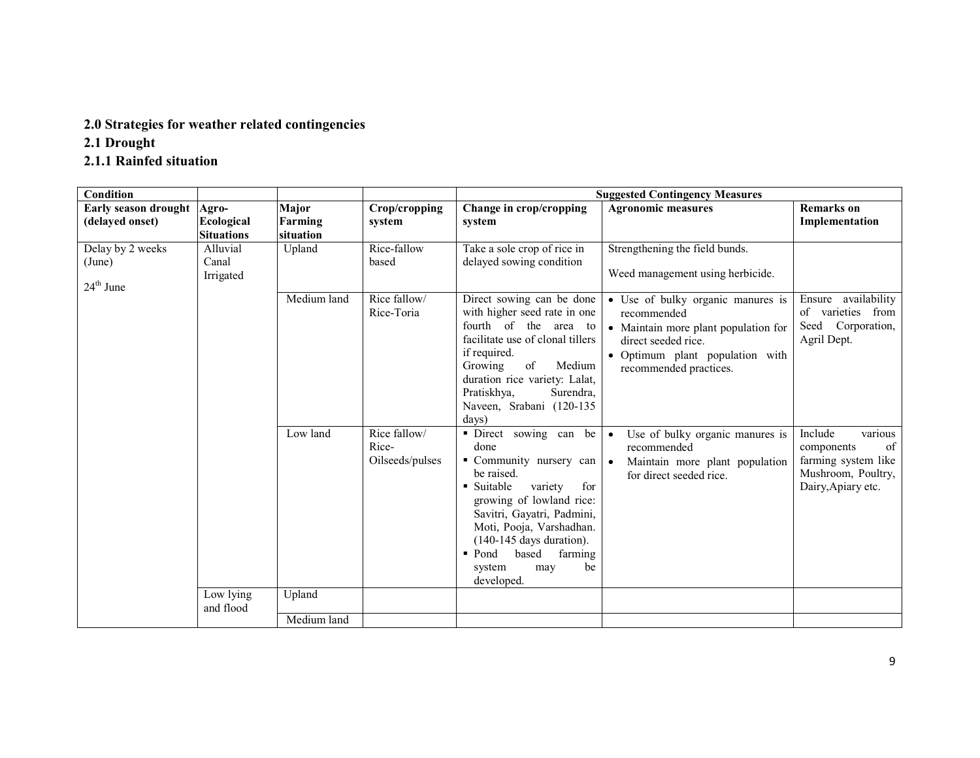# 2.0 Strategies for weather related contingencies

2.1 Drought

# 2.1.1 Rainfed situation

| Condition                                           |                                          |                               |                                          |                                                                                                                                                                                                                                                                                                             | <b>Suggested Contingency Measures</b>                                                                                                                                        |                                                                                                           |
|-----------------------------------------------------|------------------------------------------|-------------------------------|------------------------------------------|-------------------------------------------------------------------------------------------------------------------------------------------------------------------------------------------------------------------------------------------------------------------------------------------------------------|------------------------------------------------------------------------------------------------------------------------------------------------------------------------------|-----------------------------------------------------------------------------------------------------------|
| Early season drought<br>(delayed onset)             | Agro-<br>Ecological<br><b>Situations</b> | Major<br>Farming<br>situation | Crop/cropping<br>system                  | Change in crop/cropping<br>system                                                                                                                                                                                                                                                                           | <b>Agronomic measures</b>                                                                                                                                                    | <b>Remarks</b> on<br>Implementation                                                                       |
| Delay by 2 weeks<br>(June)<br>$24^{\text{th}}$ June | Alluvial<br>Canal<br>Irrigated           | Upland                        | Rice-fallow<br>based                     | Take a sole crop of rice in<br>delayed sowing condition                                                                                                                                                                                                                                                     | Strengthening the field bunds.<br>Weed management using herbicide.                                                                                                           |                                                                                                           |
|                                                     |                                          | Medium land                   | Rice fallow/<br>Rice-Toria               | Direct sowing can be done<br>with higher seed rate in one<br>fourth of the area to<br>facilitate use of clonal tillers<br>if required.<br>Growing<br>of<br>Medium<br>duration rice variety: Lalat,<br>Pratiskhya,<br>Surendra,<br>Naveen, Srabani (120-135<br>days)                                         | • Use of bulky organic manures is<br>recommended<br>• Maintain more plant population for<br>direct seeded rice.<br>· Optimum plant population with<br>recommended practices. | Ensure availability<br>of varieties from<br>Seed Corporation,<br>Agril Dept.                              |
|                                                     |                                          | Low land                      | Rice fallow/<br>Rice-<br>Oilseeds/pulses | · Direct sowing can be<br>done<br>• Community nursery can<br>be raised.<br>• Suitable<br>variety<br>for<br>growing of lowland rice:<br>Savitri, Gayatri, Padmini,<br>Moti, Pooja, Varshadhan.<br>$(140-145$ days duration).<br>based<br>farming<br>$\blacksquare$ Pond<br>be<br>system<br>may<br>developed. | Use of bulky organic manures is<br>$\bullet$<br>recommended<br>$\bullet$<br>Maintain more plant population<br>for direct seeded rice.                                        | Include<br>various<br>of<br>components<br>farming system like<br>Mushroom, Poultry,<br>Dairy, Apiary etc. |
|                                                     | Low lying<br>and flood                   | Upland                        |                                          |                                                                                                                                                                                                                                                                                                             |                                                                                                                                                                              |                                                                                                           |
|                                                     |                                          | Medium land                   |                                          |                                                                                                                                                                                                                                                                                                             |                                                                                                                                                                              |                                                                                                           |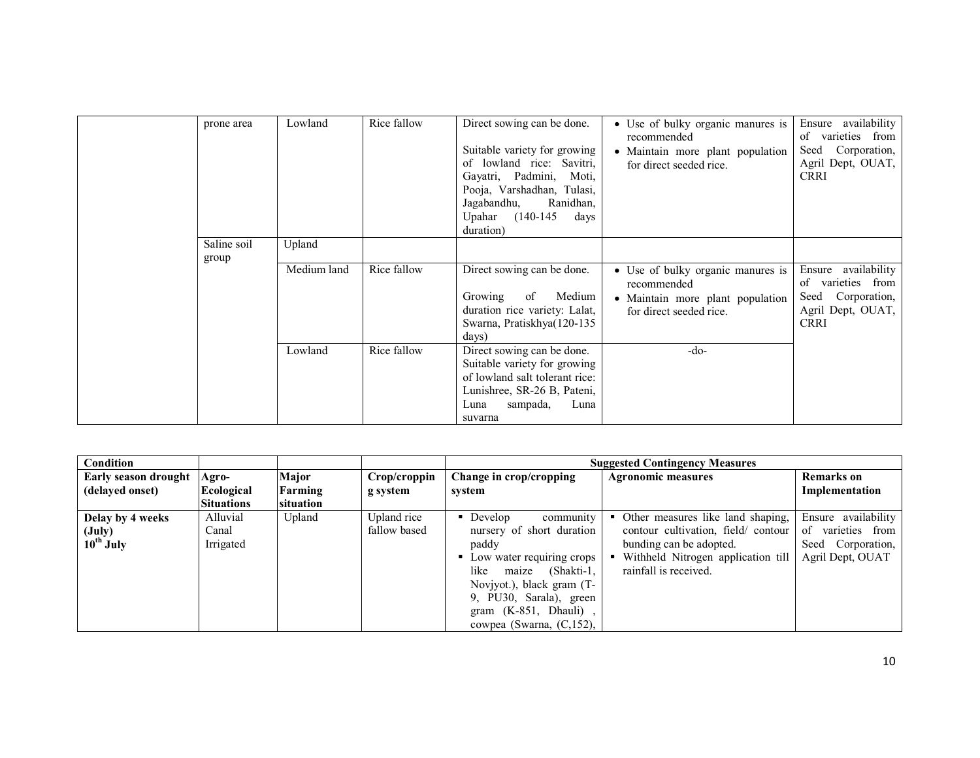| prone area  | Lowland     | Rice fallow | Direct sowing can be done.<br>Suitable variety for growing<br>of lowland rice: Savitri,<br>Gayatri, Padmini, Moti,<br>Pooja, Varshadhan, Tulasi,<br>Jagabandhu,<br>Ranidhan,<br>Upahar (140-145)<br>days<br>duration) | • Use of bulky organic manures is<br>recommended<br>• Maintain more plant population<br>for direct seeded rice. | Ensure availability<br>varieties from<br>of<br>Seed Corporation,<br>Agril Dept, OUAT,<br><b>CRRI</b> |
|-------------|-------------|-------------|-----------------------------------------------------------------------------------------------------------------------------------------------------------------------------------------------------------------------|-----------------------------------------------------------------------------------------------------------------|------------------------------------------------------------------------------------------------------|
| Saline soil | Upland      |             |                                                                                                                                                                                                                       |                                                                                                                 |                                                                                                      |
| group       |             |             |                                                                                                                                                                                                                       |                                                                                                                 |                                                                                                      |
|             | Medium land | Rice fallow | Direct sowing can be done.<br>Growing<br>of<br>Medium<br>duration rice variety: Lalat,<br>Swarna, Pratiskhya(120-135<br>$\frac{days}{ }$                                                                              | • Use of bulky organic manures is<br>recommended<br>• Maintain more plant population<br>for direct seeded rice. | Ensure availability<br>varieties from<br>of<br>Seed Corporation,<br>Agril Dept, OUAT,<br><b>CRRI</b> |
|             | Lowland     | Rice fallow | Direct sowing can be done.<br>Suitable variety for growing<br>of lowland salt tolerant rice:<br>Lunishree, SR-26 B, Pateni,<br>Luna<br>sampada,<br>Luna<br>suvarna                                                    | $-do-$                                                                                                          |                                                                                                      |

| Condition                                            |                                |           |                             |                                                                                                                                                                                                                                            | <b>Suggested Contingency Measures</b>                                                                                                                             |                                                                                      |
|------------------------------------------------------|--------------------------------|-----------|-----------------------------|--------------------------------------------------------------------------------------------------------------------------------------------------------------------------------------------------------------------------------------------|-------------------------------------------------------------------------------------------------------------------------------------------------------------------|--------------------------------------------------------------------------------------|
| Early season drought                                 | Agro-                          | Major     | Crop/croppin                | Change in crop/cropping                                                                                                                                                                                                                    | <b>Agronomic measures</b>                                                                                                                                         | <b>Remarks</b> on                                                                    |
| (delayed onset)                                      | Ecological                     | Farming   | g system                    | system                                                                                                                                                                                                                                     |                                                                                                                                                                   | Implementation                                                                       |
|                                                      | <b>Situations</b>              | situation |                             |                                                                                                                                                                                                                                            |                                                                                                                                                                   |                                                                                      |
| Delay by 4 weeks<br>$(\mathrm{July})$<br>$10th$ July | Alluvial<br>Canal<br>Irrigated | Upland    | Upland rice<br>fallow based | • Develop<br>community<br>nursery of short duration<br>paddy<br>• Low water requiring crops<br>(Shakti-1,<br>like<br>maize<br>Noviyot.), black gram (T-<br>9, PU30, Sarala), green<br>gram $(K-851, Dhauli)$ ,<br>cowpea (Swarna, (C,152), | Other measures like land shaping,<br>contour cultivation, field/contour<br>bunding can be adopted.<br>Withheld Nitrogen application till<br>rainfall is received. | Ensure availability<br>varieties from<br>of<br>Seed Corporation,<br>Agril Dept, OUAT |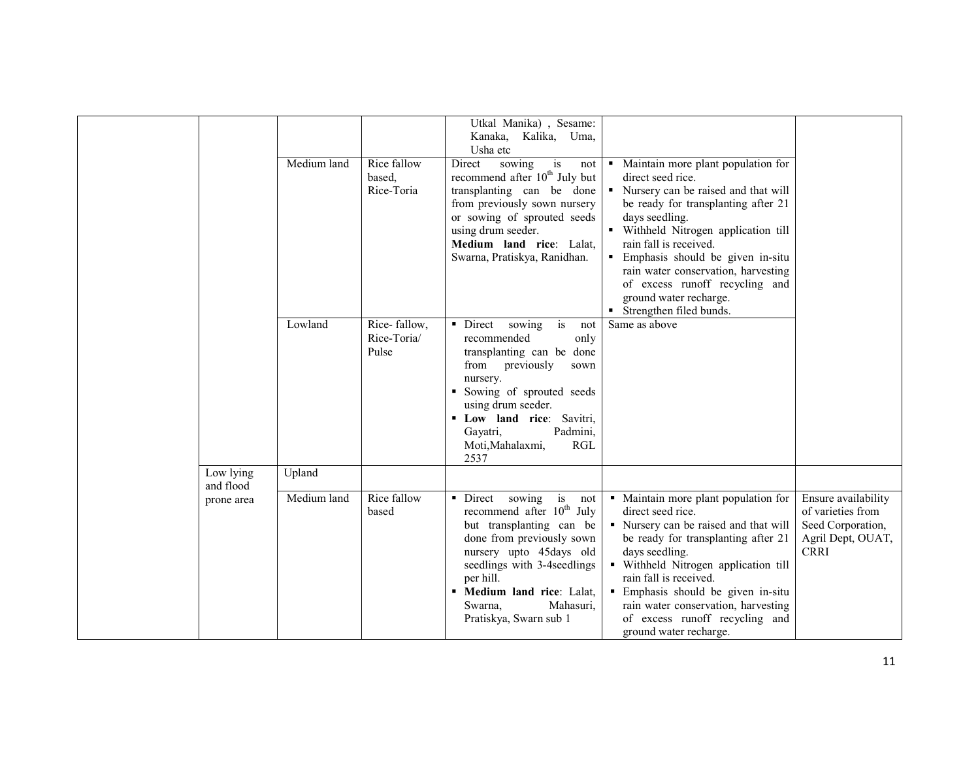|                        |             |                                      | Utkal Manika), Sesame:<br>Kanaka, Kalika, Uma,<br>Usha etc                                                                                                                                                                                                                            |                                                                                                                                                                                                                                                                                                                                                                                                   |                                                                                                   |
|------------------------|-------------|--------------------------------------|---------------------------------------------------------------------------------------------------------------------------------------------------------------------------------------------------------------------------------------------------------------------------------------|---------------------------------------------------------------------------------------------------------------------------------------------------------------------------------------------------------------------------------------------------------------------------------------------------------------------------------------------------------------------------------------------------|---------------------------------------------------------------------------------------------------|
|                        | Medium land | Rice fallow<br>based.<br>Rice-Toria  | Direct<br>sowing<br>is<br>not<br>recommend after 10 <sup>th</sup> July but<br>transplanting can be done<br>from previously sown nursery<br>or sowing of sprouted seeds<br>using drum seeder.<br>Medium land rice: Lalat,<br>Swarna, Pratiskya, Ranidhan.                              | • Maintain more plant population for<br>direct seed rice.<br>• Nursery can be raised and that will<br>be ready for transplanting after 21<br>days seedling.<br>· Withheld Nitrogen application till<br>rain fall is received.<br>· Emphasis should be given in-situ<br>rain water conservation, harvesting<br>of excess runoff recycling and<br>ground water recharge.<br>Strengthen filed bunds. |                                                                                                   |
|                        | Lowland     | Rice-fallow,<br>Rice-Toria/<br>Pulse | • Direct<br>sowing<br>is<br>not<br>recommended<br>only<br>transplanting can be done<br>from<br>previously<br>sown<br>nursery.<br>• Sowing of sprouted seeds<br>using drum seeder.<br>" Low land rice: Savitri,<br>Padmini,<br>Gayatri,<br>Moti, Mahalaxmi,<br><b>RGL</b><br>2537      | Same as above                                                                                                                                                                                                                                                                                                                                                                                     |                                                                                                   |
| Low lying<br>and flood | Upland      |                                      |                                                                                                                                                                                                                                                                                       |                                                                                                                                                                                                                                                                                                                                                                                                   |                                                                                                   |
| prone area             | Medium land | Rice fallow<br>based                 | • Direct sowing<br>is<br>not<br>recommend after 10 <sup>th</sup> July<br>but transplanting can be<br>done from previously sown<br>nursery upto 45days old<br>seedlings with 3-4seedlings<br>per hill.<br>" Medium land rice: Lalat,<br>Mahasuri,<br>Swarna.<br>Pratiskya, Swarn sub 1 | • Maintain more plant population for<br>direct seed rice.<br>• Nursery can be raised and that will<br>be ready for transplanting after 21<br>days seedling.<br>· Withheld Nitrogen application till<br>rain fall is received.<br>• Emphasis should be given in-situ<br>rain water conservation, harvesting<br>of excess runoff recycling and<br>ground water recharge.                            | Ensure availability<br>of varieties from<br>Seed Corporation,<br>Agril Dept, OUAT,<br><b>CRRI</b> |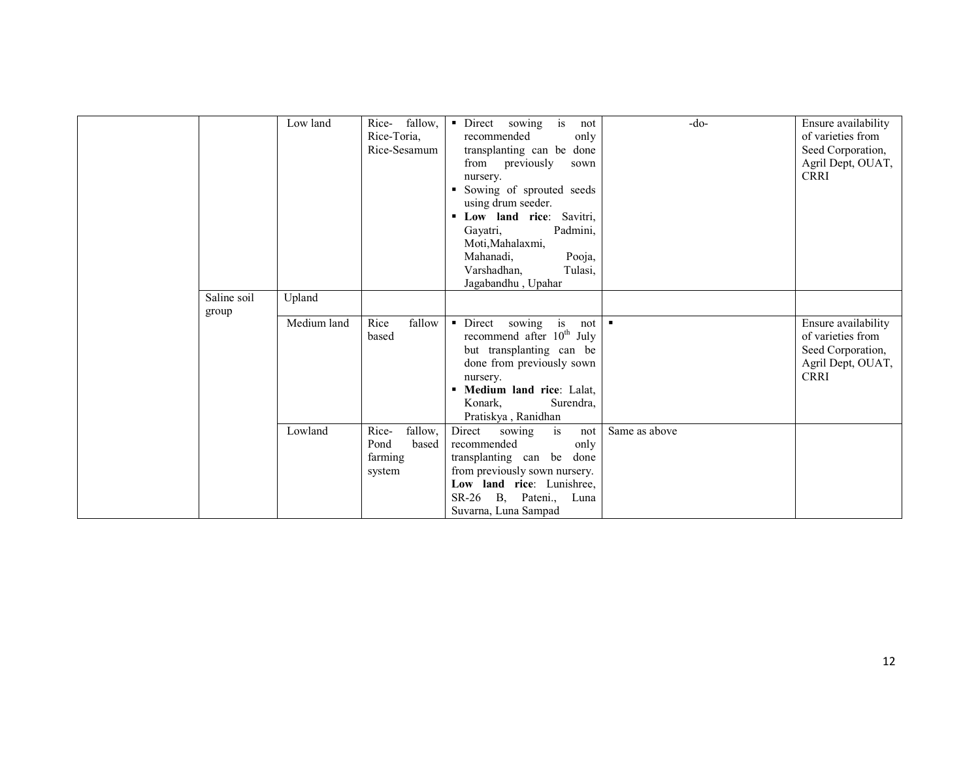|             | Low land    | fallow,<br>Rice-<br>Rice-Toria,<br>Rice-Sesamum        | is<br>• Direct sowing<br>not<br>recommended<br>only<br>transplanting can be done<br>from previously<br>sown<br>nursery.<br>Sowing of sprouted seeds<br>using drum seeder.<br>Low land rice: Savitri,<br>Padmini,<br>Gayatri,<br>Moti, Mahalaxmi,<br>Pooja,<br>Mahanadi,<br>Tulasi,<br>Varshadhan,<br>Jagabandhu, Upahar | $-do-$         | Ensure availability<br>of varieties from<br>Seed Corporation,<br>Agril Dept, OUAT,<br><b>CRRI</b> |
|-------------|-------------|--------------------------------------------------------|-------------------------------------------------------------------------------------------------------------------------------------------------------------------------------------------------------------------------------------------------------------------------------------------------------------------------|----------------|---------------------------------------------------------------------------------------------------|
| Saline soil | Upland      |                                                        |                                                                                                                                                                                                                                                                                                                         |                |                                                                                                   |
| group       | Medium land | Rice<br>fallow<br>based                                | Direct<br>sowing<br>is<br>not<br>$\blacksquare$<br>recommend after 10 <sup>th</sup> July<br>but transplanting can be<br>done from previously sown<br>nursery.<br>Medium land rice: Lalat,<br>Surendra,<br>Konark,<br>Pratiskya, Ranidhan                                                                                | $\blacksquare$ | Ensure availability<br>of varieties from<br>Seed Corporation,<br>Agril Dept, OUAT,<br><b>CRRI</b> |
|             | Lowland     | fallow,<br>Rice-<br>based<br>Pond<br>farming<br>system | Direct<br>is<br>sowing<br>not<br>recommended<br>only<br>transplanting can be<br>done<br>from previously sown nursery.<br>Low land rice: Lunishree,<br>SR-26 B, Pateni.,<br>Luna<br>Suvarna, Luna Sampad                                                                                                                 | Same as above  |                                                                                                   |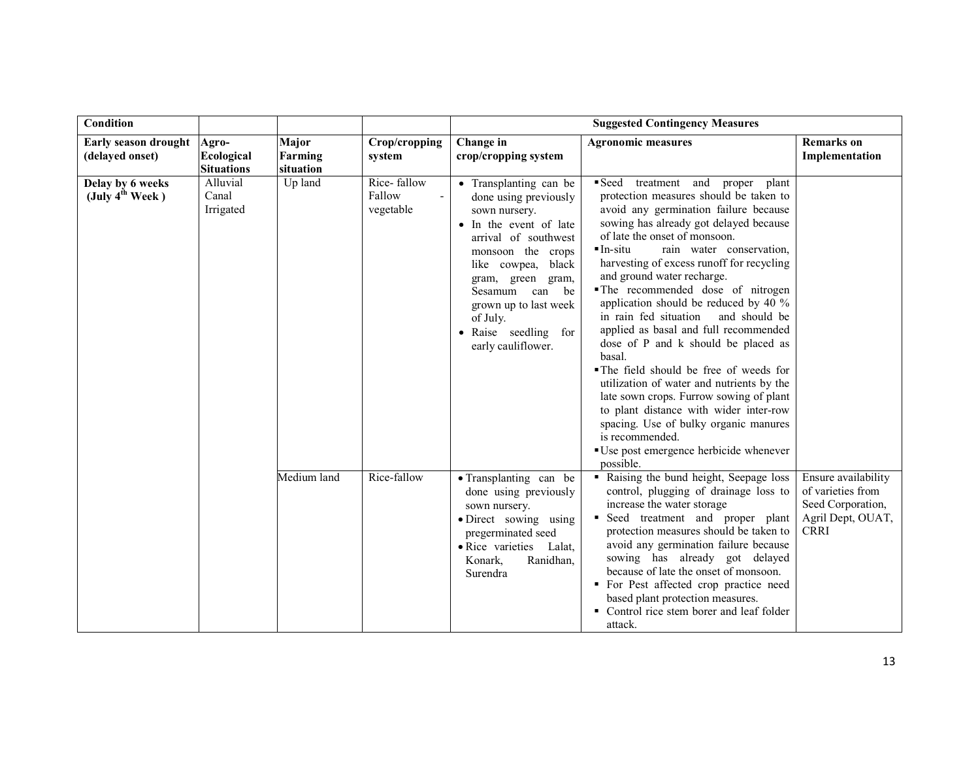| Condition                                       |                                                 |                               |                                    |                                                                                                                                                                                                                                                                                            | <b>Suggested Contingency Measures</b>                                                                                                                                                                                                                                                                                                                                                                                                                                                                                                                                                                                                                                                                                                                                                                                              |                                                                                                   |
|-------------------------------------------------|-------------------------------------------------|-------------------------------|------------------------------------|--------------------------------------------------------------------------------------------------------------------------------------------------------------------------------------------------------------------------------------------------------------------------------------------|------------------------------------------------------------------------------------------------------------------------------------------------------------------------------------------------------------------------------------------------------------------------------------------------------------------------------------------------------------------------------------------------------------------------------------------------------------------------------------------------------------------------------------------------------------------------------------------------------------------------------------------------------------------------------------------------------------------------------------------------------------------------------------------------------------------------------------|---------------------------------------------------------------------------------------------------|
| Early season drought<br>(delayed onset)         | Agro-<br><b>Ecological</b><br><b>Situations</b> | Major<br>Farming<br>situation | Crop/cropping<br>system            | Change in<br>crop/cropping system                                                                                                                                                                                                                                                          | <b>Agronomic measures</b>                                                                                                                                                                                                                                                                                                                                                                                                                                                                                                                                                                                                                                                                                                                                                                                                          | <b>Remarks</b> on<br>Implementation                                                               |
| Delay by 6 weeks<br>(July $4^{\text{th}}$ Week) | Alluvial<br>Canal<br>Irrigated                  | Up land                       | Rice-fallow<br>Fallow<br>vegetable | • Transplanting can be<br>done using previously<br>sown nursery.<br>• In the event of late<br>arrival of southwest<br>monsoon the crops<br>black<br>like cowpea,<br>gram, green gram,<br>Sesamum can be<br>grown up to last week<br>of July.<br>• Raise seedling for<br>early cauliflower. | Seed treatment and proper plant<br>protection measures should be taken to<br>avoid any germination failure because<br>sowing has already got delayed because<br>of late the onset of monsoon.<br>$In-situ$<br>rain water conservation,<br>harvesting of excess runoff for recycling<br>and ground water recharge.<br>The recommended dose of nitrogen<br>application should be reduced by 40 %<br>in rain fed situation<br>and should be<br>applied as basal and full recommended<br>dose of P and k should be placed as<br>basal.<br>• The field should be free of weeds for<br>utilization of water and nutrients by the<br>late sown crops. Furrow sowing of plant<br>to plant distance with wider inter-row<br>spacing. Use of bulky organic manures<br>is recommended.<br>"Use post emergence herbicide whenever<br>possible. |                                                                                                   |
|                                                 |                                                 | Medium land                   | Rice-fallow                        | • Transplanting can be<br>done using previously<br>sown nursery.<br>• Direct sowing using<br>pregerminated seed<br>• Rice varieties<br>Lalat,<br>Konark,<br>Ranidhan,<br>Surendra                                                                                                          | • Raising the bund height, Seepage loss<br>control, plugging of drainage loss to<br>increase the water storage<br>• Seed treatment and proper plant<br>protection measures should be taken to<br>avoid any germination failure because<br>sowing has already got delayed<br>because of late the onset of monsoon.<br>• For Pest affected crop practice need<br>based plant protection measures.<br>• Control rice stem borer and leaf folder<br>attack.                                                                                                                                                                                                                                                                                                                                                                            | Ensure availability<br>of varieties from<br>Seed Corporation,<br>Agril Dept, OUAT,<br><b>CRRI</b> |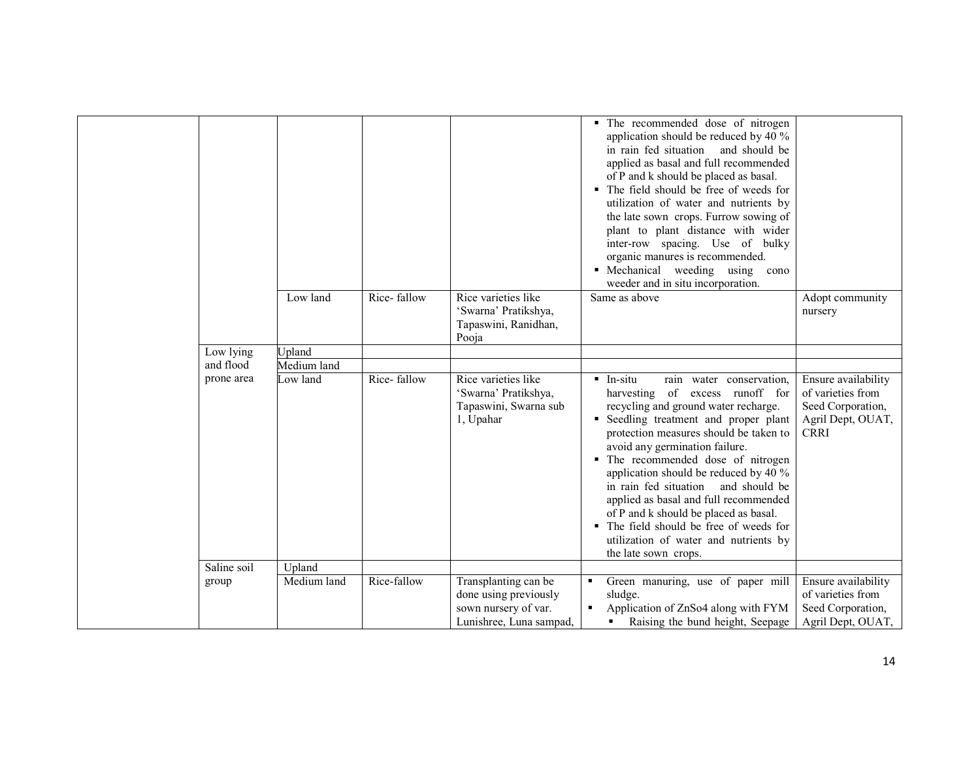|             |               |             |                                                                                                  | • The recommended dose of nitrogen<br>application should be reduced by 40 %<br>in rain fed situation<br>and should be<br>applied as basal and full recommended<br>of P and k should be placed as basal.<br>• The field should be free of weeds for<br>utilization of water and nutrients by<br>the late sown crops. Furrow sowing of<br>plant to plant distance with wider<br>inter-row spacing. Use of bulky<br>organic manures is recommended.<br>• Mechanical weeding using<br>cono<br>weeder and in situ incorporation.                                               |                                                                                                   |
|-------------|---------------|-------------|--------------------------------------------------------------------------------------------------|---------------------------------------------------------------------------------------------------------------------------------------------------------------------------------------------------------------------------------------------------------------------------------------------------------------------------------------------------------------------------------------------------------------------------------------------------------------------------------------------------------------------------------------------------------------------------|---------------------------------------------------------------------------------------------------|
|             | Low land      | Rice-fallow | Rice varieties like<br>'Swarna' Pratikshya,<br>Tapaswini, Ranidhan,<br>Pooja                     | Same as above                                                                                                                                                                                                                                                                                                                                                                                                                                                                                                                                                             | Adopt community<br>nursery                                                                        |
| Low lying   | <b>Jpland</b> |             |                                                                                                  |                                                                                                                                                                                                                                                                                                                                                                                                                                                                                                                                                                           |                                                                                                   |
| and flood   | Medium land   |             |                                                                                                  |                                                                                                                                                                                                                                                                                                                                                                                                                                                                                                                                                                           |                                                                                                   |
| prone area  | Low land      | Rice-fallow | Rice varieties like<br>'Swarna' Pratikshya,<br>Tapaswini, Swarna sub<br>1, Upahar                | $\blacksquare$ In-situ<br>rain water conservation.<br>harvesting of excess runoff for<br>recycling and ground water recharge.<br>" Seedling treatment and proper plant<br>protection measures should be taken to<br>avoid any germination failure.<br>• The recommended dose of nitrogen<br>application should be reduced by 40 %<br>in rain fed situation<br>and should be<br>applied as basal and full recommended<br>of P and k should be placed as basal.<br>• The field should be free of weeds for<br>utilization of water and nutrients by<br>the late sown crops. | Ensure availability<br>of varieties from<br>Seed Corporation,<br>Agril Dept, OUAT,<br><b>CRRI</b> |
| Saline soil | Upland        |             |                                                                                                  |                                                                                                                                                                                                                                                                                                                                                                                                                                                                                                                                                                           |                                                                                                   |
| group       | Medium land   | Rice-fallow | Transplanting can be<br>done using previously<br>sown nursery of var.<br>Lunishree, Luna sampad, | Green manuring, use of paper mill<br>٠<br>sludge.<br>Application of ZnSo4 along with FYM<br>٠<br>Raising the bund height, Seepage                                                                                                                                                                                                                                                                                                                                                                                                                                         | Ensure availability<br>of varieties from<br>Seed Corporation,<br>Agril Dept, OUAT,                |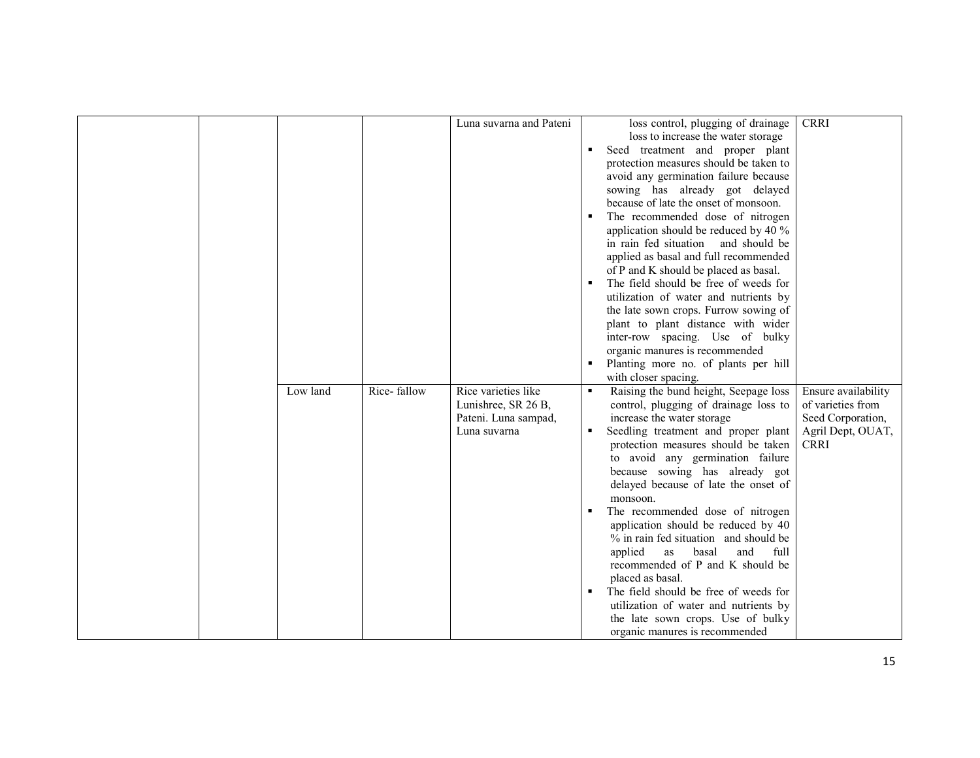|  |          |             | Luna suvarna and Pateni |   | loss control, plugging of drainage     | <b>CRRI</b>         |
|--|----------|-------------|-------------------------|---|----------------------------------------|---------------------|
|  |          |             |                         |   | loss to increase the water storage     |                     |
|  |          |             |                         |   | Seed treatment and proper plant        |                     |
|  |          |             |                         |   | protection measures should be taken to |                     |
|  |          |             |                         |   | avoid any germination failure because  |                     |
|  |          |             |                         |   | sowing has already got delayed         |                     |
|  |          |             |                         |   | because of late the onset of monsoon.  |                     |
|  |          |             |                         |   | The recommended dose of nitrogen       |                     |
|  |          |             |                         |   | application should be reduced by 40 %  |                     |
|  |          |             |                         |   | in rain fed situation and should be    |                     |
|  |          |             |                         |   | applied as basal and full recommended  |                     |
|  |          |             |                         |   | of P and K should be placed as basal.  |                     |
|  |          |             |                         |   | The field should be free of weeds for  |                     |
|  |          |             |                         |   | utilization of water and nutrients by  |                     |
|  |          |             |                         |   | the late sown crops. Furrow sowing of  |                     |
|  |          |             |                         |   | plant to plant distance with wider     |                     |
|  |          |             |                         |   | inter-row spacing. Use of bulky        |                     |
|  |          |             |                         |   | organic manures is recommended         |                     |
|  |          |             |                         |   | Planting more no. of plants per hill   |                     |
|  |          |             |                         |   | with closer spacing.                   |                     |
|  | Low land | Rice-fallow | Rice varieties like     |   | Raising the bund height, Seepage loss  | Ensure availability |
|  |          |             |                         |   |                                        |                     |
|  |          |             | Lunishree, SR 26 B,     |   | control, plugging of drainage loss to  | of varieties from   |
|  |          |             | Pateni. Luna sampad,    |   | increase the water storage             | Seed Corporation,   |
|  |          |             | Luna suvarna            |   | Seedling treatment and proper plant    | Agril Dept, OUAT,   |
|  |          |             |                         |   | protection measures should be taken    | <b>CRRI</b>         |
|  |          |             |                         |   | to avoid any germination failure       |                     |
|  |          |             |                         |   | because sowing has already got         |                     |
|  |          |             |                         |   | delayed because of late the onset of   |                     |
|  |          |             |                         |   | monsoon.                               |                     |
|  |          |             |                         | ٠ | The recommended dose of nitrogen       |                     |
|  |          |             |                         |   | application should be reduced by 40    |                     |
|  |          |             |                         |   | % in rain fed situation and should be  |                     |
|  |          |             |                         |   | full<br>applied<br>as<br>basal<br>and  |                     |
|  |          |             |                         |   | recommended of P and K should be       |                     |
|  |          |             |                         |   | placed as basal.                       |                     |
|  |          |             |                         |   | The field should be free of weeds for  |                     |
|  |          |             |                         |   | utilization of water and nutrients by  |                     |
|  |          |             |                         |   | the late sown crops. Use of bulky      |                     |
|  |          |             |                         |   | organic manures is recommended         |                     |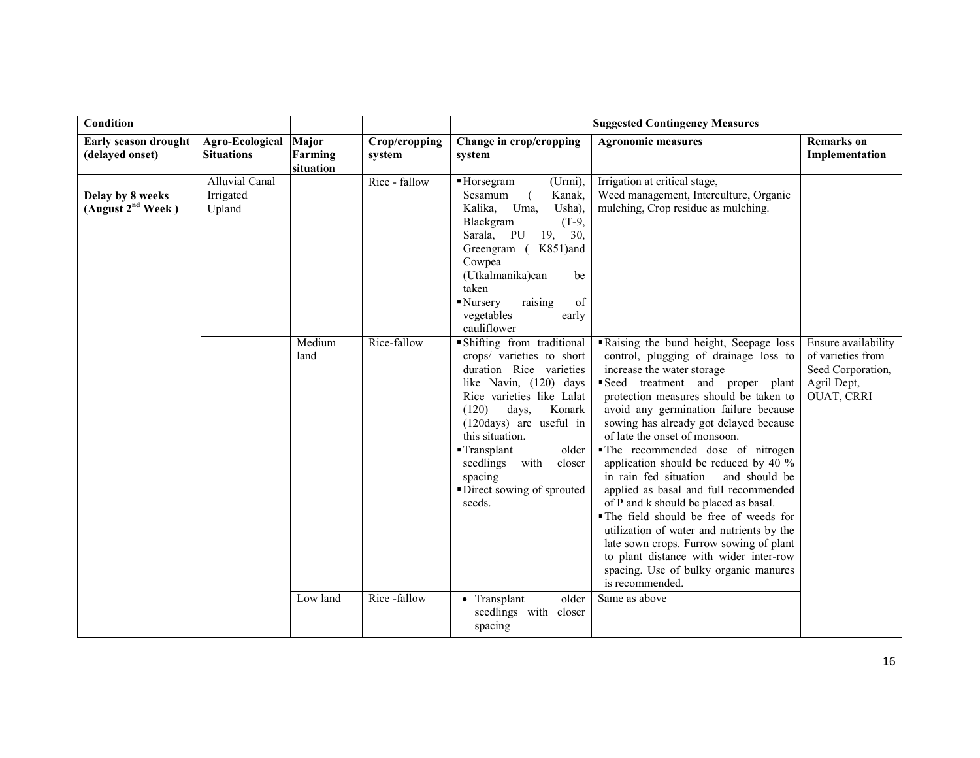| Condition                                         |                                       |                               |                              |                                                                                                                                                                                                                                                                                                      | <b>Suggested Contingency Measures</b>                                                                                                                                                                                                                                                                                                                                                                                                                                                                                                                                                                                                                                                                                |                                                                     |
|---------------------------------------------------|---------------------------------------|-------------------------------|------------------------------|------------------------------------------------------------------------------------------------------------------------------------------------------------------------------------------------------------------------------------------------------------------------------------------------------|----------------------------------------------------------------------------------------------------------------------------------------------------------------------------------------------------------------------------------------------------------------------------------------------------------------------------------------------------------------------------------------------------------------------------------------------------------------------------------------------------------------------------------------------------------------------------------------------------------------------------------------------------------------------------------------------------------------------|---------------------------------------------------------------------|
| Early season drought<br>(delayed onset)           | Agro-Ecological<br><b>Situations</b>  | Major<br>Farming<br>situation | Crop/cropping<br>system      | Change in crop/cropping<br>system                                                                                                                                                                                                                                                                    | <b>Agronomic measures</b>                                                                                                                                                                                                                                                                                                                                                                                                                                                                                                                                                                                                                                                                                            | <b>Remarks</b> on<br>Implementation                                 |
| Delay by 8 weeks<br>(August 2 <sup>nd</sup> Week) | Alluvial Canal<br>Irrigated<br>Upland | Medium                        | Rice - fallow<br>Rice-fallow | ■ Horsegram<br>(Urmi),<br>Sesamum<br>Kanak,<br>Usha),<br>Kalika, Uma,<br>$(T-9,$<br>Blackgram<br>Sarala, PU 19, 30,<br>Greengram (K851)and<br>Cowpea<br>(Utkalmanika)can<br>be<br>taken<br>of<br>Nursery<br>raising<br>vegetables<br>early<br>cauliflower<br>· Shifting from traditional             | Irrigation at critical stage,<br>Weed management, Interculture, Organic<br>mulching, Crop residue as mulching.<br>Raising the bund height, Seepage loss                                                                                                                                                                                                                                                                                                                                                                                                                                                                                                                                                              | Ensure availability                                                 |
|                                                   |                                       | land                          |                              | crops/ varieties to short<br>duration Rice varieties<br>like Navin, (120) days<br>Rice varieties like Lalat<br>(120)<br>days,<br>Konark<br>$(120 \text{days})$ are useful in<br>this situation.<br>Transplant<br>older<br>seedlings with<br>closer<br>spacing<br>Direct sowing of sprouted<br>seeds. | control, plugging of drainage loss to<br>increase the water storage<br>Seed treatment and proper plant<br>protection measures should be taken to<br>avoid any germination failure because<br>sowing has already got delayed because<br>of late the onset of monsoon.<br>The recommended dose of nitrogen<br>application should be reduced by 40 %<br>in rain fed situation<br>and should be<br>applied as basal and full recommended<br>of P and k should be placed as basal.<br>The field should be free of weeds for<br>utilization of water and nutrients by the<br>late sown crops. Furrow sowing of plant<br>to plant distance with wider inter-row<br>spacing. Use of bulky organic manures<br>is recommended. | of varieties from<br>Seed Corporation,<br>Agril Dept,<br>OUAT, CRRI |
|                                                   |                                       | Low land                      | Rice-fallow                  | older<br>• Transplant<br>seedlings with<br>closer<br>spacing                                                                                                                                                                                                                                         | Same as above                                                                                                                                                                                                                                                                                                                                                                                                                                                                                                                                                                                                                                                                                                        |                                                                     |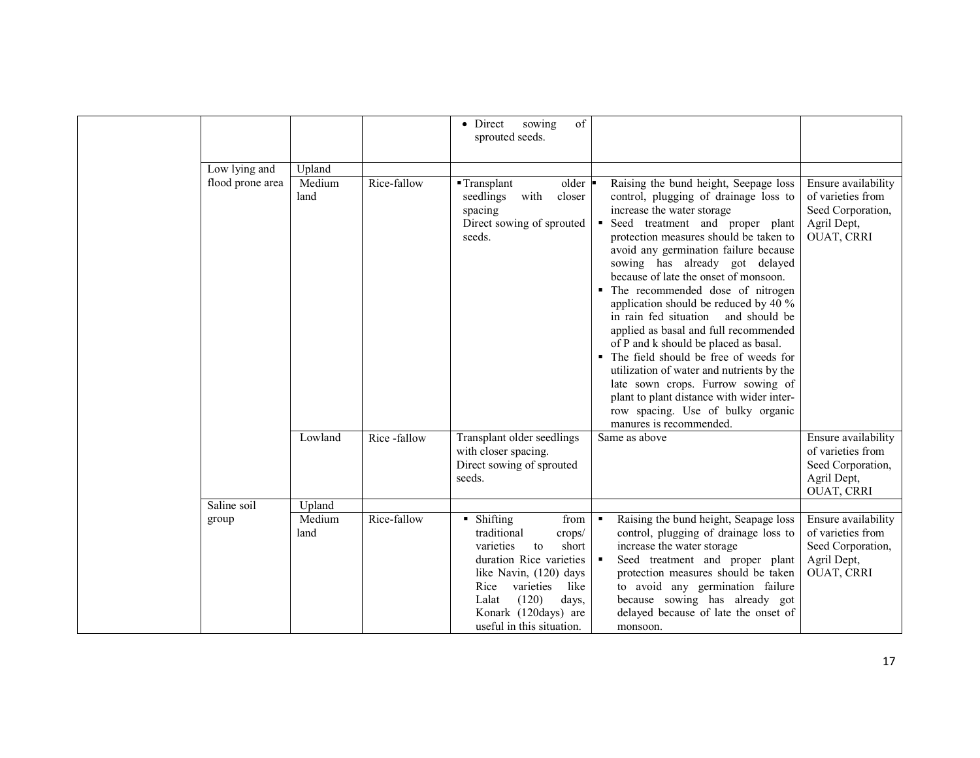|                  |                |             | sowing<br>of<br>• Direct<br>sprouted seeds.                                                                                                                                                                                                            |                                                                                                                                                                                                                                                                                                                                                                                                                                                                                                                                                                                                                                                                                                                                                                         |                                                                                            |
|------------------|----------------|-------------|--------------------------------------------------------------------------------------------------------------------------------------------------------------------------------------------------------------------------------------------------------|-------------------------------------------------------------------------------------------------------------------------------------------------------------------------------------------------------------------------------------------------------------------------------------------------------------------------------------------------------------------------------------------------------------------------------------------------------------------------------------------------------------------------------------------------------------------------------------------------------------------------------------------------------------------------------------------------------------------------------------------------------------------------|--------------------------------------------------------------------------------------------|
| Low lying and    | Upland         |             |                                                                                                                                                                                                                                                        |                                                                                                                                                                                                                                                                                                                                                                                                                                                                                                                                                                                                                                                                                                                                                                         |                                                                                            |
| flood prone area | Medium<br>land | Rice-fallow | $\blacksquare$ Transplant<br>older<br>with<br>seedlings<br>closer<br>spacing<br>Direct sowing of sprouted<br>seeds.                                                                                                                                    | Raising the bund height, Seepage loss<br>control, plugging of drainage loss to<br>increase the water storage<br>Seed treatment and proper plant<br>٠<br>protection measures should be taken to<br>avoid any germination failure because<br>sowing has already got delayed<br>because of late the onset of monsoon.<br>• The recommended dose of nitrogen<br>application should be reduced by 40 %<br>in rain fed situation<br>and should be<br>applied as basal and full recommended<br>of P and k should be placed as basal.<br>• The field should be free of weeds for<br>utilization of water and nutrients by the<br>late sown crops. Furrow sowing of<br>plant to plant distance with wider inter-<br>row spacing. Use of bulky organic<br>manures is recommended. | Ensure availability<br>of varieties from<br>Seed Corporation,<br>Agril Dept,<br>OUAT, CRRI |
|                  | Lowland        | Rice-fallow | Transplant older seedlings<br>with closer spacing.<br>Direct sowing of sprouted<br>seeds.                                                                                                                                                              | Same as above                                                                                                                                                                                                                                                                                                                                                                                                                                                                                                                                                                                                                                                                                                                                                           | Ensure availability<br>of varieties from<br>Seed Corporation,<br>Agril Dept,<br>OUAT, CRRI |
| Saline soil      | Upland         |             |                                                                                                                                                                                                                                                        |                                                                                                                                                                                                                                                                                                                                                                                                                                                                                                                                                                                                                                                                                                                                                                         |                                                                                            |
| group            | Medium<br>land | Rice-fallow | $\blacksquare$ Shifting<br>from<br>traditional<br>crops/<br>short<br>varieties<br>to<br>duration Rice varieties<br>like Navin, (120) days<br>like<br>varieties<br>Rice<br>Lalat<br>(120)<br>days,<br>Konark (120days) are<br>useful in this situation. | Raising the bund height, Seapage loss<br>$\blacksquare$<br>control, plugging of drainage loss to<br>increase the water storage<br>Seed treatment and proper plant<br>protection measures should be taken<br>to avoid any germination failure<br>because sowing has already got<br>delayed because of late the onset of<br>monsoon.                                                                                                                                                                                                                                                                                                                                                                                                                                      | Ensure availability<br>of varieties from<br>Seed Corporation,<br>Agril Dept,<br>OUAT, CRRI |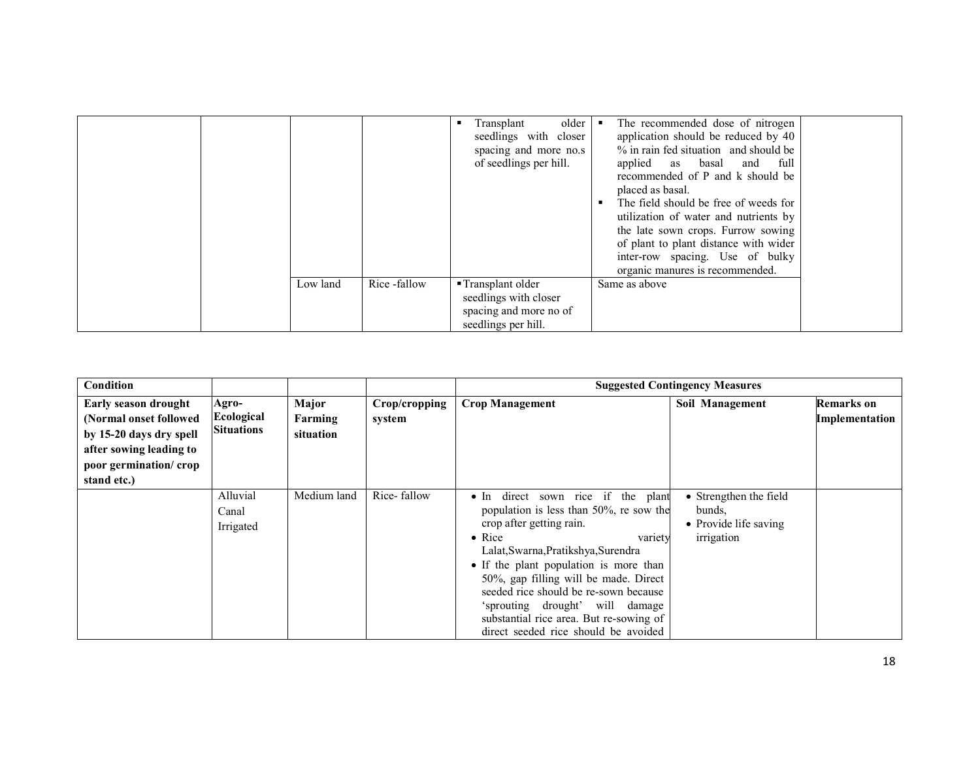|          |              | older<br>Transplant<br>seedlings with closer<br>spacing and more no.s<br>of seedlings per hill. | The recommended dose of nitrogen<br>application should be reduced by 40<br>% in rain fed situation and should be<br>applied as basal and full<br>recommended of P and k should be<br>placed as basal.<br>The field should be free of weeds for<br>utilization of water and nutrients by<br>the late sown crops. Furrow sowing<br>of plant to plant distance with wider<br>inter-row spacing. Use of bulky<br>organic manures is recommended. |  |
|----------|--------------|-------------------------------------------------------------------------------------------------|----------------------------------------------------------------------------------------------------------------------------------------------------------------------------------------------------------------------------------------------------------------------------------------------------------------------------------------------------------------------------------------------------------------------------------------------|--|
| Low land | Rice -fallow | ■ Transplant older<br>seedlings with closer<br>spacing and more no of<br>seedlings per hill.    | Same as above                                                                                                                                                                                                                                                                                                                                                                                                                                |  |

| <b>Condition</b>        |                   |             |               | <b>Suggested Contingency Measures</b>   |                        |                       |  |
|-------------------------|-------------------|-------------|---------------|-----------------------------------------|------------------------|-----------------------|--|
| Early season drought    | Agro-             | Major       | Crop/cropping | <b>Crop Management</b>                  | Soil Management        | <b>Remarks</b> on     |  |
| (Normal onset followed) | Ecological        | Farming     | system        |                                         |                        | <b>Implementation</b> |  |
| by 15-20 days dry spell | <b>Situations</b> | situation   |               |                                         |                        |                       |  |
| after sowing leading to |                   |             |               |                                         |                        |                       |  |
| poor germination/crop   |                   |             |               |                                         |                        |                       |  |
| stand etc.)             |                   |             |               |                                         |                        |                       |  |
|                         | Alluvial          | Medium land | Rice-fallow   | • In direct sown rice if the plant      | • Strengthen the field |                       |  |
|                         | Canal             |             |               | population is less than 50%, re sow the | bunds.                 |                       |  |
|                         | Irrigated         |             |               | crop after getting rain.                | • Provide life saving  |                       |  |
|                         |                   |             |               | $\bullet$ Rice<br>variety               | irrigation             |                       |  |
|                         |                   |             |               | Lalat, Swarna, Pratikshya, Surendra     |                        |                       |  |
|                         |                   |             |               | • If the plant population is more than  |                        |                       |  |
|                         |                   |             |               | 50%, gap filling will be made. Direct   |                        |                       |  |
|                         |                   |             |               | seeded rice should be re-sown because   |                        |                       |  |
|                         |                   |             |               | 'sprouting drought' will damage         |                        |                       |  |
|                         |                   |             |               | substantial rice area. But re-sowing of |                        |                       |  |
|                         |                   |             |               | direct seeded rice should be avoided    |                        |                       |  |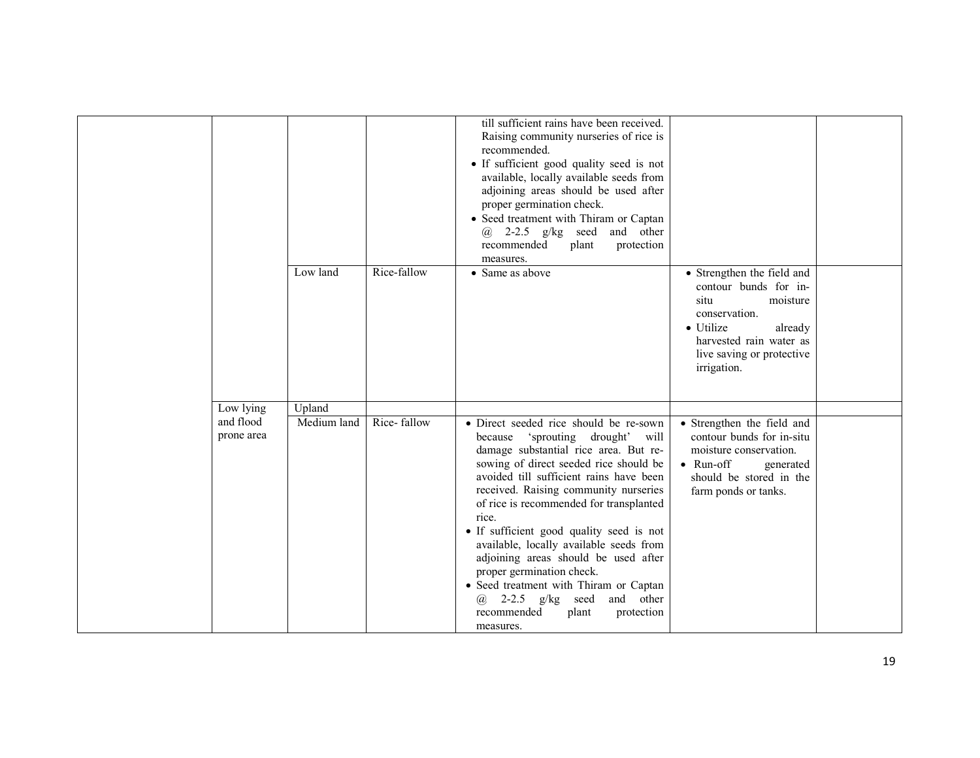|                         | Low land    | Rice-fallow | till sufficient rains have been received.<br>Raising community nurseries of rice is<br>recommended.<br>• If sufficient good quality seed is not<br>available, locally available seeds from<br>adjoining areas should be used after<br>proper germination check.<br>• Seed treatment with Thiram or Captan<br>$\omega$ 2-2.5 g/kg seed<br>and other<br>protection<br>recommended<br>plant<br>measures.<br>• Same as above                                                                                                                                                                                     | • Strengthen the field and<br>contour bunds for in-<br>situ<br>moisture<br>conservation.<br>• Utilize<br>already                                                       |  |
|-------------------------|-------------|-------------|--------------------------------------------------------------------------------------------------------------------------------------------------------------------------------------------------------------------------------------------------------------------------------------------------------------------------------------------------------------------------------------------------------------------------------------------------------------------------------------------------------------------------------------------------------------------------------------------------------------|------------------------------------------------------------------------------------------------------------------------------------------------------------------------|--|
|                         |             |             |                                                                                                                                                                                                                                                                                                                                                                                                                                                                                                                                                                                                              | harvested rain water as<br>live saving or protective<br>irrigation.                                                                                                    |  |
| Low lying               | Upland      |             |                                                                                                                                                                                                                                                                                                                                                                                                                                                                                                                                                                                                              |                                                                                                                                                                        |  |
| and flood<br>prone area | Medium land | Rice-fallow | • Direct seeded rice should be re-sown<br>'sprouting drought' will<br>because<br>damage substantial rice area. But re-<br>sowing of direct seeded rice should be<br>avoided till sufficient rains have been<br>received. Raising community nurseries<br>of rice is recommended for transplanted<br>rice.<br>• If sufficient good quality seed is not<br>available, locally available seeds from<br>adjoining areas should be used after<br>proper germination check.<br>• Seed treatment with Thiram or Captan<br>2-2.5 $g/kg$ seed and other<br>$\omega$<br>recommended<br>protection<br>plant<br>measures. | • Strengthen the field and<br>contour bunds for in-situ<br>moisture conservation.<br>$\bullet$ Run-off<br>generated<br>should be stored in the<br>farm ponds or tanks. |  |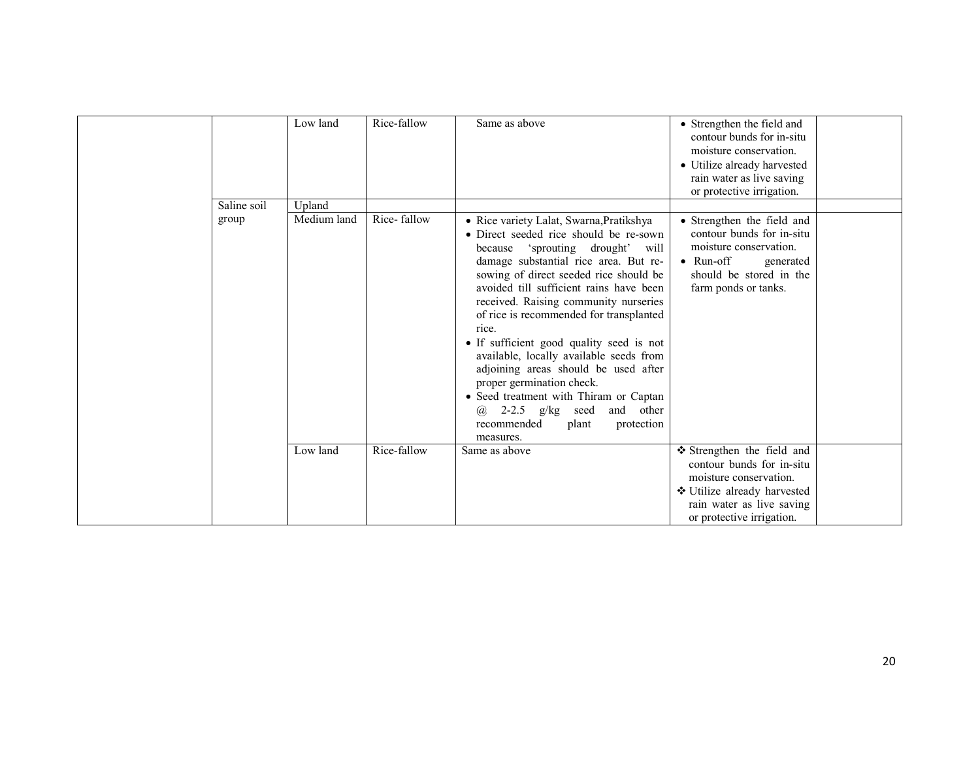|             | Low land    | Rice-fallow | Same as above                                                                                                                                                                                                                                                                                                                                                                                                                                                                                                                                                                                                                                                     | • Strengthen the field and<br>contour bunds for in-situ<br>moisture conservation.<br>• Utilize already harvested<br>rain water as live saving<br>or protective irrigation. |
|-------------|-------------|-------------|-------------------------------------------------------------------------------------------------------------------------------------------------------------------------------------------------------------------------------------------------------------------------------------------------------------------------------------------------------------------------------------------------------------------------------------------------------------------------------------------------------------------------------------------------------------------------------------------------------------------------------------------------------------------|----------------------------------------------------------------------------------------------------------------------------------------------------------------------------|
| Saline soil | Upland      |             |                                                                                                                                                                                                                                                                                                                                                                                                                                                                                                                                                                                                                                                                   |                                                                                                                                                                            |
| group       | Medium land | Rice-fallow | · Rice variety Lalat, Swarna, Pratikshya<br>• Direct seeded rice should be re-sown<br>'sprouting drought' will<br>because<br>damage substantial rice area. But re-<br>sowing of direct seeded rice should be<br>avoided till sufficient rains have been<br>received. Raising community nurseries<br>of rice is recommended for transplanted<br>rice.<br>• If sufficient good quality seed is not<br>available, locally available seeds from<br>adjoining areas should be used after<br>proper germination check.<br>• Seed treatment with Thiram or Captan<br>2-2.5 $g/kg$<br>and<br>other<br>seed<br>$\omega$<br>recommended<br>protection<br>plant<br>measures. | • Strengthen the field and<br>contour bunds for in-situ<br>moisture conservation.<br>$\bullet$ Run-off<br>generated<br>should be stored in the<br>farm ponds or tanks.     |
|             | Low land    | Rice-fallow | Same as above                                                                                                                                                                                                                                                                                                                                                                                                                                                                                                                                                                                                                                                     | ❖ Strengthen the field and<br>contour bunds for in-situ<br>moisture conservation.<br>❖ Utilize already harvested<br>rain water as live saving<br>or protective irrigation. |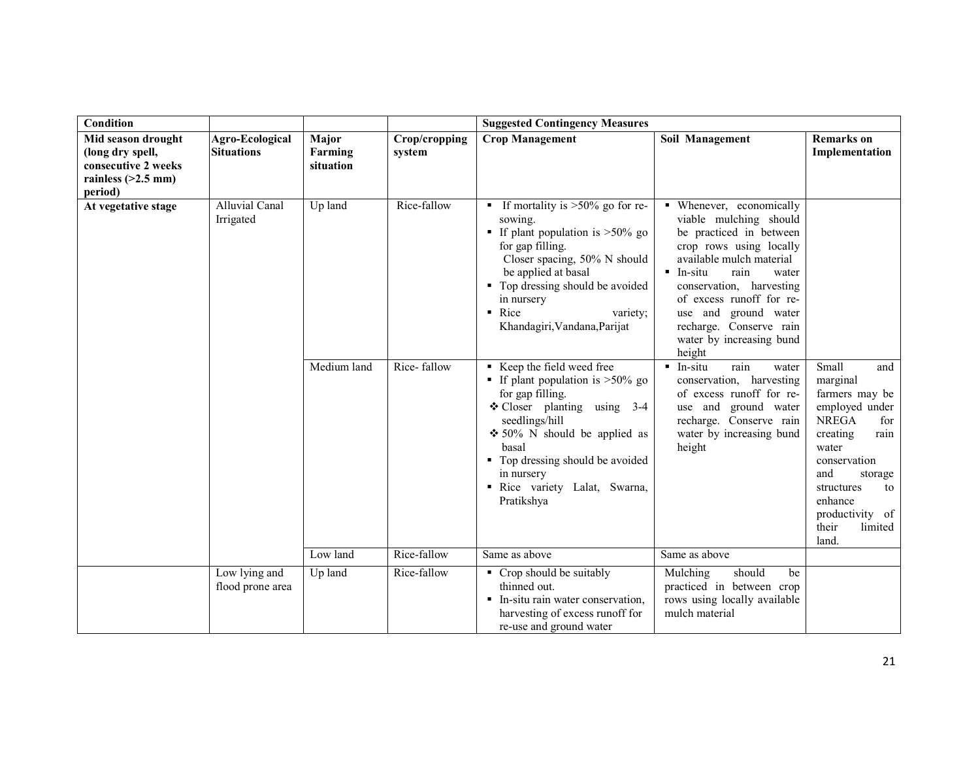| Condition                                                                                        |                                             |                               |                         | <b>Suggested Contingency Measures</b>                                                                                                                                                                                                                                                       |                                                                                                                                                                                                                                                                                                                     |                                                                                                                                                                                                                                   |
|--------------------------------------------------------------------------------------------------|---------------------------------------------|-------------------------------|-------------------------|---------------------------------------------------------------------------------------------------------------------------------------------------------------------------------------------------------------------------------------------------------------------------------------------|---------------------------------------------------------------------------------------------------------------------------------------------------------------------------------------------------------------------------------------------------------------------------------------------------------------------|-----------------------------------------------------------------------------------------------------------------------------------------------------------------------------------------------------------------------------------|
| Mid season drought<br>(long dry spell,<br>consecutive 2 weeks<br>rainless $(>2.5$ mm)<br>period) | <b>Agro-Ecological</b><br><b>Situations</b> | Major<br>Farming<br>situation | Crop/cropping<br>system | <b>Crop Management</b>                                                                                                                                                                                                                                                                      | Soil Management                                                                                                                                                                                                                                                                                                     | <b>Remarks</b> on<br>Implementation                                                                                                                                                                                               |
| At vegetative stage                                                                              | <b>Alluvial Canal</b><br>Irrigated          | Up land                       | Rice-fallow             | If mortality is $>50\%$ go for re-<br>sowing.<br>If plant population is $>50\%$ go<br>for gap filling.<br>Closer spacing, 50% N should<br>be applied at basal<br>• Top dressing should be avoided<br>in nursery<br>$\blacksquare$ Rice<br>variety;<br>Khandagiri, Vandana, Parijat          | • Whenever, economically<br>viable mulching should<br>be practiced in between<br>crop rows using locally<br>available mulch material<br>$In-situ$<br>rain<br>water<br>conservation, harvesting<br>of excess runoff for re-<br>use and ground water<br>recharge. Conserve rain<br>water by increasing bund<br>height |                                                                                                                                                                                                                                   |
|                                                                                                  |                                             | Medium land                   | Rice-fallow             | Keep the field weed free<br><b>If plant population is &gt;50% go</b><br>for gap filling.<br>$\div$ Closer planting using 3-4<br>seedlings/hill<br>$\div$ 50% N should be applied as<br>basal<br>• Top dressing should be avoided<br>in nursery<br>Rice variety Lalat, Swarna,<br>Pratikshya | $\blacksquare$ In-situ<br>rain<br>water<br>conservation, harvesting<br>of excess runoff for re-<br>use and ground water<br>recharge. Conserve rain<br>water by increasing bund<br>height                                                                                                                            | Small<br>and<br>marginal<br>farmers may be<br>employed under<br><b>NREGA</b><br>for<br>creating<br>rain<br>water<br>conservation<br>and<br>storage<br>structures<br>to<br>enhance<br>productivity of<br>limited<br>their<br>land. |
|                                                                                                  |                                             | Low land                      | Rice-fallow             | Same as above                                                                                                                                                                                                                                                                               | Same as above                                                                                                                                                                                                                                                                                                       |                                                                                                                                                                                                                                   |
|                                                                                                  | Low lying and<br>flood prone area           | Up land                       | Rice-fallow             | • Crop should be suitably<br>thinned out.<br>• In-situ rain water conservation,<br>harvesting of excess runoff for<br>re-use and ground water                                                                                                                                               | Mulching<br>should<br>be<br>practiced in between crop<br>rows using locally available<br>mulch material                                                                                                                                                                                                             |                                                                                                                                                                                                                                   |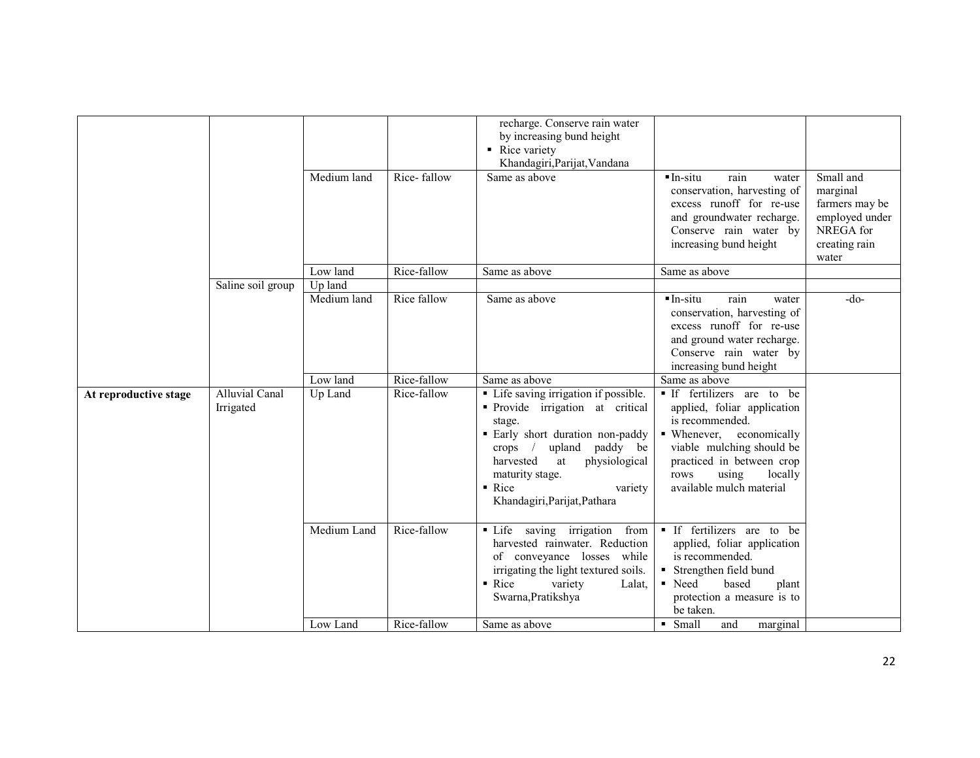|                       |                                    | Medium land            | Rice-fallow | recharge. Conserve rain water<br>by increasing bund height<br>Rice variety<br>Khandagiri, Parijat, Vandana<br>Same as above                                                                                                                                         | $In-situ$<br>rain<br>water<br>conservation, harvesting of<br>excess runoff for re-use<br>and groundwater recharge.<br>Conserve rain water by<br>increasing bund height                                                   | Small and<br>marginal<br>farmers may be<br>employed under<br>NREGA for<br>creating rain<br>water |
|-----------------------|------------------------------------|------------------------|-------------|---------------------------------------------------------------------------------------------------------------------------------------------------------------------------------------------------------------------------------------------------------------------|--------------------------------------------------------------------------------------------------------------------------------------------------------------------------------------------------------------------------|--------------------------------------------------------------------------------------------------|
|                       |                                    | Low land               | Rice-fallow | Same as above                                                                                                                                                                                                                                                       | Same as above                                                                                                                                                                                                            |                                                                                                  |
|                       | Saline soil group                  | Up land<br>Medium land | Rice fallow | Same as above                                                                                                                                                                                                                                                       | $In-situ$<br>rain<br>water<br>conservation, harvesting of<br>excess runoff for re-use<br>and ground water recharge.<br>Conserve rain water by<br>increasing bund height                                                  | $-do-$                                                                                           |
|                       |                                    | Low land               | Rice-fallow | Same as above                                                                                                                                                                                                                                                       | Same as above                                                                                                                                                                                                            |                                                                                                  |
| At reproductive stage | <b>Alluvial Canal</b><br>Irrigated | Up Land                | Rice-fallow | • Life saving irrigation if possible.<br>• Provide irrigation at critical<br>stage.<br>· Early short duration non-paddy<br>upland paddy be<br>crops $/$<br>harvested<br>physiological<br>at<br>maturity stage.<br>• Rice<br>variety<br>Khandagiri, Parijat, Pathara | If fertilizers are to be<br>applied, foliar application<br>is recommended.<br>• Whenever, economically<br>viable mulching should be<br>practiced in between crop<br>locally<br>rows<br>using<br>available mulch material |                                                                                                  |
|                       |                                    | Medium Land            | Rice-fallow | · Life saving irrigation from<br>harvested rainwater. Reduction<br>of conveyance losses while<br>irrigating the light textured soils.<br>$\blacksquare$ Rice<br>variety<br>Lalat,<br>Swarna, Pratikshya                                                             | • If fertilizers are to be<br>applied, foliar application<br>is recommended.<br>Strengthen field bund<br>■ Need<br>based<br>plant<br>protection a measure is to<br>be taken.                                             |                                                                                                  |
|                       |                                    | Low Land               | Rice-fallow | Same as above                                                                                                                                                                                                                                                       | • Small<br>and<br>marginal                                                                                                                                                                                               |                                                                                                  |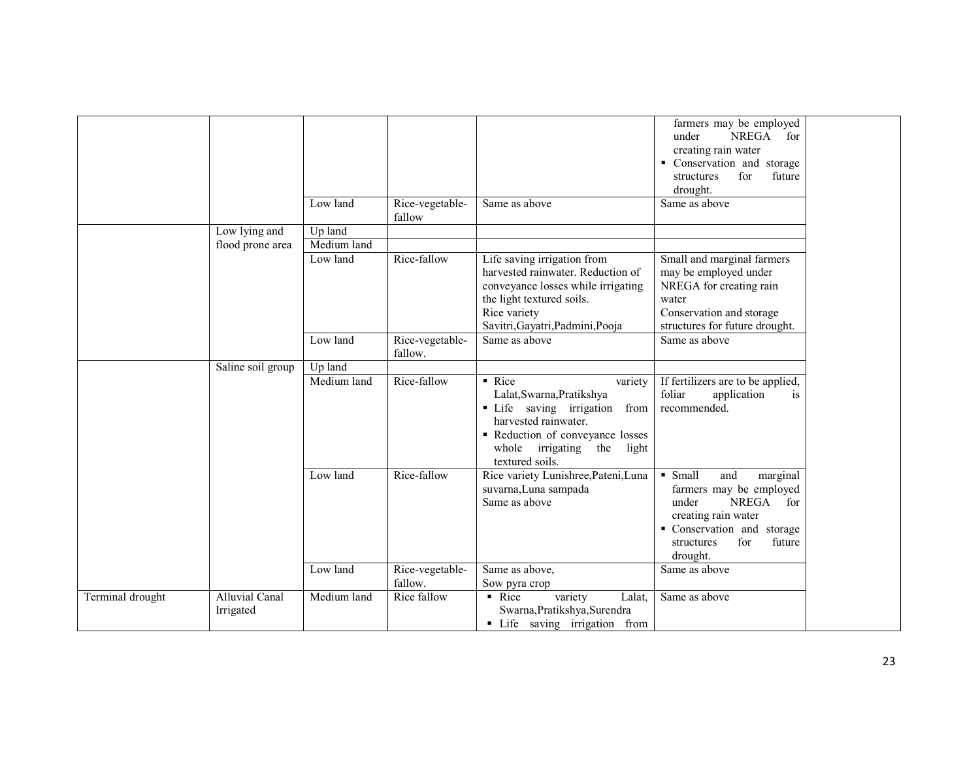|                  |                                    |                        |                            |                                                                                                                                                                                                     | farmers may be employed<br>NREGA for<br>under<br>creating rain water<br>• Conservation and storage<br>for<br>future<br>structures<br>drought.                                       |  |
|------------------|------------------------------------|------------------------|----------------------------|-----------------------------------------------------------------------------------------------------------------------------------------------------------------------------------------------------|-------------------------------------------------------------------------------------------------------------------------------------------------------------------------------------|--|
|                  |                                    | Low land               | Rice-vegetable-<br>fallow  | Same as above                                                                                                                                                                                       | Same as above                                                                                                                                                                       |  |
|                  | Low lying and<br>flood prone area  | Up land<br>Medium land |                            |                                                                                                                                                                                                     |                                                                                                                                                                                     |  |
|                  |                                    | Low land               | Rice-fallow                | Life saving irrigation from<br>harvested rainwater. Reduction of<br>conveyance losses while irrigating<br>the light textured soils.<br>Rice variety<br>Savitri, Gayatri, Padmini, Pooja             | Small and marginal farmers<br>may be employed under<br>NREGA for creating rain<br>water<br>Conservation and storage<br>structures for future drought.                               |  |
|                  |                                    | Low land               | Rice-vegetable-<br>fallow. | Same as above                                                                                                                                                                                       | Same as above                                                                                                                                                                       |  |
|                  | Saline soil group                  | Up land<br>Medium land | Rice-fallow                | • Rice<br>variety<br>Lalat, Swarna, Pratikshya<br>• Life saving irrigation<br>from<br>harvested rainwater.<br>Reduction of conveyance losses<br>whole<br>irrigating the<br>light<br>textured soils. | If fertilizers are to be applied,<br>foliar<br>application<br>1S<br>recommended.                                                                                                    |  |
|                  |                                    | Low land               | Rice-fallow                | Rice variety Lunishree, Pateni, Luna<br>suvarna, Luna sampada<br>Same as above                                                                                                                      | • Small<br>and<br>marginal<br>farmers may be employed<br>under<br><b>NREGA</b><br>for<br>creating rain water<br>Conservation and storage<br>for<br>future<br>structures<br>drought. |  |
|                  |                                    | Low land               | Rice-vegetable-<br>fallow. | Same as above,<br>Sow pyra crop                                                                                                                                                                     | Same as above                                                                                                                                                                       |  |
| Terminal drought | <b>Alluvial Canal</b><br>Irrigated | Medium land            | Rice fallow                | $\blacksquare$ Rice<br>variety<br>Lalat,<br>Swarna, Pratikshya, Surendra<br>• Life saving irrigation from                                                                                           | Same as above                                                                                                                                                                       |  |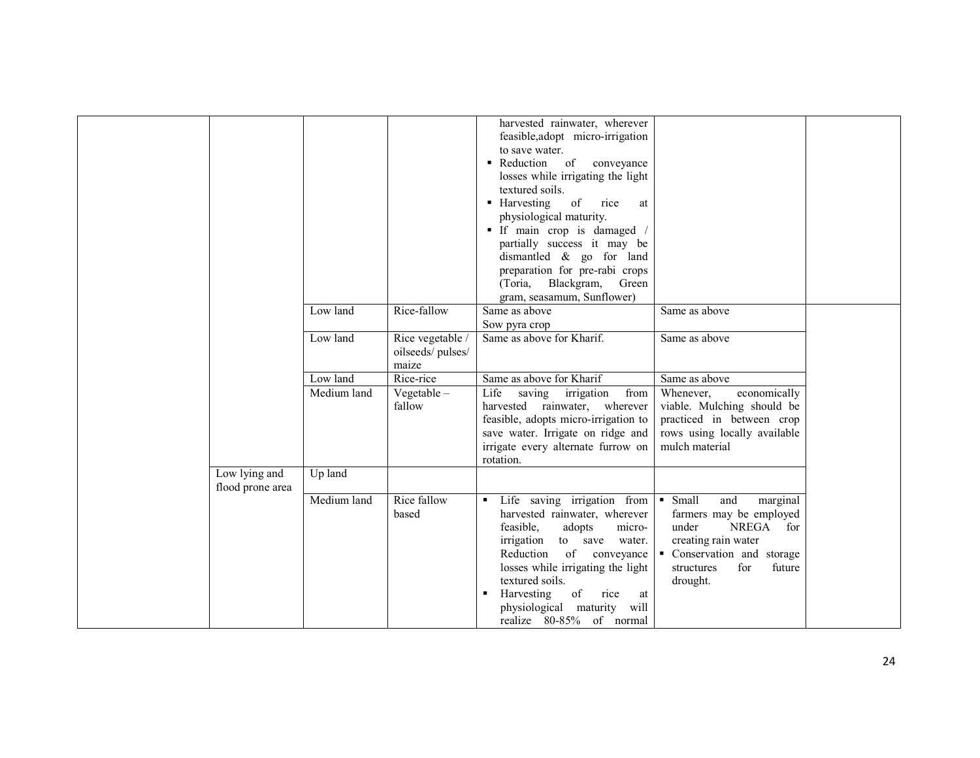|                                   |             |                                               | harvested rainwater, wherever<br>feasible, adopt micro-irrigation<br>to save water.<br>Reduction of<br>conveyance<br>losses while irrigating the light                                                                                                                                                                   |                                                                                                                                                                                |  |
|-----------------------------------|-------------|-----------------------------------------------|--------------------------------------------------------------------------------------------------------------------------------------------------------------------------------------------------------------------------------------------------------------------------------------------------------------------------|--------------------------------------------------------------------------------------------------------------------------------------------------------------------------------|--|
|                                   |             |                                               | textured soils.<br>• Harvesting<br>of<br>rice<br>at<br>physiological maturity.<br>If main crop is damaged /<br>partially success it may be<br>dismantled $\&$ go for land                                                                                                                                                |                                                                                                                                                                                |  |
|                                   |             |                                               | preparation for pre-rabi crops<br>(Toria, Blackgram, Green<br>gram, seasamum, Sunflower)                                                                                                                                                                                                                                 |                                                                                                                                                                                |  |
|                                   | Low land    | Rice-fallow                                   | Same as above<br>Sow pyra crop                                                                                                                                                                                                                                                                                           | Same as above                                                                                                                                                                  |  |
|                                   | Low land    | Rice vegetable /<br>oilseeds/pulses/<br>maize | Same as above for Kharif.                                                                                                                                                                                                                                                                                                | Same as above                                                                                                                                                                  |  |
|                                   | Low land    | Rice-rice                                     | Same as above for Kharif                                                                                                                                                                                                                                                                                                 | Same as above                                                                                                                                                                  |  |
|                                   | Medium land | Vegetable $-$<br>fallow                       | Life<br>from<br>saving<br>irrigation<br>harvested rainwater, wherever<br>feasible, adopts micro-irrigation to<br>save water. Irrigate on ridge and<br>irrigate every alternate furrow on<br>rotation.                                                                                                                    | Whenever,<br>economically<br>viable. Mulching should be<br>practiced in between crop<br>rows using locally available<br>mulch material                                         |  |
| Low lying and<br>flood prone area | Up land     |                                               |                                                                                                                                                                                                                                                                                                                          |                                                                                                                                                                                |  |
|                                   | Medium land | Rice fallow<br>based                          | Life saving irrigation from<br>٠<br>harvested rainwater, wherever<br>feasible,<br>micro-<br>adopts<br>irrigation<br>to save<br>water.<br>Reduction<br>of conveyance<br>losses while irrigating the light<br>textured soils.<br>of<br>Harvesting<br>rice<br>at<br>physiological maturity will<br>realize 80-85% of normal | • Small<br>and<br>marginal<br>farmers may be employed<br>under<br>NREGA<br>for<br>creating rain water<br>• Conservation and storage<br>structures<br>for<br>future<br>drought. |  |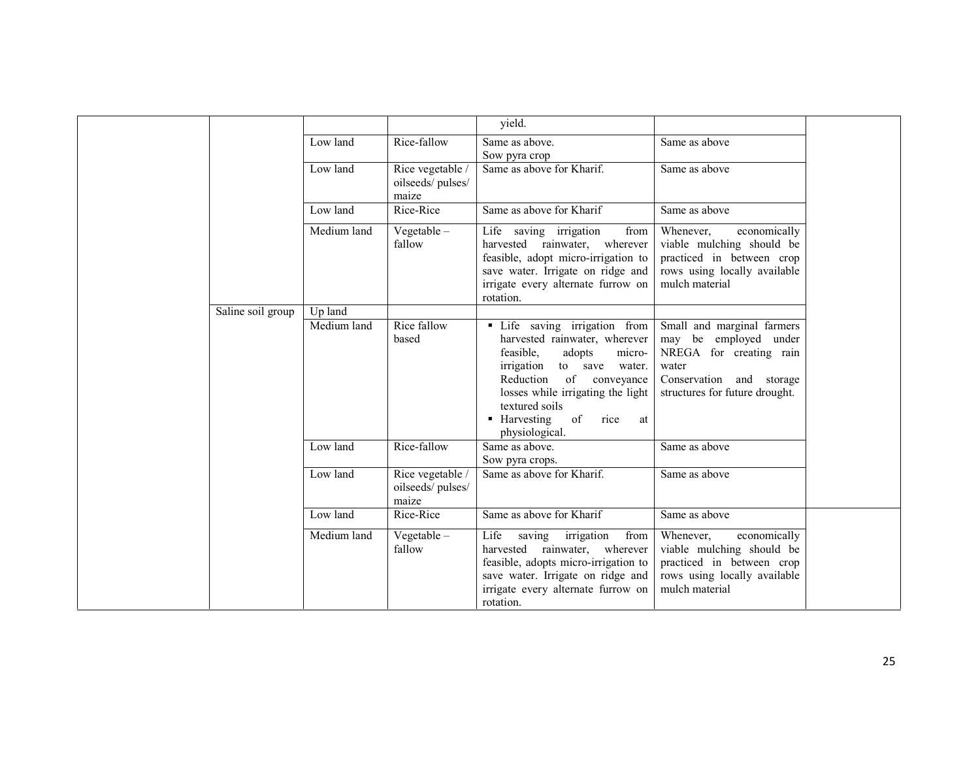|                   |             |                                               | yield.                                                                                                                                                                                                                                                                     |                                                                                                                                                       |  |
|-------------------|-------------|-----------------------------------------------|----------------------------------------------------------------------------------------------------------------------------------------------------------------------------------------------------------------------------------------------------------------------------|-------------------------------------------------------------------------------------------------------------------------------------------------------|--|
|                   | Low land    | Rice-fallow                                   | Same as above.<br>Sow pyra crop                                                                                                                                                                                                                                            | Same as above                                                                                                                                         |  |
|                   | Low land    | Rice vegetable /<br>oilseeds/pulses/<br>maize | Same as above for Kharif.                                                                                                                                                                                                                                                  | Same as above                                                                                                                                         |  |
|                   | Low land    | Rice-Rice                                     | Same as above for Kharif                                                                                                                                                                                                                                                   | Same as above                                                                                                                                         |  |
|                   | Medium land | Vegetable $-$<br>fallow                       | Life saving irrigation<br>from<br>harvested rainwater, wherever<br>feasible, adopt micro-irrigation to<br>save water. Irrigate on ridge and<br>irrigate every alternate furrow on<br>rotation.                                                                             | Whenever,<br>economically<br>viable mulching should be<br>practiced in between crop<br>rows using locally available<br>mulch material                 |  |
| Saline soil group | Up land     |                                               |                                                                                                                                                                                                                                                                            |                                                                                                                                                       |  |
|                   | Medium land | Rice fallow<br>based                          | • Life saving irrigation from<br>harvested rainwater, wherever<br>feasible,<br>adopts<br>micro-<br>irrigation<br>to save water.<br>Reduction<br>of conveyance<br>losses while irrigating the light<br>textured soils<br>• Harvesting<br>of<br>rice<br>at<br>physiological. | Small and marginal farmers<br>may be employed under<br>NREGA for creating rain<br>water<br>Conservation and storage<br>structures for future drought. |  |
|                   | Low land    | Rice-fallow                                   | Same as above.<br>Sow pyra crops.                                                                                                                                                                                                                                          | Same as above                                                                                                                                         |  |
|                   | Low land    | Rice vegetable /<br>oilseeds/pulses/<br>maize | Same as above for Kharif.                                                                                                                                                                                                                                                  | Same as above                                                                                                                                         |  |
|                   | Low land    | Rice-Rice                                     | Same as above for Kharif                                                                                                                                                                                                                                                   | Same as above                                                                                                                                         |  |
|                   | Medium land | $Vegetable -$<br>fallow                       | Life saving irrigation<br>from<br>harvested rainwater, wherever<br>feasible, adopts micro-irrigation to<br>save water. Irrigate on ridge and<br>irrigate every alternate furrow on<br>rotation.                                                                            | Whenever,<br>economically<br>viable mulching should be<br>practiced in between crop<br>rows using locally available<br>mulch material                 |  |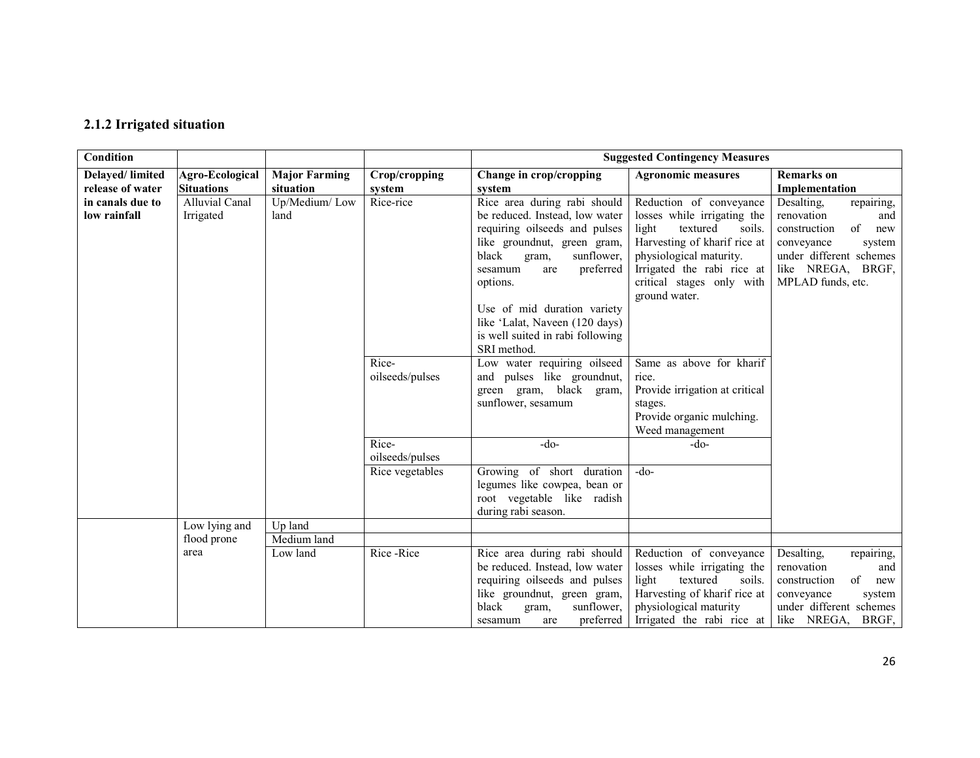## 2.1.2 Irrigated situation

| Condition              |                       |                      |                 |                                                   | <b>Suggested Contingency Measures</b> |                           |
|------------------------|-----------------------|----------------------|-----------------|---------------------------------------------------|---------------------------------------|---------------------------|
| <b>Delayed/limited</b> | Agro-Ecological       | <b>Major Farming</b> | Crop/cropping   | Change in crop/cropping                           | <b>Agronomic measures</b>             | <b>Remarks</b> on         |
| release of water       | <b>Situations</b>     | situation            | system          | system                                            |                                       | Implementation            |
| in canals due to       | <b>Alluvial Canal</b> | Up/Medium/Low        | Rice-rice       | Rice area during rabi should                      | Reduction of conveyance               | Desalting,<br>repairing,  |
| low rainfall           | Irrigated             | land                 |                 | be reduced. Instead, low water                    | losses while irrigating the           | renovation<br>and         |
|                        |                       |                      |                 | requiring oilseeds and pulses                     | textured<br>light<br>soils.           | of<br>construction<br>new |
|                        |                       |                      |                 | like groundnut, green gram,                       | Harvesting of kharif rice at          | conveyance<br>system      |
|                        |                       |                      |                 | black<br>sunflower,<br>gram,                      | physiological maturity.               | under different schemes   |
|                        |                       |                      |                 | preferred<br>sesamum<br>are                       | Irrigated the rabi rice at            | like NREGA, BRGF,         |
|                        |                       |                      |                 | options.                                          | critical stages only with             | MPLAD funds, etc.         |
|                        |                       |                      |                 | Use of mid duration variety                       | ground water.                         |                           |
|                        |                       |                      |                 | like 'Lalat, Naveen (120 days)                    |                                       |                           |
|                        |                       |                      |                 | is well suited in rabi following                  |                                       |                           |
|                        |                       |                      |                 | SRI method.                                       |                                       |                           |
|                        |                       |                      | Rice-           | Low water requiring oilseed                       | Same as above for kharif              |                           |
|                        |                       |                      | oilseeds/pulses | and pulses like groundnut,                        | rice.                                 |                           |
|                        |                       |                      |                 | green gram, black gram,                           | Provide irrigation at critical        |                           |
|                        |                       |                      |                 | sunflower, sesamum                                | stages.                               |                           |
|                        |                       |                      |                 |                                                   | Provide organic mulching.             |                           |
|                        |                       |                      |                 |                                                   | Weed management                       |                           |
|                        |                       |                      | Rice-           | $-do-$                                            | $-do-$                                |                           |
|                        |                       |                      | oilseeds/pulses |                                                   |                                       |                           |
|                        |                       |                      | Rice vegetables | Growing of short duration                         | $-do-$                                |                           |
|                        |                       |                      |                 | legumes like cowpea, bean or                      |                                       |                           |
|                        |                       |                      |                 | root vegetable like radish<br>during rabi season. |                                       |                           |
|                        | Low lying and         | Up land              |                 |                                                   |                                       |                           |
|                        | flood prone           | Medium land          |                 |                                                   |                                       |                           |
|                        | area                  | Low land             | Rice-Rice       | Rice area during rabi should                      | Reduction of conveyance               | Desalting.<br>repairing,  |
|                        |                       |                      |                 | be reduced. Instead, low water                    | losses while irrigating the           | renovation<br>and         |
|                        |                       |                      |                 | requiring oilseeds and pulses                     | light<br>textured<br>soils.           | of<br>construction<br>new |
|                        |                       |                      |                 | like groundnut, green gram,                       | Harvesting of kharif rice at          | conveyance<br>system      |
|                        |                       |                      |                 | black<br>sunflower,<br>gram,                      | physiological maturity                | under different schemes   |
|                        |                       |                      |                 | preferred<br>sesamum<br>are                       | Irrigated the rabi rice at            | like NREGA, BRGF,         |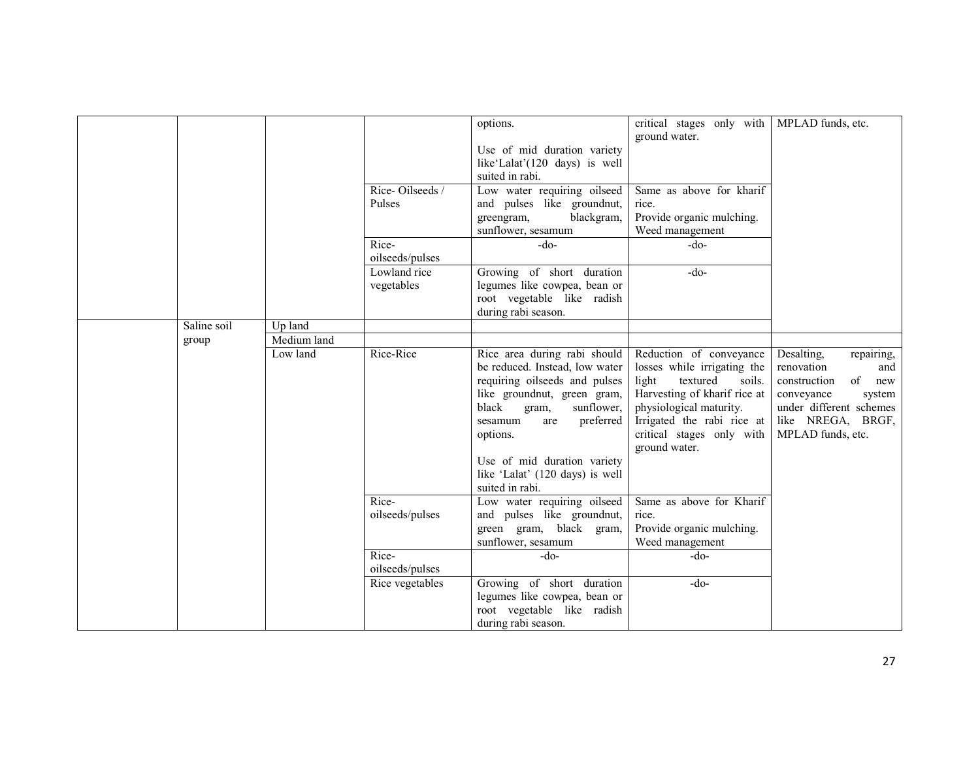|             |             |                 | options.                        | critical stages only with   MPLAD funds, etc.<br>ground water. |                          |
|-------------|-------------|-----------------|---------------------------------|----------------------------------------------------------------|--------------------------|
|             |             |                 | Use of mid duration variety     |                                                                |                          |
|             |             |                 | like'Lalat'(120 days) is well   |                                                                |                          |
|             |             |                 | suited in rabi.                 |                                                                |                          |
|             |             | Rice-Oilseeds/  | Low water requiring oilseed     | Same as above for kharif                                       |                          |
|             |             | Pulses          | and pulses like groundnut,      | rice.                                                          |                          |
|             |             |                 | greengram,<br>blackgram,        | Provide organic mulching.                                      |                          |
|             |             |                 | sunflower, sesamum              | Weed management                                                |                          |
|             |             | Rice-           | $-do-$                          | $-do-$                                                         |                          |
|             |             | oilseeds/pulses |                                 |                                                                |                          |
|             |             | Lowland rice    | Growing of short duration       | $-do-$                                                         |                          |
|             |             | vegetables      | legumes like cowpea, bean or    |                                                                |                          |
|             |             |                 | root vegetable like radish      |                                                                |                          |
|             |             |                 | during rabi season.             |                                                                |                          |
| Saline soil | Up land     |                 |                                 |                                                                |                          |
| group       | Medium land |                 |                                 |                                                                |                          |
|             | Low land    | Rice-Rice       | Rice area during rabi should    | Reduction of conveyance                                        | Desalting,<br>repairing, |
|             |             |                 | be reduced. Instead, low water  | losses while irrigating the                                    | renovation<br>and        |
|             |             |                 | requiring oilseeds and pulses   | light<br>textured<br>soils.                                    | of new<br>construction   |
|             |             |                 | like groundnut, green gram,     | Harvesting of kharif rice at                                   | conveyance<br>system     |
|             |             |                 | black<br>gram,<br>sunflower,    | physiological maturity.                                        | under different schemes  |
|             |             |                 | sesamum<br>preferred<br>are     | Irrigated the rabi rice at                                     | like NREGA, BRGF,        |
|             |             |                 | options.                        | critical stages only with                                      | MPLAD funds, etc.        |
|             |             |                 | Use of mid duration variety     | ground water.                                                  |                          |
|             |             |                 | like 'Lalat' (120 days) is well |                                                                |                          |
|             |             |                 | suited in rabi.                 |                                                                |                          |
|             |             | Rice-           | Low water requiring oilseed     | Same as above for Kharif                                       |                          |
|             |             | oilseeds/pulses | and pulses like groundnut,      | rice.                                                          |                          |
|             |             |                 | green gram, black gram,         | Provide organic mulching.                                      |                          |
|             |             |                 | sunflower, sesamum              | Weed management                                                |                          |
|             |             | Rice-           | $-do-$                          | -do-                                                           |                          |
|             |             | oilseeds/pulses |                                 |                                                                |                          |
|             |             | Rice vegetables | Growing of short duration       | $-do-$                                                         |                          |
|             |             |                 | legumes like cowpea, bean or    |                                                                |                          |
|             |             |                 | root vegetable like radish      |                                                                |                          |
|             |             |                 | during rabi season.             |                                                                |                          |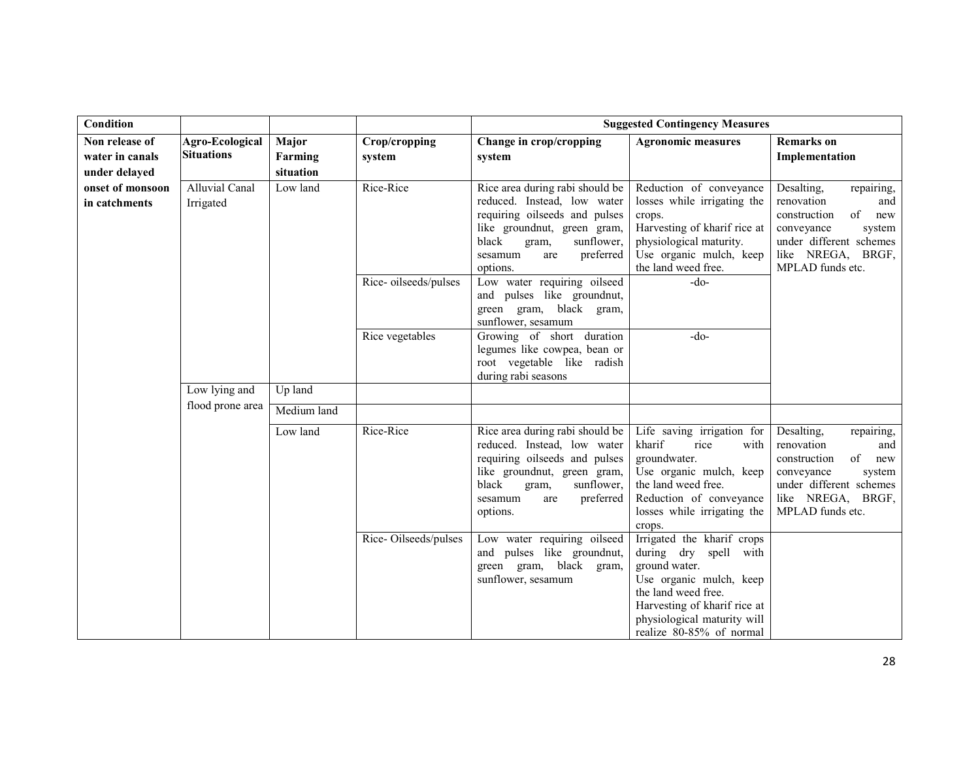| Condition                         |                                    |             |                      |                                                                                                                                                                                                           | <b>Suggested Contingency Measures</b>                                                                                                                                                                             |                                                                                                                                                                        |
|-----------------------------------|------------------------------------|-------------|----------------------|-----------------------------------------------------------------------------------------------------------------------------------------------------------------------------------------------------------|-------------------------------------------------------------------------------------------------------------------------------------------------------------------------------------------------------------------|------------------------------------------------------------------------------------------------------------------------------------------------------------------------|
| Non release of                    | Agro-Ecological                    | Major       | Crop/cropping        | Change in crop/cropping                                                                                                                                                                                   | <b>Agronomic measures</b>                                                                                                                                                                                         | <b>Remarks</b> on                                                                                                                                                      |
| water in canals                   | <b>Situations</b>                  | Farming     | system               | system                                                                                                                                                                                                    |                                                                                                                                                                                                                   | Implementation                                                                                                                                                         |
| under delayed                     |                                    | situation   |                      |                                                                                                                                                                                                           |                                                                                                                                                                                                                   |                                                                                                                                                                        |
| onset of monsoon<br>in catchments | <b>Alluvial Canal</b><br>Irrigated | Low land    | Rice-Rice            | Rice area during rabi should be<br>reduced. Instead, low water<br>requiring oilseeds and pulses<br>like groundnut, green gram,<br>black<br>sunflower,<br>gram,<br>preferred<br>sesamum<br>are<br>options. | Reduction of conveyance<br>losses while irrigating the<br>crops.<br>Harvesting of kharif rice at<br>physiological maturity.<br>Use organic mulch, keep<br>the land weed free.                                     | Desalting,<br>repairing,<br>renovation<br>and<br>of<br>construction<br>new<br>conveyance<br>system<br>under different schemes<br>like NREGA, BRGF,<br>MPLAD funds etc. |
|                                   |                                    |             | Rice-oilseeds/pulses | Low water requiring oilseed<br>and pulses like groundnut,<br>green gram, black gram,<br>sunflower, sesamum                                                                                                | $-do-$                                                                                                                                                                                                            |                                                                                                                                                                        |
|                                   |                                    |             | Rice vegetables      | Growing of short duration<br>legumes like cowpea, bean or<br>root vegetable like radish<br>during rabi seasons                                                                                            | $-do-$                                                                                                                                                                                                            |                                                                                                                                                                        |
|                                   | Low lying and                      | Up land     |                      |                                                                                                                                                                                                           |                                                                                                                                                                                                                   |                                                                                                                                                                        |
|                                   | flood prone area                   | Medium land |                      |                                                                                                                                                                                                           |                                                                                                                                                                                                                   |                                                                                                                                                                        |
|                                   |                                    | Low land    | Rice-Rice            | Rice area during rabi should be<br>reduced. Instead, low water<br>requiring oilseeds and pulses<br>like groundnut, green gram,<br>black<br>sunflower,<br>gram,<br>preferred<br>sesamum<br>are<br>options. | Life saving irrigation for<br>kharif<br>rice<br>with<br>groundwater.<br>Use organic mulch, keep<br>the land weed free.<br>Reduction of conveyance<br>losses while irrigating the<br>crops.                        | Desalting,<br>repairing,<br>renovation<br>and<br>of<br>construction<br>new<br>conveyance<br>system<br>under different schemes<br>like NREGA, BRGF,<br>MPLAD funds etc. |
|                                   |                                    |             | Rice-Oilseeds/pulses | Low water requiring oilseed<br>and pulses like groundnut,<br>green gram, black gram,<br>sunflower, sesamum                                                                                                | Irrigated the kharif crops<br>during dry spell with<br>ground water.<br>Use organic mulch, keep<br>the land weed free.<br>Harvesting of kharif rice at<br>physiological maturity will<br>realize 80-85% of normal |                                                                                                                                                                        |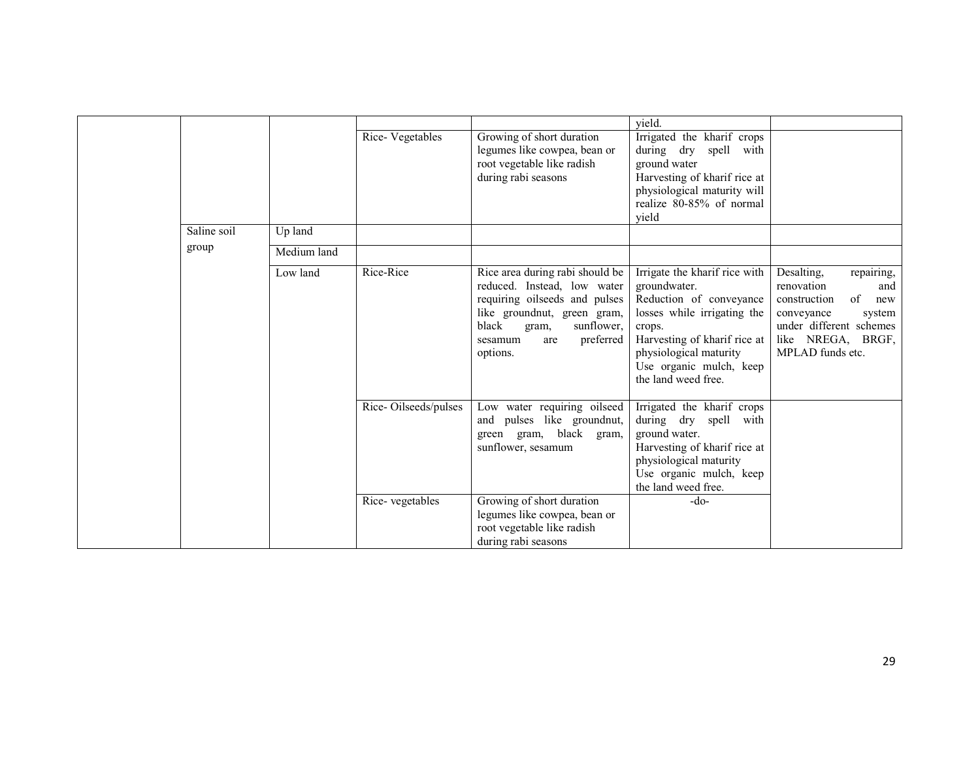|             |             |                      |                                                                                                                                                                                                           | yield.                                                                                                                                                                                                                        |                                                                                                                                                                        |
|-------------|-------------|----------------------|-----------------------------------------------------------------------------------------------------------------------------------------------------------------------------------------------------------|-------------------------------------------------------------------------------------------------------------------------------------------------------------------------------------------------------------------------------|------------------------------------------------------------------------------------------------------------------------------------------------------------------------|
|             |             | Rice-Vegetables      | Growing of short duration<br>legumes like cowpea, bean or<br>root vegetable like radish<br>during rabi seasons                                                                                            | Irrigated the kharif crops<br>during dry<br>spell with<br>ground water<br>Harvesting of kharif rice at<br>physiological maturity will<br>realize 80-85% of normal<br>yield                                                    |                                                                                                                                                                        |
| Saline soil | Up land     |                      |                                                                                                                                                                                                           |                                                                                                                                                                                                                               |                                                                                                                                                                        |
| group       | Medium land |                      |                                                                                                                                                                                                           |                                                                                                                                                                                                                               |                                                                                                                                                                        |
|             | Low land    | Rice-Rice            | Rice area during rabi should be<br>reduced. Instead, low water<br>requiring oilseeds and pulses<br>like groundnut, green gram,<br>black<br>sunflower.<br>gram,<br>preferred<br>sesamum<br>are<br>options. | Irrigate the kharif rice with<br>groundwater.<br>Reduction of conveyance<br>losses while irrigating the<br>crops.<br>Harvesting of kharif rice at<br>physiological maturity<br>Use organic mulch, keep<br>the land weed free. | Desalting,<br>repairing,<br>renovation<br>and<br>of<br>construction<br>new<br>conveyance<br>system<br>under different schemes<br>like NREGA, BRGF,<br>MPLAD funds etc. |
|             |             | Rice-Oilseeds/pulses | Low water requiring oilseed<br>and pulses like groundnut,<br>green gram, black gram,<br>sunflower, sesamum                                                                                                | Irrigated the kharif crops<br>during dry spell with<br>ground water.<br>Harvesting of kharif rice at<br>physiological maturity<br>Use organic mulch, keep<br>the land weed free.                                              |                                                                                                                                                                        |
|             |             | Rice-vegetables      | Growing of short duration<br>legumes like cowpea, bean or<br>root vegetable like radish<br>during rabi seasons                                                                                            | $-do-$                                                                                                                                                                                                                        |                                                                                                                                                                        |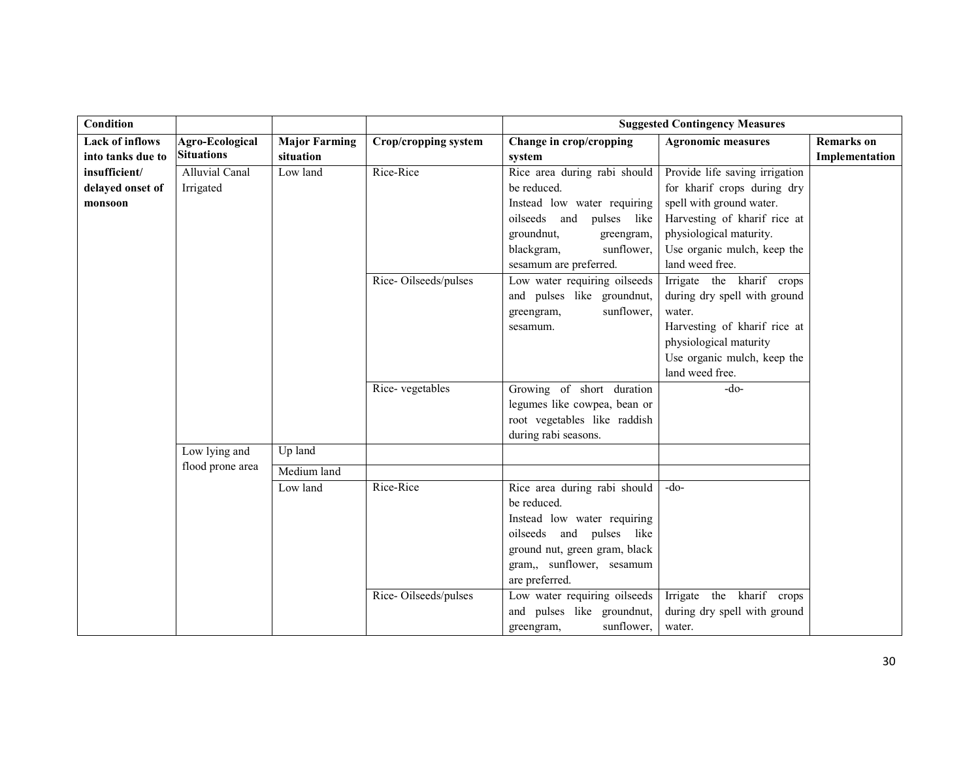| Condition              |                   |                      |                             | <b>Suggested Contingency Measures</b>                   |                                |                   |
|------------------------|-------------------|----------------------|-----------------------------|---------------------------------------------------------|--------------------------------|-------------------|
| <b>Lack of inflows</b> | Agro-Ecological   | <b>Major Farming</b> | <b>Crop/cropping system</b> | Change in crop/cropping                                 | <b>Agronomic measures</b>      | <b>Remarks</b> on |
| into tanks due to      | <b>Situations</b> | situation            |                             | system                                                  |                                | Implementation    |
| insufficient/          | Alluvial Canal    | Low land             | Rice-Rice                   | Rice area during rabi should                            | Provide life saving irrigation |                   |
| delayed onset of       | Irrigated         |                      |                             | be reduced.                                             | for kharif crops during dry    |                   |
| monsoon                |                   |                      |                             | Instead low water requiring                             | spell with ground water.       |                   |
|                        |                   |                      |                             | oilseeds and pulses like                                | Harvesting of kharif rice at   |                   |
|                        |                   |                      |                             | groundnut,<br>greengram,                                | physiological maturity.        |                   |
|                        |                   |                      |                             | sunflower,<br>blackgram,                                | Use organic mulch, keep the    |                   |
|                        |                   |                      |                             | sesamum are preferred.                                  | land weed free.                |                   |
|                        |                   |                      | Rice-Oilseeds/pulses        | Low water requiring oilseeds                            | Irrigate the kharif crops      |                   |
|                        |                   |                      |                             | and pulses like groundnut,                              | during dry spell with ground   |                   |
|                        |                   |                      |                             | sunflower,<br>greengram,                                | water.                         |                   |
|                        |                   |                      |                             | sesamum.                                                | Harvesting of kharif rice at   |                   |
|                        |                   |                      |                             |                                                         | physiological maturity         |                   |
|                        |                   |                      |                             |                                                         | Use organic mulch, keep the    |                   |
|                        |                   |                      |                             |                                                         | land weed free.                |                   |
|                        |                   |                      | Rice-vegetables             | Growing of short duration                               | $-do-$                         |                   |
|                        |                   |                      |                             | legumes like cowpea, bean or                            |                                |                   |
|                        |                   |                      |                             | root vegetables like raddish                            |                                |                   |
|                        |                   |                      |                             | during rabi seasons.                                    |                                |                   |
|                        | Low lying and     | Up land              |                             |                                                         |                                |                   |
|                        | flood prone area  | Medium land          |                             |                                                         |                                |                   |
|                        |                   | Low land             | Rice-Rice                   | Rice area during rabi should                            | $-do-$                         |                   |
|                        |                   |                      |                             | be reduced.                                             |                                |                   |
|                        |                   |                      |                             | Instead low water requiring<br>oilseeds and pulses like |                                |                   |
|                        |                   |                      |                             | ground nut, green gram, black                           |                                |                   |
|                        |                   |                      |                             | gram,, sunflower, sesamum                               |                                |                   |
|                        |                   |                      |                             | are preferred.                                          |                                |                   |
|                        |                   |                      | Rice-Oilseeds/pulses        | Low water requiring oilseeds                            | Irrigate the kharif crops      |                   |
|                        |                   |                      |                             | and pulses like groundnut,                              | during dry spell with ground   |                   |
|                        |                   |                      |                             | sunflower,<br>greengram,                                | water.                         |                   |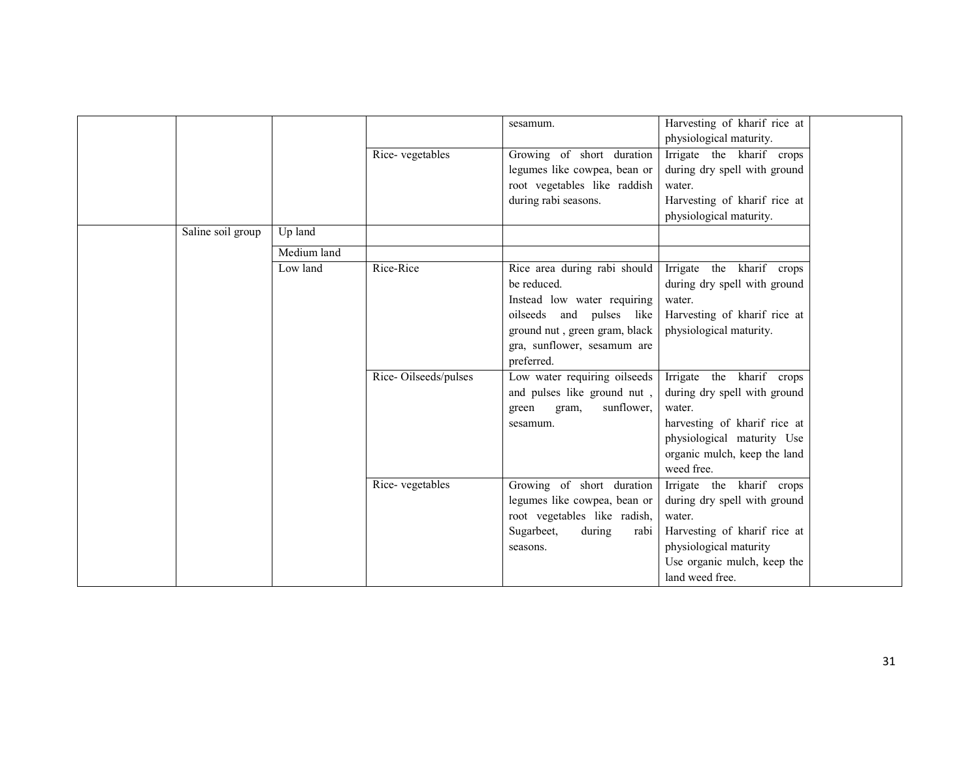|                   |             |                      | sesamum.                      | Harvesting of kharif rice at |
|-------------------|-------------|----------------------|-------------------------------|------------------------------|
|                   |             |                      |                               | physiological maturity.      |
|                   |             | Rice-vegetables      | Growing of short duration     | Irrigate the kharif crops    |
|                   |             |                      | legumes like cowpea, bean or  | during dry spell with ground |
|                   |             |                      | root vegetables like raddish  | water.                       |
|                   |             |                      | during rabi seasons.          | Harvesting of kharif rice at |
|                   |             |                      |                               | physiological maturity.      |
| Saline soil group | Up land     |                      |                               |                              |
|                   | Medium land |                      |                               |                              |
|                   | Low land    | Rice-Rice            | Rice area during rabi should  | Irrigate the kharif crops    |
|                   |             |                      | be reduced.                   | during dry spell with ground |
|                   |             |                      | Instead low water requiring   | water.                       |
|                   |             |                      | oilseeds and pulses like      | Harvesting of kharif rice at |
|                   |             |                      | ground nut, green gram, black | physiological maturity.      |
|                   |             |                      | gra, sunflower, sesamum are   |                              |
|                   |             |                      | preferred.                    |                              |
|                   |             | Rice-Oilseeds/pulses | Low water requiring oilseeds  | Irrigate the kharif crops    |
|                   |             |                      | and pulses like ground nut,   | during dry spell with ground |
|                   |             |                      | sunflower,<br>green<br>gram,  | water.                       |
|                   |             |                      | sesamum.                      | harvesting of kharif rice at |
|                   |             |                      |                               | physiological maturity Use   |
|                   |             |                      |                               | organic mulch, keep the land |
|                   |             |                      |                               | weed free.                   |
|                   |             | Rice-vegetables      | Growing of short duration     | Irrigate the kharif crops    |
|                   |             |                      | legumes like cowpea, bean or  | during dry spell with ground |
|                   |             |                      | root vegetables like radish,  | water.                       |
|                   |             |                      | Sugarbeet,<br>during<br>rabi  | Harvesting of kharif rice at |
|                   |             |                      | seasons.                      | physiological maturity       |
|                   |             |                      |                               | Use organic mulch, keep the  |
|                   |             |                      |                               | land weed free.              |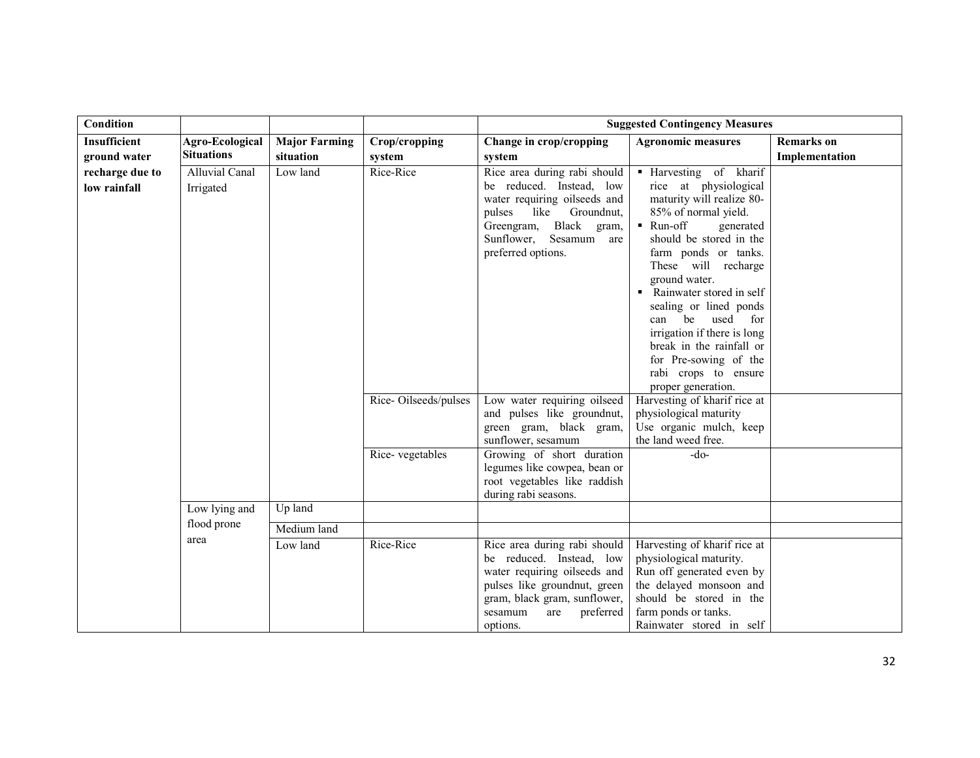| <b>Condition</b>                |                                    |                      |                      | <b>Suggested Contingency Measures</b>                                                                                                                                                                    |                                                                                                                                                                                                                                                                                                                                                                                                                                              |                   |  |
|---------------------------------|------------------------------------|----------------------|----------------------|----------------------------------------------------------------------------------------------------------------------------------------------------------------------------------------------------------|----------------------------------------------------------------------------------------------------------------------------------------------------------------------------------------------------------------------------------------------------------------------------------------------------------------------------------------------------------------------------------------------------------------------------------------------|-------------------|--|
| <b>Insufficient</b>             | Agro-Ecological                    | <b>Major Farming</b> | Crop/cropping        | Change in crop/cropping                                                                                                                                                                                  | <b>Agronomic measures</b>                                                                                                                                                                                                                                                                                                                                                                                                                    | <b>Remarks</b> on |  |
| ground water                    | <b>Situations</b>                  | situation            | system               | system                                                                                                                                                                                                   |                                                                                                                                                                                                                                                                                                                                                                                                                                              | Implementation    |  |
| recharge due to<br>low rainfall | <b>Alluvial Canal</b><br>Irrigated | Low land             | Rice-Rice            | Rice area during rabi should<br>be reduced. Instead, low<br>water requiring oilseeds and<br>pulses<br>like<br>Groundnut,<br>Greengram, Black<br>gram,<br>Sunflower, Sesamum<br>are<br>preferred options. | • Harvesting of kharif<br>rice at physiological<br>maturity will realize 80-<br>85% of normal yield.<br>■ Run-off<br>generated<br>should be stored in the<br>farm ponds or tanks.<br>These will recharge<br>ground water.<br>• Rainwater stored in self<br>sealing or lined ponds<br>used for<br>be<br>can<br>irrigation if there is long<br>break in the rainfall or<br>for Pre-sowing of the<br>rabi crops to ensure<br>proper generation. |                   |  |
|                                 |                                    |                      | Rice-Oilseeds/pulses | Low water requiring oilseed<br>and pulses like groundnut,<br>green gram, black gram,<br>sunflower, sesamum                                                                                               | Harvesting of kharif rice at<br>physiological maturity<br>Use organic mulch, keep<br>the land weed free.                                                                                                                                                                                                                                                                                                                                     |                   |  |
|                                 |                                    |                      | Rice-vegetables      | Growing of short duration<br>legumes like cowpea, bean or<br>root vegetables like raddish<br>during rabi seasons.                                                                                        | $-do-$                                                                                                                                                                                                                                                                                                                                                                                                                                       |                   |  |
|                                 | Low lying and                      | Up land              |                      |                                                                                                                                                                                                          |                                                                                                                                                                                                                                                                                                                                                                                                                                              |                   |  |
|                                 | flood prone                        | Medium land          |                      |                                                                                                                                                                                                          |                                                                                                                                                                                                                                                                                                                                                                                                                                              |                   |  |
|                                 | area                               | Low land             | Rice-Rice            | Rice area during rabi should<br>be reduced. Instead, low<br>water requiring oilseeds and<br>pulses like groundnut, green<br>gram, black gram, sunflower,<br>are<br>preferred<br>sesamum<br>options.      | Harvesting of kharif rice at<br>physiological maturity.<br>Run off generated even by<br>the delayed monsoon and<br>should be stored in the<br>farm ponds or tanks.<br>Rainwater stored in self                                                                                                                                                                                                                                               |                   |  |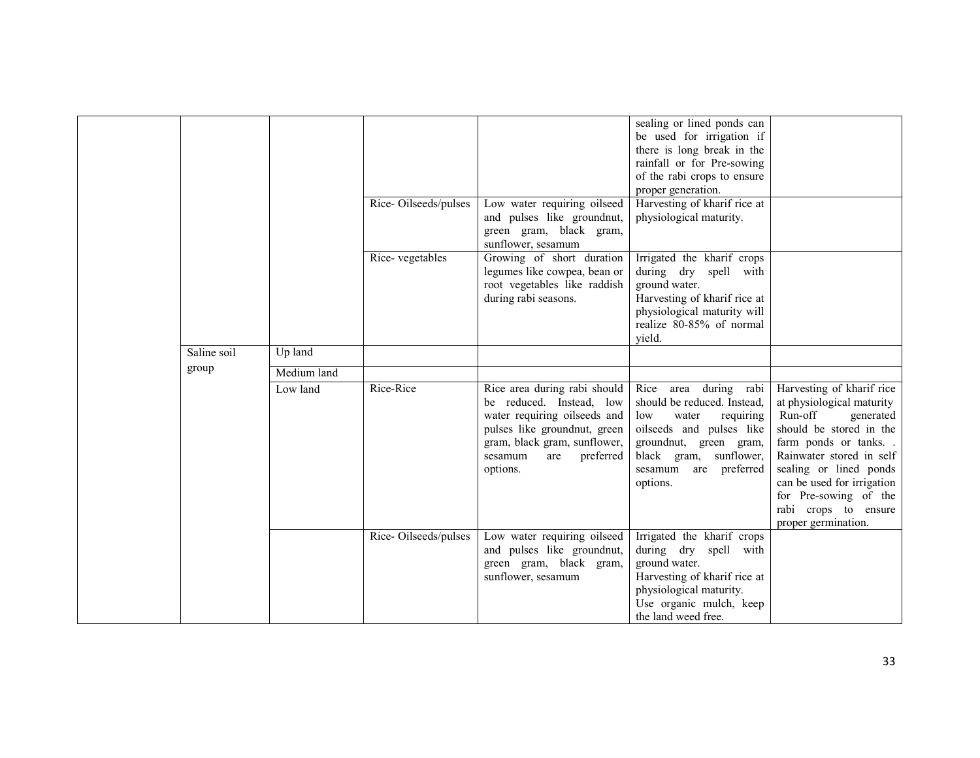|             |             |                      |                                                                                                                                                                                                     | sealing or lined ponds can<br>be used for irrigation if                                                                                                                                                   |                                                                                                                                                                                                                                                                                              |
|-------------|-------------|----------------------|-----------------------------------------------------------------------------------------------------------------------------------------------------------------------------------------------------|-----------------------------------------------------------------------------------------------------------------------------------------------------------------------------------------------------------|----------------------------------------------------------------------------------------------------------------------------------------------------------------------------------------------------------------------------------------------------------------------------------------------|
|             |             |                      |                                                                                                                                                                                                     | there is long break in the                                                                                                                                                                                |                                                                                                                                                                                                                                                                                              |
|             |             |                      |                                                                                                                                                                                                     | rainfall or for Pre-sowing                                                                                                                                                                                |                                                                                                                                                                                                                                                                                              |
|             |             |                      |                                                                                                                                                                                                     | of the rabi crops to ensure                                                                                                                                                                               |                                                                                                                                                                                                                                                                                              |
|             |             |                      |                                                                                                                                                                                                     | proper generation.                                                                                                                                                                                        |                                                                                                                                                                                                                                                                                              |
|             |             | Rice-Oilseeds/pulses | Low water requiring oilseed                                                                                                                                                                         | Harvesting of kharif rice at                                                                                                                                                                              |                                                                                                                                                                                                                                                                                              |
|             |             |                      | and pulses like groundnut,<br>green gram, black gram,                                                                                                                                               | physiological maturity.                                                                                                                                                                                   |                                                                                                                                                                                                                                                                                              |
|             |             |                      | sunflower, sesamum                                                                                                                                                                                  |                                                                                                                                                                                                           |                                                                                                                                                                                                                                                                                              |
|             |             | Rice-vegetables      | Growing of short duration                                                                                                                                                                           | Irrigated the kharif crops                                                                                                                                                                                |                                                                                                                                                                                                                                                                                              |
|             |             |                      | legumes like cowpea, bean or                                                                                                                                                                        | during dry spell with                                                                                                                                                                                     |                                                                                                                                                                                                                                                                                              |
|             |             |                      | root vegetables like raddish                                                                                                                                                                        | ground water.                                                                                                                                                                                             |                                                                                                                                                                                                                                                                                              |
|             |             |                      | during rabi seasons.                                                                                                                                                                                | Harvesting of kharif rice at                                                                                                                                                                              |                                                                                                                                                                                                                                                                                              |
|             |             |                      |                                                                                                                                                                                                     | physiological maturity will                                                                                                                                                                               |                                                                                                                                                                                                                                                                                              |
|             |             |                      |                                                                                                                                                                                                     | realize 80-85% of normal                                                                                                                                                                                  |                                                                                                                                                                                                                                                                                              |
| Saline soil | Up land     |                      |                                                                                                                                                                                                     | vield.                                                                                                                                                                                                    |                                                                                                                                                                                                                                                                                              |
|             |             |                      |                                                                                                                                                                                                     |                                                                                                                                                                                                           |                                                                                                                                                                                                                                                                                              |
| group       | Medium land |                      |                                                                                                                                                                                                     |                                                                                                                                                                                                           |                                                                                                                                                                                                                                                                                              |
|             | Low land    | Rice-Rice            | Rice area during rabi should<br>be reduced. Instead, low<br>water requiring oilseeds and<br>pulses like groundnut, green<br>gram, black gram, sunflower,<br>preferred<br>sesamum<br>are<br>options. | Rice area during rabi<br>should be reduced. Instead,<br>water<br>requiring<br>low<br>oilseeds and pulses like<br>groundnut, green gram,<br>black gram, sunflower,<br>sesamum<br>are preferred<br>options. | Harvesting of kharif rice<br>at physiological maturity<br>Run-off<br>generated<br>should be stored in the<br>farm ponds or tanks<br>Rainwater stored in self<br>sealing or lined ponds<br>can be used for irrigation<br>for Pre-sowing of the<br>rabi crops to ensure<br>proper germination. |
|             |             | Rice-Oilseeds/pulses | Low water requiring oilseed<br>and pulses like groundnut,<br>green gram, black gram,<br>sunflower, sesamum                                                                                          | Irrigated the kharif crops<br>during dry spell with<br>ground water.<br>Harvesting of kharif rice at<br>physiological maturity.                                                                           |                                                                                                                                                                                                                                                                                              |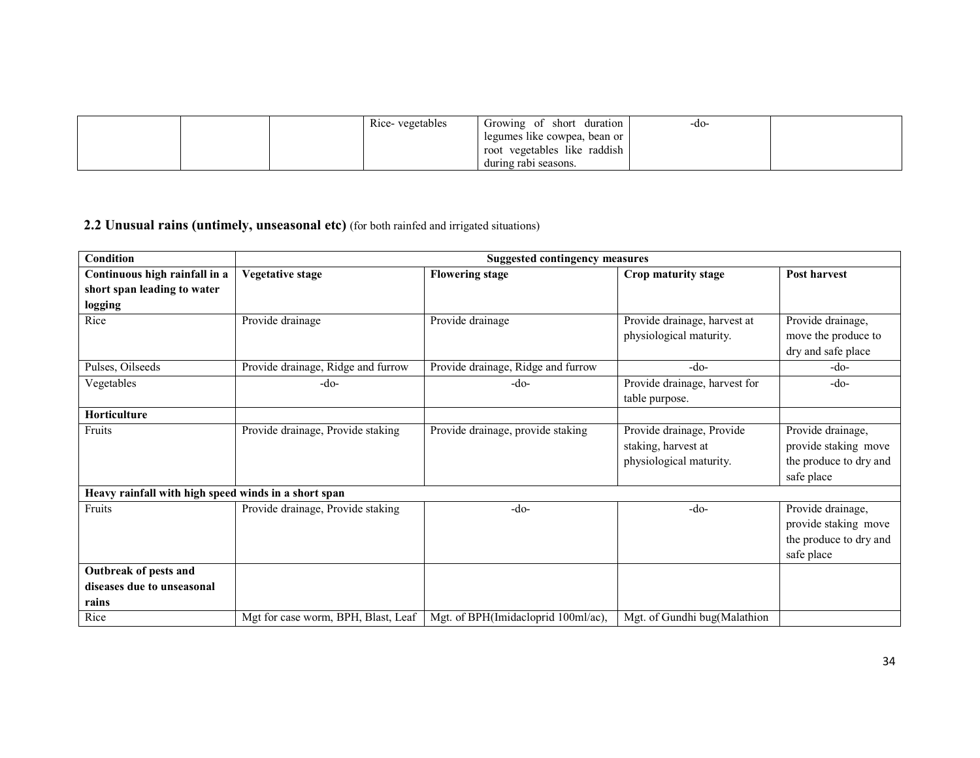|  | Rice-vegetables | Growing of short duration      | -do- |  |
|--|-----------------|--------------------------------|------|--|
|  |                 | legumes like cowpea, bean or 1 |      |  |
|  |                 | root vegetables like raddish   |      |  |
|  |                 | during rabi seasons.           |      |  |

#### **2.2 Unusual rains (untimely, unseasonal etc)** (for both rainfed and irrigated situations)

| <b>Condition</b>                                     | <b>Suggested contingency measures</b> |                                     |                               |                        |  |  |  |
|------------------------------------------------------|---------------------------------------|-------------------------------------|-------------------------------|------------------------|--|--|--|
| Continuous high rainfall in a                        | <b>Vegetative stage</b>               | <b>Flowering stage</b>              | Crop maturity stage           | Post harvest           |  |  |  |
| short span leading to water                          |                                       |                                     |                               |                        |  |  |  |
| logging                                              |                                       |                                     |                               |                        |  |  |  |
| Rice                                                 | Provide drainage                      | Provide drainage                    | Provide drainage, harvest at  | Provide drainage,      |  |  |  |
|                                                      |                                       |                                     | physiological maturity.       | move the produce to    |  |  |  |
|                                                      |                                       |                                     |                               | dry and safe place     |  |  |  |
| Pulses, Oilseeds                                     | Provide drainage, Ridge and furrow    | Provide drainage, Ridge and furrow  | $-do-$                        | $-do-$                 |  |  |  |
| Vegetables                                           | $-do-$                                | -do-                                | Provide drainage, harvest for | -do-                   |  |  |  |
|                                                      |                                       |                                     | table purpose.                |                        |  |  |  |
| Horticulture                                         |                                       |                                     |                               |                        |  |  |  |
| Fruits                                               | Provide drainage, Provide staking     | Provide drainage, provide staking   | Provide drainage, Provide     | Provide drainage,      |  |  |  |
|                                                      |                                       |                                     | staking, harvest at           | provide staking move   |  |  |  |
|                                                      |                                       |                                     | physiological maturity.       | the produce to dry and |  |  |  |
|                                                      |                                       |                                     |                               | safe place             |  |  |  |
| Heavy rainfall with high speed winds in a short span |                                       |                                     |                               |                        |  |  |  |
| Fruits                                               | Provide drainage, Provide staking     | $-do-$                              | $-do-$                        | Provide drainage,      |  |  |  |
|                                                      |                                       |                                     |                               | provide staking move   |  |  |  |
|                                                      |                                       |                                     |                               | the produce to dry and |  |  |  |
|                                                      |                                       |                                     |                               | safe place             |  |  |  |
| Outbreak of pests and                                |                                       |                                     |                               |                        |  |  |  |
| diseases due to unseasonal                           |                                       |                                     |                               |                        |  |  |  |
| rains                                                |                                       |                                     |                               |                        |  |  |  |
| Rice                                                 | Mgt for case worm, BPH, Blast, Leaf   | Mgt. of BPH(Imidacloprid 100ml/ac), | Mgt. of Gundhi bug(Malathion  |                        |  |  |  |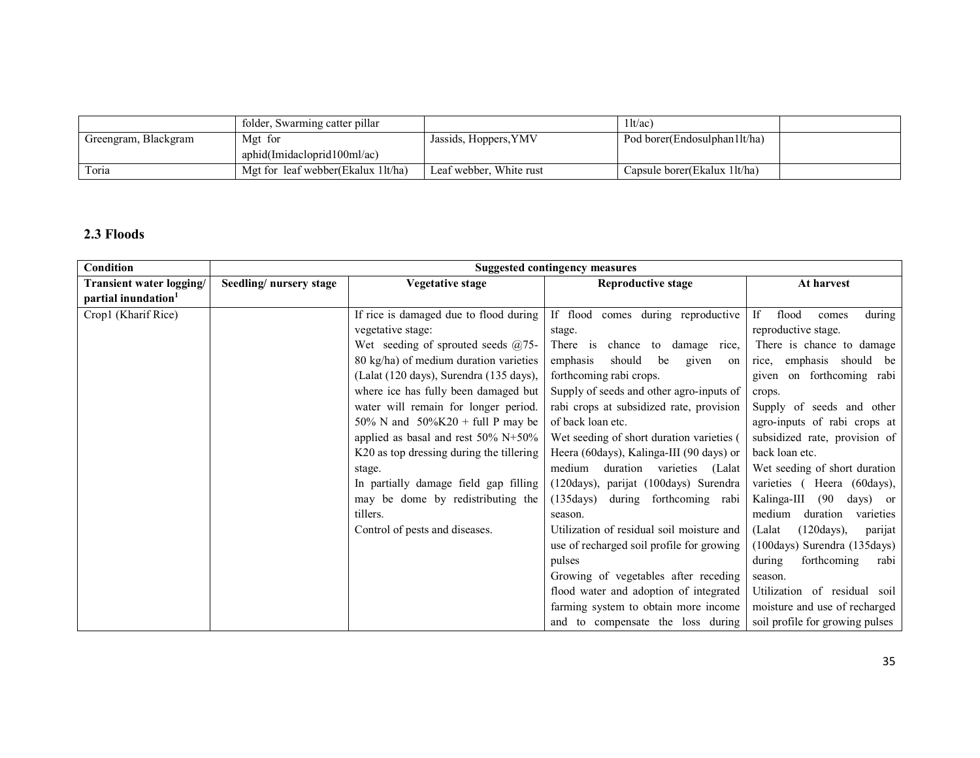|                      | folder, Swarming catter pillar     |                         | 11t/ac                         |  |
|----------------------|------------------------------------|-------------------------|--------------------------------|--|
| Greengram, Blackgram | Mgt for                            | Jassids, Hoppers, YMV   | Pod borer(Endosulphan1lt/ha)   |  |
|                      | aphid(Imidacloprid100ml/ac)        |                         |                                |  |
| Toria                | Mgt for leaf webber(Ekalux 1lt/ha) | Leaf webber, White rust | Capsule borer (Ekalux 1 lt/ha) |  |

# 2.3 Floods

| Condition                       | <b>Suggested contingency measures</b> |                                                 |                                                |                                                  |  |
|---------------------------------|---------------------------------------|-------------------------------------------------|------------------------------------------------|--------------------------------------------------|--|
| Transient water logging/        | Seedling/nursery stage                | Vegetative stage                                | Reproductive stage                             | At harvest                                       |  |
| partial inundation <sup>1</sup> |                                       |                                                 |                                                |                                                  |  |
| Crop1 (Kharif Rice)             |                                       | If rice is damaged due to flood during          | If flood comes during reproductive             | during<br>flood<br>If<br>comes                   |  |
|                                 |                                       | vegetative stage:                               | stage.                                         | reproductive stage.                              |  |
|                                 |                                       | Wet seeding of sprouted seeds $(2)$ 75-         | There is<br>chance to damage rice,             | There is chance to damage                        |  |
|                                 |                                       | 80 kg/ha) of medium duration varieties          | should<br>emphasis<br>be<br>given<br>on        | emphasis should be<br>rice,                      |  |
|                                 |                                       | (Lalat (120 days), Surendra (135 days),         | forthcoming rabi crops.                        | given on forthcoming rabi                        |  |
|                                 |                                       | where ice has fully been damaged but            | Supply of seeds and other agro-inputs of       | crops.                                           |  |
|                                 |                                       | water will remain for longer period.            | rabi crops at subsidized rate, provision       | Supply of seeds and other                        |  |
|                                 |                                       | 50% N and $50\%K20 + \text{full}$ P may be      | of back loan etc.                              | agro-inputs of rabi crops at                     |  |
|                                 |                                       | applied as basal and rest $50\% \text{ N}+50\%$ | Wet seeding of short duration varieties (      | subsidized rate, provision of                    |  |
|                                 |                                       | K20 as top dressing during the tillering        | Heera (60days), Kalinga-III (90 days) or       | back loan etc.                                   |  |
|                                 |                                       | stage.                                          | medium<br>duration<br>varieties (Lalat         | Wet seeding of short duration                    |  |
|                                 |                                       | In partially damage field gap filling           | (120days), parijat (100days) Surendra          | varieties (Heera (60days),                       |  |
|                                 |                                       | may be dome by redistributing the               | $(135 \text{days})$<br>during forthcoming rabi | Kalinga-III<br>(90)<br>days) or                  |  |
|                                 |                                       | tillers.                                        | season.                                        | medium<br>duration<br>varieties                  |  |
|                                 |                                       | Control of pests and diseases.                  | Utilization of residual soil moisture and      | $(120 \text{days})$ ,<br>(Lalat<br>parijat       |  |
|                                 |                                       |                                                 | use of recharged soil profile for growing      | $(100 \text{days})$ Surendra $(135 \text{days})$ |  |
|                                 |                                       |                                                 | pulses                                         | during<br>forthcoming<br>rabi                    |  |
|                                 |                                       |                                                 | Growing of vegetables after receding           | season.                                          |  |
|                                 |                                       |                                                 | flood water and adoption of integrated         | Utilization of residual soil                     |  |
|                                 |                                       |                                                 | farming system to obtain more income           | moisture and use of recharged                    |  |
|                                 |                                       |                                                 | and to compensate the loss during              | soil profile for growing pulses                  |  |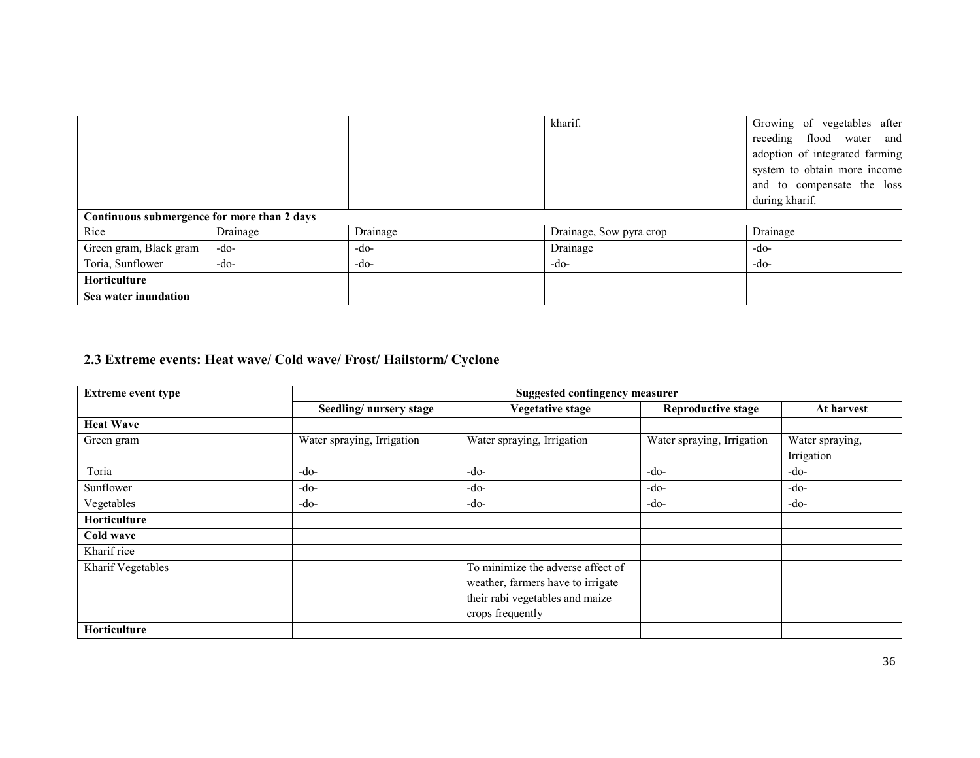|                                             |          |          | kharif.                 | Growing of vegetables after    |
|---------------------------------------------|----------|----------|-------------------------|--------------------------------|
|                                             |          |          |                         | receding flood water and       |
|                                             |          |          |                         | adoption of integrated farming |
|                                             |          |          |                         | system to obtain more income   |
|                                             |          |          |                         | and to compensate the loss     |
|                                             |          |          |                         | during kharif.                 |
| Continuous submergence for more than 2 days |          |          |                         |                                |
| Rice                                        | Drainage | Drainage | Drainage, Sow pyra crop | Drainage                       |
| Green gram, Black gram                      | $-do-$   | -do-     | Drainage                | -do-                           |
| Toria, Sunflower                            | $-do-$   | -do-     | -do-                    | -do-                           |
| Horticulture                                |          |          |                         |                                |
| Sea water inundation                        |          |          |                         |                                |

## 2.3 Extreme events: Heat wave/ Cold wave/ Frost/ Hailstorm/ Cyclone

| <b>Extreme event type</b> |                            | <b>Suggested contingency measurer</b>                                                                                         |                            |                               |  |  |  |  |
|---------------------------|----------------------------|-------------------------------------------------------------------------------------------------------------------------------|----------------------------|-------------------------------|--|--|--|--|
|                           | Seedling/nursery stage     | <b>Vegetative stage</b>                                                                                                       | <b>Reproductive stage</b>  | At harvest                    |  |  |  |  |
| <b>Heat Wave</b>          |                            |                                                                                                                               |                            |                               |  |  |  |  |
| Green gram                | Water spraying, Irrigation | Water spraying, Irrigation                                                                                                    | Water spraying, Irrigation | Water spraying,<br>Irrigation |  |  |  |  |
| Toria                     | $-do-$                     | $-do-$                                                                                                                        | $-do-$                     | -do-                          |  |  |  |  |
| Sunflower                 | $-do-$                     | -do-                                                                                                                          | -do-                       | -do-                          |  |  |  |  |
| Vegetables                | $-do-$                     | $-do-$                                                                                                                        | $-do-$                     | $-do-$                        |  |  |  |  |
| <b>Horticulture</b>       |                            |                                                                                                                               |                            |                               |  |  |  |  |
| Cold wave                 |                            |                                                                                                                               |                            |                               |  |  |  |  |
| Kharif rice               |                            |                                                                                                                               |                            |                               |  |  |  |  |
| Kharif Vegetables         |                            | To minimize the adverse affect of<br>weather, farmers have to irrigate<br>their rabi vegetables and maize<br>crops frequently |                            |                               |  |  |  |  |
| <b>Horticulture</b>       |                            |                                                                                                                               |                            |                               |  |  |  |  |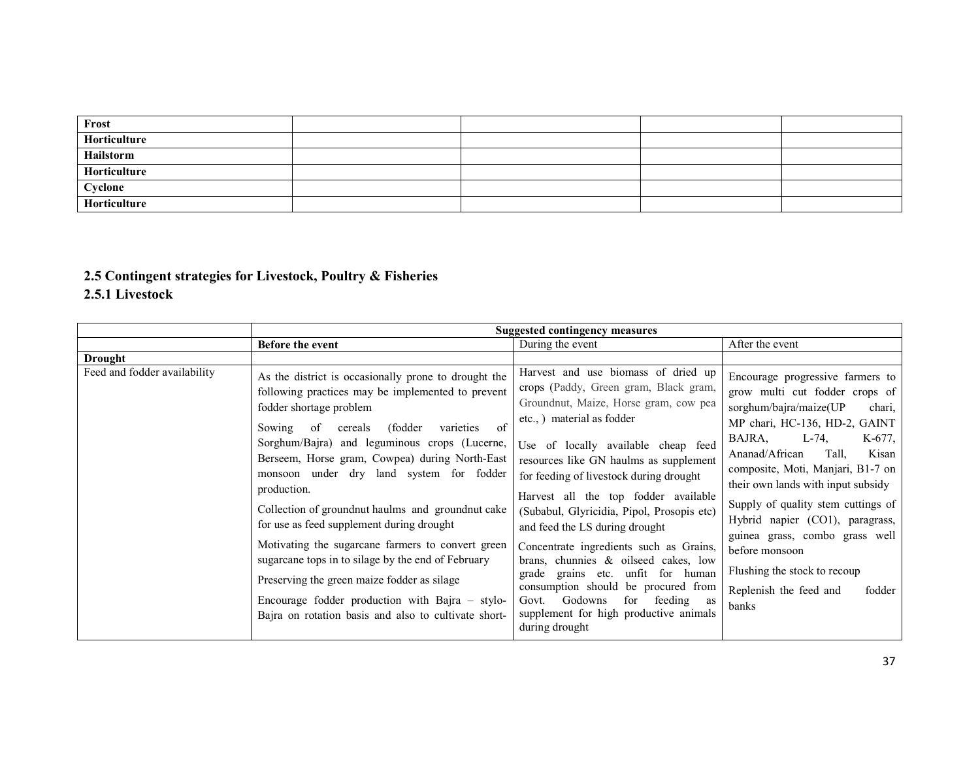| Frost        |  |  |
|--------------|--|--|
| Horticulture |  |  |
| Hailstorm    |  |  |
| Horticulture |  |  |
| Cyclone      |  |  |
| Horticulture |  |  |

# 2.5 Contingent strategies for Livestock, Poultry & Fisheries

# 2.5.1 Livestock

|                              | <b>Suggested contingency measures</b>                                                                                                                                                                                                                                                                                                                                                                                                                                                                                                                                                                                                                                                                                                   |                                                                                                                                                                                                                                                                                                                                                                                                                                                                                                                                                                                                                                                                          |                                                                                                                                                                                                                                                                                                                                                                                                                                                                                                     |  |  |
|------------------------------|-----------------------------------------------------------------------------------------------------------------------------------------------------------------------------------------------------------------------------------------------------------------------------------------------------------------------------------------------------------------------------------------------------------------------------------------------------------------------------------------------------------------------------------------------------------------------------------------------------------------------------------------------------------------------------------------------------------------------------------------|--------------------------------------------------------------------------------------------------------------------------------------------------------------------------------------------------------------------------------------------------------------------------------------------------------------------------------------------------------------------------------------------------------------------------------------------------------------------------------------------------------------------------------------------------------------------------------------------------------------------------------------------------------------------------|-----------------------------------------------------------------------------------------------------------------------------------------------------------------------------------------------------------------------------------------------------------------------------------------------------------------------------------------------------------------------------------------------------------------------------------------------------------------------------------------------------|--|--|
|                              | Before the event                                                                                                                                                                                                                                                                                                                                                                                                                                                                                                                                                                                                                                                                                                                        | During the event                                                                                                                                                                                                                                                                                                                                                                                                                                                                                                                                                                                                                                                         | After the event                                                                                                                                                                                                                                                                                                                                                                                                                                                                                     |  |  |
| Drought                      |                                                                                                                                                                                                                                                                                                                                                                                                                                                                                                                                                                                                                                                                                                                                         |                                                                                                                                                                                                                                                                                                                                                                                                                                                                                                                                                                                                                                                                          |                                                                                                                                                                                                                                                                                                                                                                                                                                                                                                     |  |  |
| Feed and fodder availability | As the district is occasionally prone to drought the<br>following practices may be implemented to prevent<br>fodder shortage problem<br>(fodder)<br>of<br>of<br>Sowing<br>varieties<br>cereals<br>Sorghum/Bajra) and leguminous crops (Lucerne,<br>Berseem, Horse gram, Cowpea) during North-East<br>monsoon under dry land system for fodder<br>production.<br>Collection of ground nut haulms and ground nut cake<br>for use as feed supplement during drought<br>Motivating the sugarcane farmers to convert green<br>sugarcane tops in to silage by the end of February<br>Preserving the green maize fodder as silage<br>Encourage fodder production with Bajra $-$ stylo-<br>Bajra on rotation basis and also to cultivate short- | Harvest and use biomass of dried up<br>crops (Paddy, Green gram, Black gram,<br>Groundnut, Maize, Horse gram, cow pea<br>etc., ) material as fodder<br>Use of locally available cheap feed<br>resources like GN haulms as supplement<br>for feeding of livestock during drought<br>Harvest all the top fodder available<br>(Subabul, Glyricidia, Pipol, Prosopis etc)<br>and feed the LS during drought<br>Concentrate ingredients such as Grains,<br>brans, chunnies $\&$ oilseed cakes, low<br>grade grains etc. unfit for human<br>consumption should be procured from<br>Govt. Godowns<br>for feeding as<br>supplement for high productive animals<br>during drought | Encourage progressive farmers to<br>grow multi cut fodder crops of<br>sorghum/bajra/maize(UP<br>chari,<br>MP chari, HC-136, HD-2, GAINT<br>BAJRA.<br>$L-74$ ,<br>$K-677$ .<br>Ananad/African<br>Tall.<br>Kisan<br>composite, Moti, Manjari, B1-7 on<br>their own lands with input subsidy<br>Supply of quality stem cuttings of<br>Hybrid napier (CO1), paragrass,<br>guinea grass, combo grass well<br>before monsoon<br>Flushing the stock to recoup<br>Replenish the feed and<br>fodder<br>banks |  |  |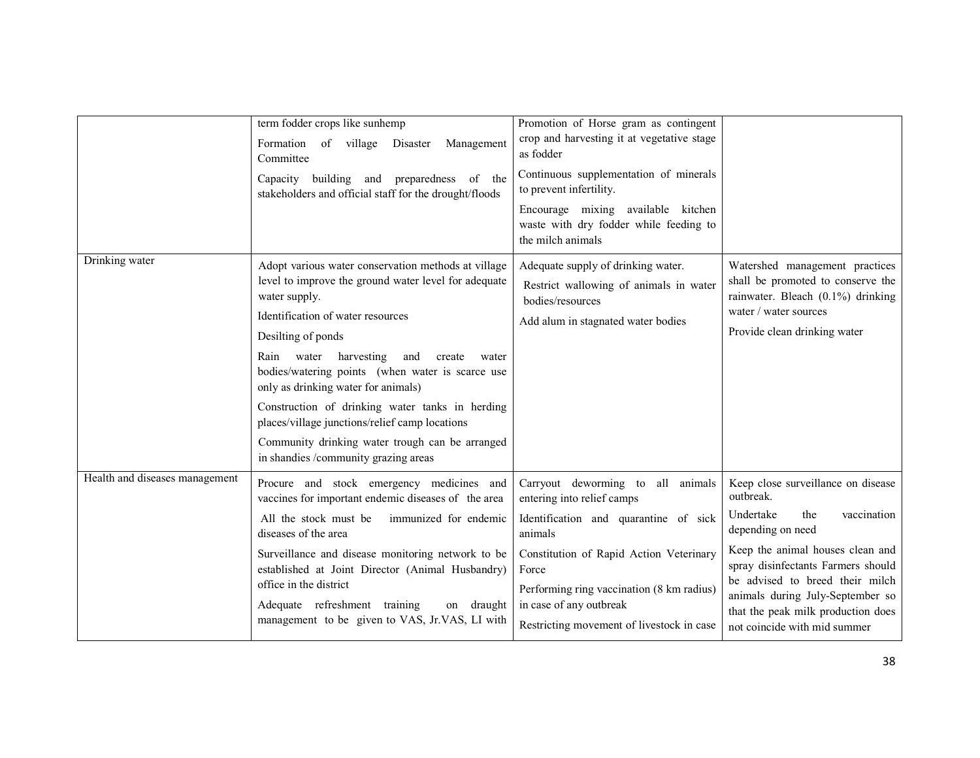|                                | term fodder crops like sunhemp<br>Formation of village<br>Management<br>Disaster<br>Committee<br>Capacity building and preparedness of the<br>stakeholders and official staff for the drought/floods                                                                                                                                                                                                                                                                                                                                        | Promotion of Horse gram as contingent<br>crop and harvesting it at vegetative stage<br>as fodder<br>Continuous supplementation of minerals<br>to prevent infertility.<br>Encourage mixing available kitchen<br>waste with dry fodder while feeding to<br>the milch animals                   |                                                                                                                                                                                                                                                                                                                                |
|--------------------------------|---------------------------------------------------------------------------------------------------------------------------------------------------------------------------------------------------------------------------------------------------------------------------------------------------------------------------------------------------------------------------------------------------------------------------------------------------------------------------------------------------------------------------------------------|----------------------------------------------------------------------------------------------------------------------------------------------------------------------------------------------------------------------------------------------------------------------------------------------|--------------------------------------------------------------------------------------------------------------------------------------------------------------------------------------------------------------------------------------------------------------------------------------------------------------------------------|
| Drinking water                 | Adopt various water conservation methods at village<br>level to improve the ground water level for adequate<br>water supply.<br>Identification of water resources<br>Desilting of ponds<br>harvesting<br>Rain<br>water<br>and<br>create<br>water<br>bodies/watering points (when water is scarce use<br>only as drinking water for animals)<br>Construction of drinking water tanks in herding<br>places/village junctions/relief camp locations<br>Community drinking water trough can be arranged<br>in shandies /community grazing areas | Adequate supply of drinking water.<br>Restrict wallowing of animals in water<br>bodies/resources<br>Add alum in stagnated water bodies                                                                                                                                                       | Watershed management practices<br>shall be promoted to conserve the<br>rainwater. Bleach (0.1%) drinking<br>water / water sources<br>Provide clean drinking water                                                                                                                                                              |
| Health and diseases management | Procure and stock emergency medicines and<br>vaccines for important endemic diseases of the area<br>All the stock must be<br>immunized for endemic<br>diseases of the area<br>Surveillance and disease monitoring network to be<br>established at Joint Director (Animal Husbandry)<br>office in the district<br>Adequate refreshment training<br>on draught<br>management to be given to VAS, Jr.VAS, LI with                                                                                                                              | Carryout deworming to all animals<br>entering into relief camps<br>Identification and quarantine of sick<br>animals<br>Constitution of Rapid Action Veterinary<br>Force<br>Performing ring vaccination (8 km radius)<br>in case of any outbreak<br>Restricting movement of livestock in case | Keep close surveillance on disease<br>outbreak.<br>Undertake<br>the<br>vaccination<br>depending on need<br>Keep the animal houses clean and<br>spray disinfectants Farmers should<br>be advised to breed their milch<br>animals during July-September so<br>that the peak milk production does<br>not coincide with mid summer |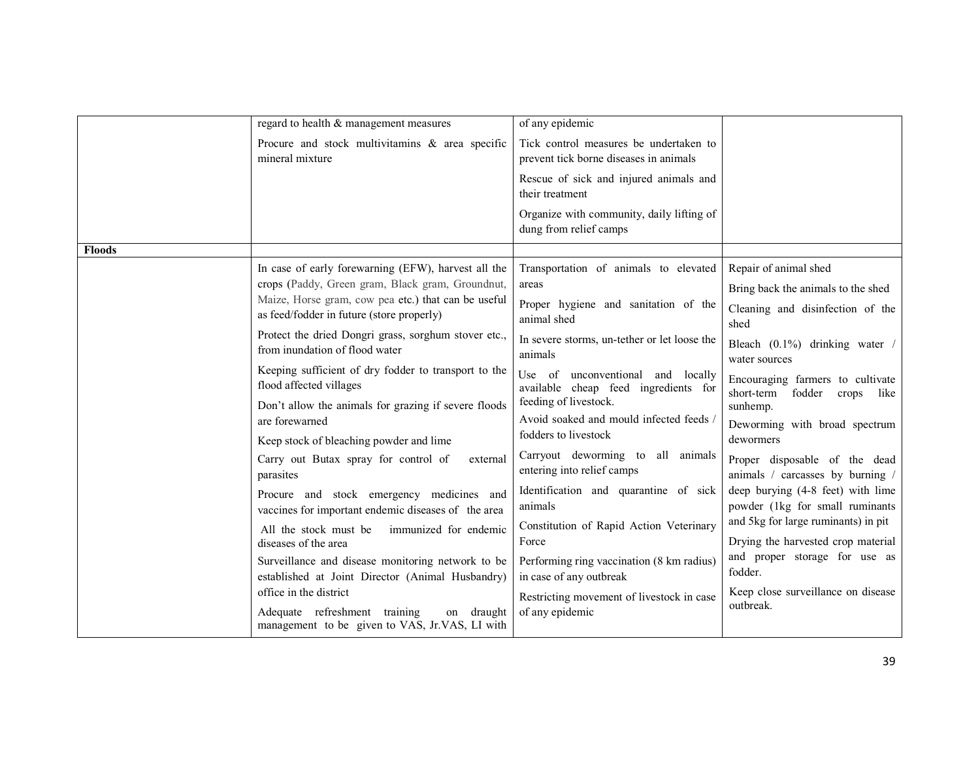|               | regard to health & management measures                                                                                                                                                                                                                                                                                                                                                                                                                                                                                                                            | of any epidemic                                                                                                                                                                                                                                                                                                                                                                                                 |                                                                                                                                                                                                                                                                                                                                       |
|---------------|-------------------------------------------------------------------------------------------------------------------------------------------------------------------------------------------------------------------------------------------------------------------------------------------------------------------------------------------------------------------------------------------------------------------------------------------------------------------------------------------------------------------------------------------------------------------|-----------------------------------------------------------------------------------------------------------------------------------------------------------------------------------------------------------------------------------------------------------------------------------------------------------------------------------------------------------------------------------------------------------------|---------------------------------------------------------------------------------------------------------------------------------------------------------------------------------------------------------------------------------------------------------------------------------------------------------------------------------------|
|               |                                                                                                                                                                                                                                                                                                                                                                                                                                                                                                                                                                   |                                                                                                                                                                                                                                                                                                                                                                                                                 |                                                                                                                                                                                                                                                                                                                                       |
|               | Procure and stock multivitamins & area specific<br>mineral mixture                                                                                                                                                                                                                                                                                                                                                                                                                                                                                                | Tick control measures be undertaken to<br>prevent tick borne diseases in animals                                                                                                                                                                                                                                                                                                                                |                                                                                                                                                                                                                                                                                                                                       |
|               |                                                                                                                                                                                                                                                                                                                                                                                                                                                                                                                                                                   | Rescue of sick and injured animals and<br>their treatment                                                                                                                                                                                                                                                                                                                                                       |                                                                                                                                                                                                                                                                                                                                       |
|               |                                                                                                                                                                                                                                                                                                                                                                                                                                                                                                                                                                   | Organize with community, daily lifting of<br>dung from relief camps                                                                                                                                                                                                                                                                                                                                             |                                                                                                                                                                                                                                                                                                                                       |
| <b>Floods</b> |                                                                                                                                                                                                                                                                                                                                                                                                                                                                                                                                                                   |                                                                                                                                                                                                                                                                                                                                                                                                                 |                                                                                                                                                                                                                                                                                                                                       |
|               | In case of early forewarning (EFW), harvest all the<br>crops (Paddy, Green gram, Black gram, Groundnut,<br>Maize, Horse gram, cow pea etc.) that can be useful<br>as feed/fodder in future (store properly)<br>Protect the dried Dongri grass, sorghum stover etc.,<br>from inundation of flood water<br>Keeping sufficient of dry fodder to transport to the<br>flood affected villages<br>Don't allow the animals for grazing if severe floods<br>are forewarned<br>Keep stock of bleaching powder and lime<br>Carry out Butax spray for control of<br>external | Transportation of animals to elevated<br>areas<br>Proper hygiene and sanitation of the<br>animal shed<br>In severe storms, un-tether or let loose the<br>animals<br>Use of<br>unconventional and locally<br>available cheap feed ingredients for<br>feeding of livestock.<br>Avoid soaked and mould infected feeds /<br>fodders to livestock<br>Carryout deworming to all animals<br>entering into relief camps | Repair of animal shed<br>Bring back the animals to the shed<br>Cleaning and disinfection of the<br>shed<br>Bleach $(0.1\%)$ drinking water /<br>water sources<br>Encouraging farmers to cultivate<br>short-term<br>fodder<br>crops<br>like<br>sunhemp.<br>Deworming with broad spectrum<br>dewormers<br>Proper disposable of the dead |
|               | parasites<br>Procure and stock emergency medicines and<br>vaccines for important endemic diseases of the area<br>All the stock must be<br>immunized for endemic<br>diseases of the area<br>Surveillance and disease monitoring network to be<br>established at Joint Director (Animal Husbandry)<br>office in the district<br>Adequate refreshment training<br>on draught<br>management to be given to VAS, Jr.VAS, LI with                                                                                                                                       | Identification and quarantine of sick<br>animals<br>Constitution of Rapid Action Veterinary<br>Force<br>Performing ring vaccination (8 km radius)<br>in case of any outbreak<br>Restricting movement of livestock in case<br>of any epidemic                                                                                                                                                                    | animals / carcasses by burning /<br>deep burying (4-8 feet) with lime<br>powder (1kg for small ruminants<br>and 5kg for large ruminants) in pit<br>Drying the harvested crop material<br>and proper storage for use as<br>fodder.<br>Keep close surveillance on disease<br>outbreak.                                                  |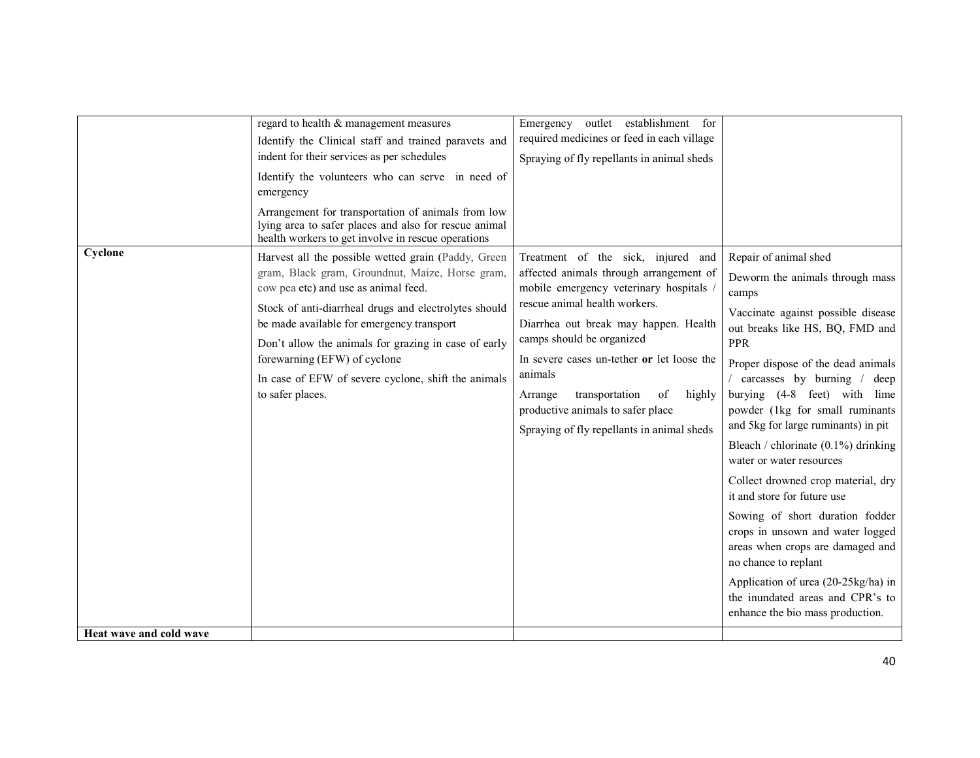| required medicines or feed in each village<br>Identify the Clinical staff and trained paravets and<br>indent for their services as per schedules<br>Spraying of fly repellants in animal sheds<br>Identify the volunteers who can serve in need of<br>emergency<br>Arrangement for transportation of animals from low<br>lying area to safer places and also for rescue animal<br>health workers to get involve in rescue operations<br>Cyclone<br>Repair of animal shed<br>Harvest all the possible wetted grain (Paddy, Green<br>Treatment of the sick, injured and<br>affected animals through arrangement of<br>gram, Black gram, Groundnut, Maize, Horse gram,<br>mobile emergency veterinary hospitals<br>cow pea etc) and use as animal feed.<br>camps<br>rescue animal health workers.<br>Stock of anti-diarrheal drugs and electrolytes should<br>be made available for emergency transport<br>Diarrhea out break may happen. Health<br>camps should be organized<br>PPR<br>Don't allow the animals for grazing in case of early<br>forewarning (EFW) of cyclone<br>In severe cases un-tether or let loose the<br>animals<br>In case of EFW of severe cyclone, shift the animals<br>to safer places.<br>transportation<br>Arrange<br>of<br>highly<br>productive animals to safer place<br>and 5kg for large ruminants) in pit<br>Spraying of fly repellants in animal sheds<br>water or water resources<br>it and store for future use<br>no chance to replant<br>enhance the bio mass production. |                         |                                        |                                       |                                                                                                                                                                                                                                                                                                                                                                                                                                                                                   |
|-------------------------------------------------------------------------------------------------------------------------------------------------------------------------------------------------------------------------------------------------------------------------------------------------------------------------------------------------------------------------------------------------------------------------------------------------------------------------------------------------------------------------------------------------------------------------------------------------------------------------------------------------------------------------------------------------------------------------------------------------------------------------------------------------------------------------------------------------------------------------------------------------------------------------------------------------------------------------------------------------------------------------------------------------------------------------------------------------------------------------------------------------------------------------------------------------------------------------------------------------------------------------------------------------------------------------------------------------------------------------------------------------------------------------------------------------------------------------------------------------------------|-------------------------|----------------------------------------|---------------------------------------|-----------------------------------------------------------------------------------------------------------------------------------------------------------------------------------------------------------------------------------------------------------------------------------------------------------------------------------------------------------------------------------------------------------------------------------------------------------------------------------|
|                                                                                                                                                                                                                                                                                                                                                                                                                                                                                                                                                                                                                                                                                                                                                                                                                                                                                                                                                                                                                                                                                                                                                                                                                                                                                                                                                                                                                                                                                                             |                         | regard to health & management measures | Emergency outlet establishment<br>for | Deworm the animals through mass<br>Vaccinate against possible disease<br>out breaks like HS, BQ, FMD and<br>Proper dispose of the dead animals<br>/ carcasses by burning / deep<br>burying (4-8 feet) with lime<br>powder (1kg for small ruminants<br>Bleach / chlorinate (0.1%) drinking<br>Collect drowned crop material, dry<br>Sowing of short duration fodder<br>crops in unsown and water logged<br>areas when crops are damaged and<br>Application of urea (20-25kg/ha) in |
|                                                                                                                                                                                                                                                                                                                                                                                                                                                                                                                                                                                                                                                                                                                                                                                                                                                                                                                                                                                                                                                                                                                                                                                                                                                                                                                                                                                                                                                                                                             | Heat wave and cold wave |                                        |                                       | the inundated areas and CPR's to                                                                                                                                                                                                                                                                                                                                                                                                                                                  |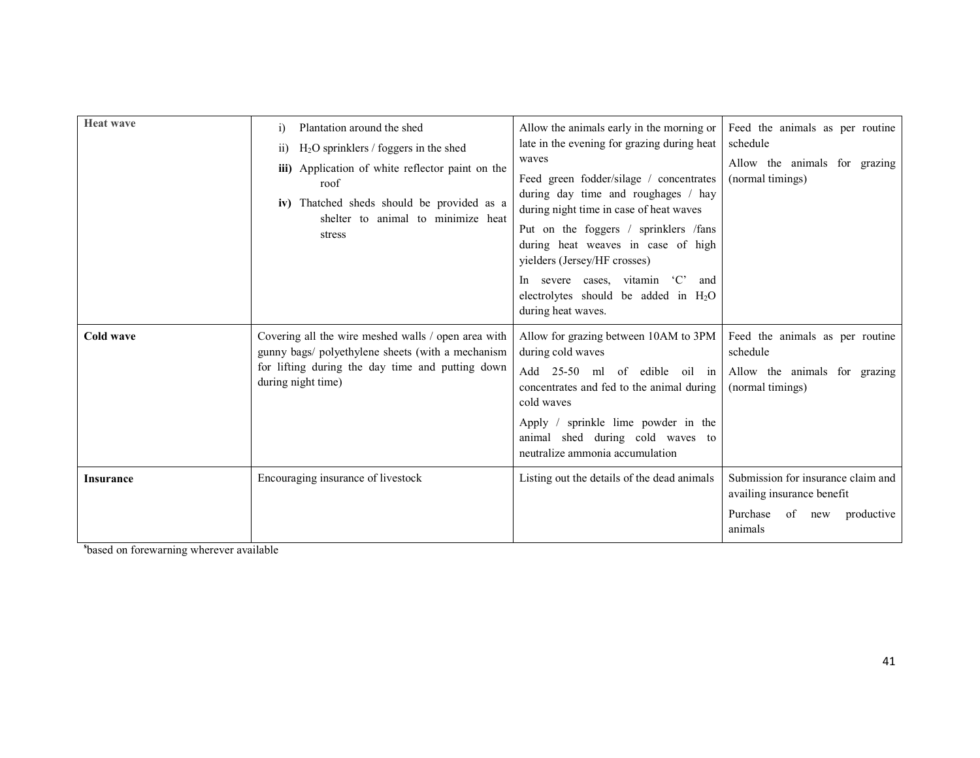| <b>Heat wave</b> | Plantation around the shed<br>$\ddot{1}$<br>$H2O$ sprinklers / foggers in the shed<br>$\overline{11}$<br>iii) Application of white reflector paint on the<br>roof<br>iv) Thatched sheds should be provided as a<br>shelter to animal to minimize heat<br>stress | Allow the animals early in the morning or<br>late in the evening for grazing during heat<br>waves<br>Feed green fodder/silage / concentrates<br>during day time and roughages / hay<br>during night time in case of heat waves<br>Put on the foggers / sprinklers /fans<br>during heat weaves in case of high<br>yielders (Jersey/HF crosses)<br>In severe cases, vitamin 'C'<br>and<br>electrolytes should be added in $H_2O$<br>during heat waves. | Feed the animals as per routine<br>schedule<br>Allow the animals for grazing<br>(normal timings)                   |
|------------------|-----------------------------------------------------------------------------------------------------------------------------------------------------------------------------------------------------------------------------------------------------------------|------------------------------------------------------------------------------------------------------------------------------------------------------------------------------------------------------------------------------------------------------------------------------------------------------------------------------------------------------------------------------------------------------------------------------------------------------|--------------------------------------------------------------------------------------------------------------------|
| Cold wave        | Covering all the wire meshed walls / open area with<br>gunny bags/ polyethylene sheets (with a mechanism<br>for lifting during the day time and putting down<br>during night time)                                                                              | Allow for grazing between 10AM to 3PM<br>during cold waves<br>Add 25-50 ml of edible oil in<br>concentrates and fed to the animal during<br>cold waves<br>Apply / sprinkle lime powder in the<br>animal shed during cold waves to<br>neutralize ammonia accumulation                                                                                                                                                                                 | Feed the animals as per routine<br>schedule<br>Allow the animals for grazing<br>(normal timings)                   |
| <b>Insurance</b> | Encouraging insurance of livestock                                                                                                                                                                                                                              | Listing out the details of the dead animals                                                                                                                                                                                                                                                                                                                                                                                                          | Submission for insurance claim and<br>availing insurance benefit<br>Purchase<br>productive<br>of<br>new<br>animals |

sbased on forewarning wherever available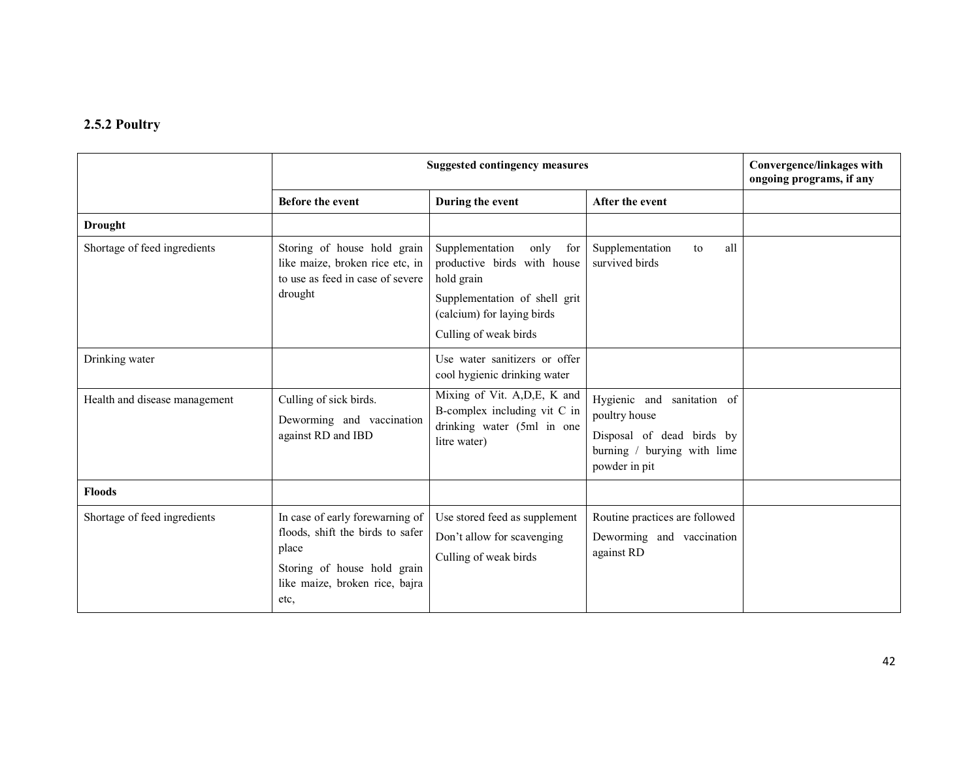## 2.5.2 Poultry

|                               | <b>Suggested contingency measures</b>                                                                                                                 |                                                                                                                                            |                                                                                                                             | Convergence/linkages with<br>ongoing programs, if any |
|-------------------------------|-------------------------------------------------------------------------------------------------------------------------------------------------------|--------------------------------------------------------------------------------------------------------------------------------------------|-----------------------------------------------------------------------------------------------------------------------------|-------------------------------------------------------|
|                               | <b>Before the event</b>                                                                                                                               | During the event                                                                                                                           | After the event                                                                                                             |                                                       |
| <b>Drought</b>                |                                                                                                                                                       |                                                                                                                                            |                                                                                                                             |                                                       |
| Shortage of feed ingredients  | Storing of house hold grain<br>like maize, broken rice etc, in<br>to use as feed in case of severe<br>drought                                         | Supplementation<br>only<br>for<br>productive birds with house<br>hold grain<br>Supplementation of shell grit<br>(calcium) for laying birds | Supplementation<br>all<br>to<br>survived birds                                                                              |                                                       |
|                               |                                                                                                                                                       | Culling of weak birds                                                                                                                      |                                                                                                                             |                                                       |
| Drinking water                |                                                                                                                                                       | Use water sanitizers or offer<br>cool hygienic drinking water                                                                              |                                                                                                                             |                                                       |
| Health and disease management | Culling of sick birds.<br>Deworming and vaccination<br>against RD and IBD                                                                             | Mixing of Vit. A, D, E, K and<br>B-complex including vit C in<br>drinking water (5ml in one<br>litre water)                                | Hygienic and<br>sanitation of<br>poultry house<br>Disposal of dead birds by<br>burning / burying with lime<br>powder in pit |                                                       |
| <b>Floods</b>                 |                                                                                                                                                       |                                                                                                                                            |                                                                                                                             |                                                       |
| Shortage of feed ingredients  | In case of early forewarning of<br>floods, shift the birds to safer<br>place<br>Storing of house hold grain<br>like maize, broken rice, bajra<br>etc, | Use stored feed as supplement<br>Don't allow for scavenging<br>Culling of weak birds                                                       | Routine practices are followed<br>Deworming and vaccination<br>against RD                                                   |                                                       |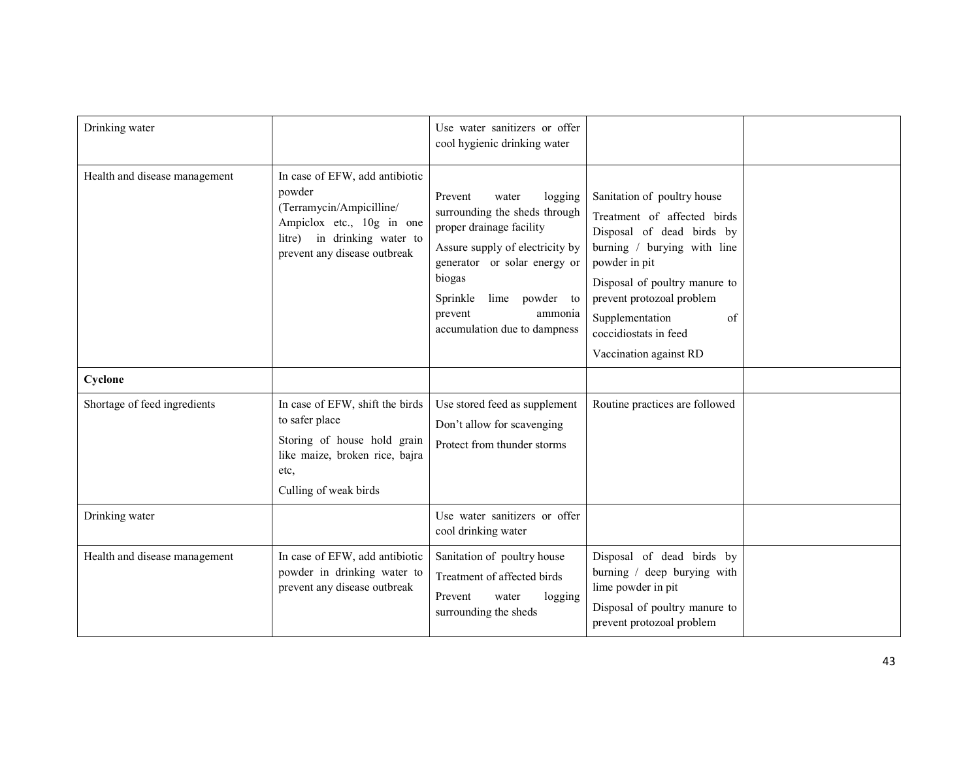| Drinking water                |                                                                                                                                                                  | Use water sanitizers or offer<br>cool hygienic drinking water                                                                                                                                                                                             |                                                                                                                                                                                                                                                                                   |  |
|-------------------------------|------------------------------------------------------------------------------------------------------------------------------------------------------------------|-----------------------------------------------------------------------------------------------------------------------------------------------------------------------------------------------------------------------------------------------------------|-----------------------------------------------------------------------------------------------------------------------------------------------------------------------------------------------------------------------------------------------------------------------------------|--|
| Health and disease management | In case of EFW, add antibiotic<br>powder<br>(Terramycin/Ampicilline/<br>Ampiclox etc., 10g in one<br>litre) in drinking water to<br>prevent any disease outbreak | Prevent<br>logging<br>water<br>surrounding the sheds through<br>proper drainage facility<br>Assure supply of electricity by<br>generator or solar energy or<br>biogas<br>Sprinkle<br>lime powder to<br>prevent<br>ammonia<br>accumulation due to dampness | Sanitation of poultry house<br>Treatment of affected birds<br>Disposal of dead birds by<br>burning / burying with line<br>powder in pit<br>Disposal of poultry manure to<br>prevent protozoal problem<br>Supplementation<br>of<br>coccidiostats in feed<br>Vaccination against RD |  |
| Cyclone                       |                                                                                                                                                                  |                                                                                                                                                                                                                                                           |                                                                                                                                                                                                                                                                                   |  |
| Shortage of feed ingredients  | In case of EFW, shift the birds<br>to safer place<br>Storing of house hold grain<br>like maize, broken rice, bajra<br>etc,<br>Culling of weak birds              | Use stored feed as supplement<br>Don't allow for scavenging<br>Protect from thunder storms                                                                                                                                                                | Routine practices are followed                                                                                                                                                                                                                                                    |  |
| Drinking water                |                                                                                                                                                                  | Use water sanitizers or offer<br>cool drinking water                                                                                                                                                                                                      |                                                                                                                                                                                                                                                                                   |  |
| Health and disease management | In case of EFW, add antibiotic<br>powder in drinking water to<br>prevent any disease outbreak                                                                    | Sanitation of poultry house<br>Treatment of affected birds<br>Prevent<br>water<br>logging<br>surrounding the sheds                                                                                                                                        | Disposal of dead birds by<br>burning / deep burying with<br>lime powder in pit<br>Disposal of poultry manure to<br>prevent protozoal problem                                                                                                                                      |  |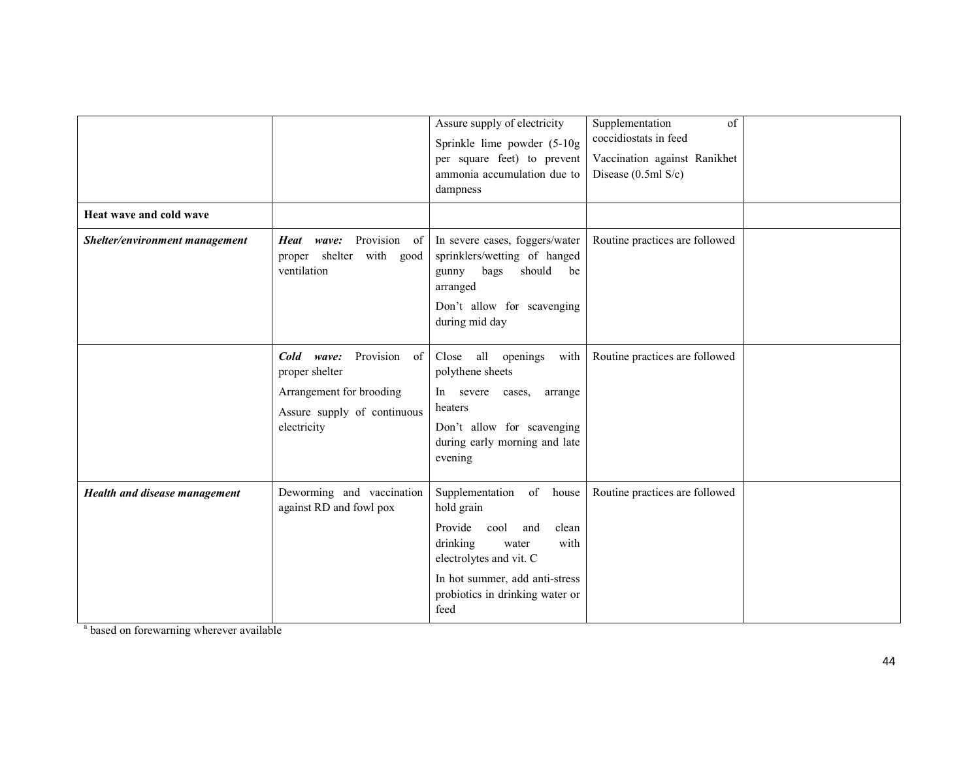| Heat wave and cold wave        |                                                                                                                        | Assure supply of electricity<br>Sprinkle lime powder (5-10g<br>per square feet) to prevent<br>ammonia accumulation due to<br>dampness                                                                       | Supplementation<br>of<br>coccidiostats in feed<br>Vaccination against Ranikhet<br>Disease (0.5ml S/c) |  |
|--------------------------------|------------------------------------------------------------------------------------------------------------------------|-------------------------------------------------------------------------------------------------------------------------------------------------------------------------------------------------------------|-------------------------------------------------------------------------------------------------------|--|
| Shelter/environment management | Provision of<br>Heat wave:<br>proper shelter with good<br>ventilation                                                  | In severe cases, foggers/water<br>sprinklers/wetting of hanged<br>bags<br>should<br>gunny<br>be<br>arranged<br>Don't allow for scavenging<br>during mid day                                                 | Routine practices are followed                                                                        |  |
|                                | Provision of<br>Cold wave:<br>proper shelter<br>Arrangement for brooding<br>Assure supply of continuous<br>electricity | Close all openings<br>with<br>polythene sheets<br>In severe cases,<br>arrange<br>heaters<br>Don't allow for scavenging<br>during early morning and late<br>evening                                          | Routine practices are followed                                                                        |  |
| Health and disease management  | Deworming and vaccination<br>against RD and fowl pox                                                                   | Supplementation of house<br>hold grain<br>Provide cool<br>and<br>clean<br>with<br>drinking<br>water<br>electrolytes and vit. C<br>In hot summer, add anti-stress<br>probiotics in drinking water or<br>feed | Routine practices are followed                                                                        |  |

<sup>a</sup> based on forewarning wherever available